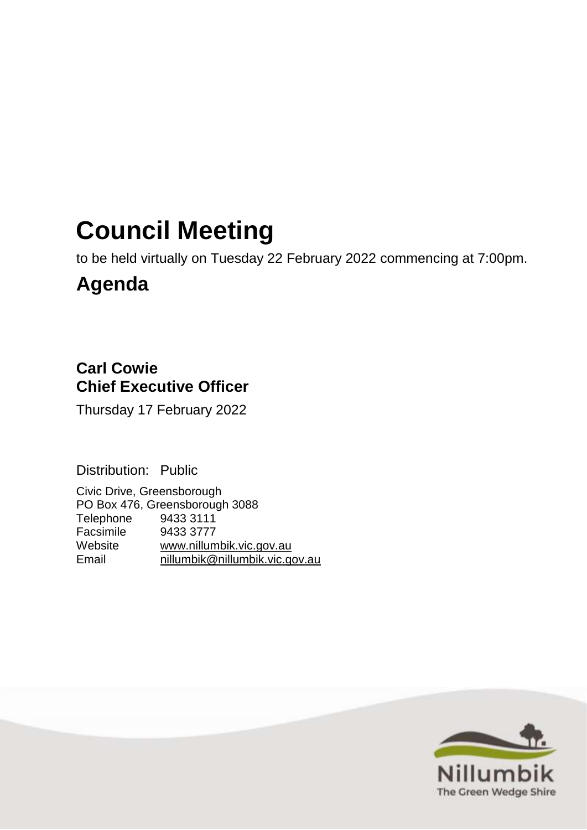# **Council Meeting**

to be held virtually on Tuesday 22 February 2022 commencing at 7:00pm.

## **Agenda**

### **Carl Cowie Chief Executive Officer**

Thursday 17 February 2022

Distribution: Public

Civic Drive, Greensborough PO Box 476, Greensborough 3088 Telephone 9433 3111 Facsimile 9433 3777 Website [www.nillumbik.vic.gov.au](http://www.nillumbik.vic.gov.au/)<br>Email nillumbik@nillumbik.vic.go Email [nillumbik@nillumbik.vic.gov.au](mailto:nillumbik@nillumbik.vic.gov.au)

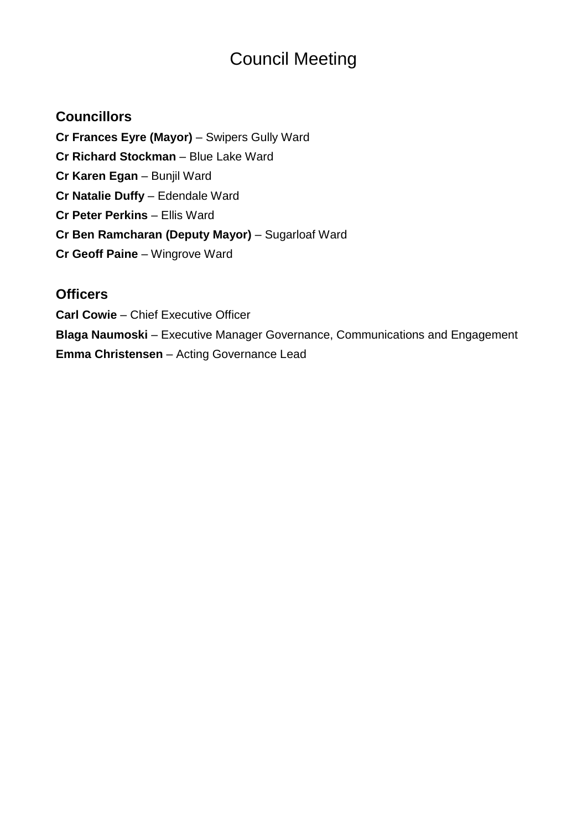### Council Meeting

### **Councillors**

- **Cr Frances Eyre (Mayor)**  Swipers Gully Ward
- **Cr Richard Stockman** Blue Lake Ward
- **Cr Karen Egan** Bunjil Ward
- **Cr Natalie Duffy** Edendale Ward
- **Cr Peter Perkins** Ellis Ward
- **Cr Ben Ramcharan (Deputy Mayor)** Sugarloaf Ward
- **Cr Geoff Paine** Wingrove Ward

#### **Officers**

**Carl Cowie** – Chief Executive Officer **Blaga Naumoski** – Executive Manager Governance, Communications and Engagement **Emma Christensen** – Acting Governance Lead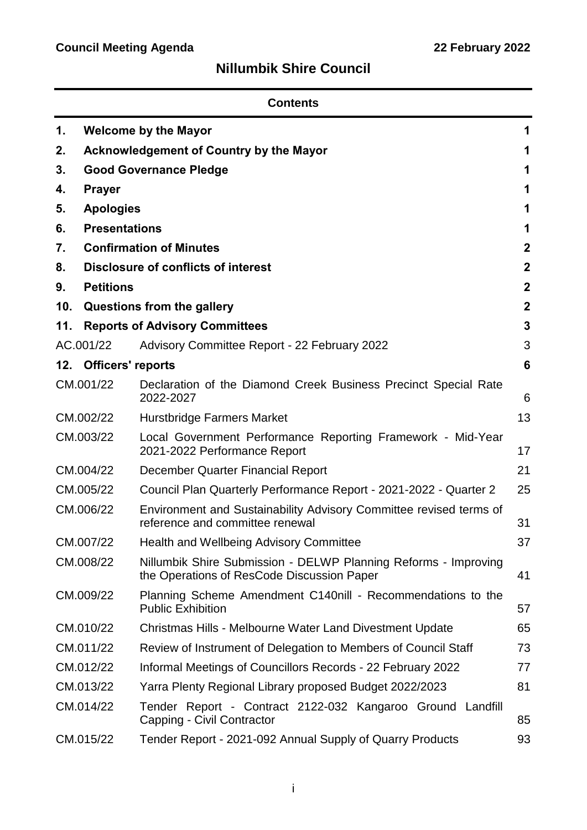### **Nillumbik Shire Council**

|                                                                          |                                                | <b>Contents</b>                                                                                               |              |  |  |
|--------------------------------------------------------------------------|------------------------------------------------|---------------------------------------------------------------------------------------------------------------|--------------|--|--|
| 1.                                                                       |                                                | <b>Welcome by the Mayor</b>                                                                                   | 1            |  |  |
| 2.                                                                       | <b>Acknowledgement of Country by the Mayor</b> |                                                                                                               |              |  |  |
| 3.                                                                       |                                                | <b>Good Governance Pledge</b>                                                                                 | 1            |  |  |
| 4.                                                                       | <b>Prayer</b>                                  |                                                                                                               | 1            |  |  |
| 5.                                                                       | <b>Apologies</b>                               |                                                                                                               | 1            |  |  |
| 6.                                                                       | <b>Presentations</b>                           |                                                                                                               | 1            |  |  |
| 7.                                                                       |                                                | <b>Confirmation of Minutes</b>                                                                                | $\mathbf{2}$ |  |  |
| 8.                                                                       |                                                | Disclosure of conflicts of interest                                                                           | $\mathbf 2$  |  |  |
| 9.                                                                       | <b>Petitions</b>                               |                                                                                                               | $\mathbf{2}$ |  |  |
| 10.                                                                      |                                                | Questions from the gallery                                                                                    | $\mathbf 2$  |  |  |
| 11.                                                                      |                                                | <b>Reports of Advisory Committees</b>                                                                         | 3            |  |  |
|                                                                          | AC.001/22                                      | Advisory Committee Report - 22 February 2022                                                                  | 3            |  |  |
|                                                                          | 12. Officers' reports                          |                                                                                                               | 6            |  |  |
|                                                                          | CM.001/22                                      | Declaration of the Diamond Creek Business Precinct Special Rate<br>2022-2027                                  | 6            |  |  |
|                                                                          | CM.002/22                                      | Hurstbridge Farmers Market                                                                                    | 13           |  |  |
|                                                                          | CM.003/22                                      | Local Government Performance Reporting Framework - Mid-Year<br>2021-2022 Performance Report                   | 17           |  |  |
|                                                                          | CM.004/22                                      | December Quarter Financial Report                                                                             | 21           |  |  |
|                                                                          | CM.005/22                                      | Council Plan Quarterly Performance Report - 2021-2022 - Quarter 2                                             | 25           |  |  |
|                                                                          | CM.006/22                                      | Environment and Sustainability Advisory Committee revised terms of<br>reference and committee renewal         | 31           |  |  |
|                                                                          | CM.007/22                                      | <b>Health and Wellbeing Advisory Committee</b>                                                                | 37           |  |  |
|                                                                          | CM.008/22                                      | Nillumbik Shire Submission - DELWP Planning Reforms - Improving<br>the Operations of ResCode Discussion Paper | 41           |  |  |
|                                                                          | CM.009/22                                      | Planning Scheme Amendment C140nill - Recommendations to the<br><b>Public Exhibition</b>                       | 57           |  |  |
|                                                                          | CM.010/22                                      | Christmas Hills - Melbourne Water Land Divestment Update                                                      | 65           |  |  |
|                                                                          | CM.011/22                                      | Review of Instrument of Delegation to Members of Council Staff                                                | 73           |  |  |
| CM.012/22<br>Informal Meetings of Councillors Records - 22 February 2022 |                                                |                                                                                                               | 77           |  |  |
|                                                                          | CM.013/22                                      | Yarra Plenty Regional Library proposed Budget 2022/2023                                                       | 81           |  |  |
|                                                                          | CM.014/22                                      | Tender Report - Contract 2122-032 Kangaroo Ground Landfill<br>Capping - Civil Contractor                      | 85           |  |  |
|                                                                          | CM.015/22                                      | Tender Report - 2021-092 Annual Supply of Quarry Products                                                     | 93           |  |  |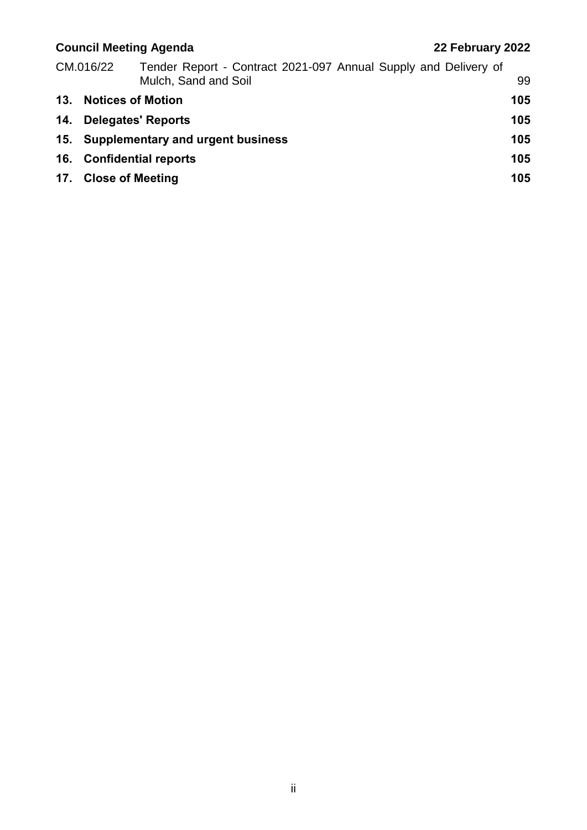|     | CM.016/22                             | Tender Report - Contract 2021-097 Annual Supply and Delivery of<br>Mulch, Sand and Soil | 99  |
|-----|---------------------------------------|-----------------------------------------------------------------------------------------|-----|
| 13. | <b>Notices of Motion</b>              |                                                                                         | 105 |
| 14. | <b>Delegates' Reports</b>             |                                                                                         | 105 |
|     | 15. Supplementary and urgent business |                                                                                         | 105 |
|     |                                       | 16. Confidential reports                                                                | 105 |
|     | 17. Close of Meeting                  |                                                                                         | 105 |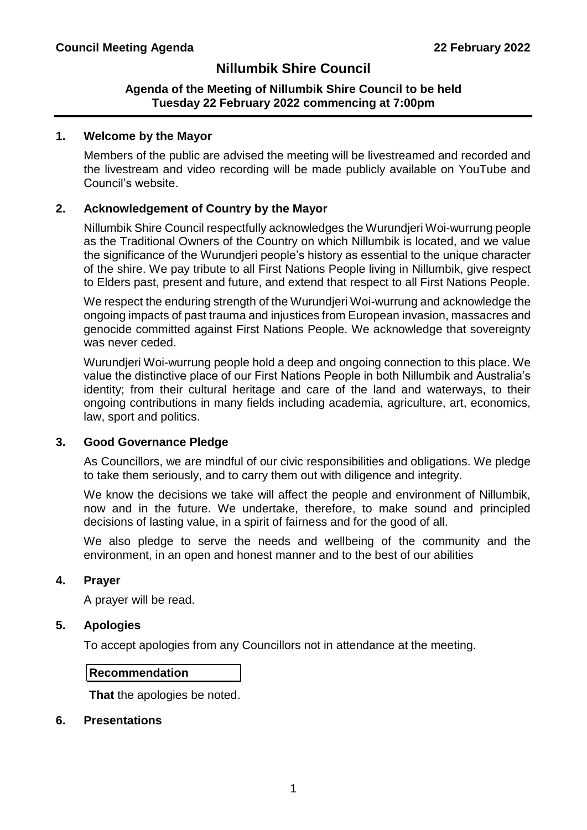### **Nillumbik Shire Council**

#### **Agenda of the Meeting of Nillumbik Shire Council to be held Tuesday 22 February 2022 commencing at 7:00pm**

#### <span id="page-4-0"></span>**1. Welcome by the Mayor**

Members of the public are advised the meeting will be livestreamed and recorded and the livestream and video recording will be made publicly available on YouTube and Council's website.

#### <span id="page-4-1"></span>**2. Acknowledgement of Country by the Mayor**

Nillumbik Shire Council respectfully acknowledges the Wurundjeri Woi-wurrung people as the Traditional Owners of the Country on which Nillumbik is located, and we value the significance of the Wurundjeri people's history as essential to the unique character of the shire. We pay tribute to all First Nations People living in Nillumbik, give respect to Elders past, present and future, and extend that respect to all First Nations People.

We respect the enduring strength of the Wurundjeri Woi-wurrung and acknowledge the ongoing impacts of past trauma and injustices from European invasion, massacres and genocide committed against First Nations People. We acknowledge that sovereignty was never ceded.

Wurundjeri Woi-wurrung people hold a deep and ongoing connection to this place. We value the distinctive place of our First Nations People in both Nillumbik and Australia's identity; from their cultural heritage and care of the land and waterways, to their ongoing contributions in many fields including academia, agriculture, art, economics, law, sport and politics.

#### <span id="page-4-2"></span>**3. Good Governance Pledge**

As Councillors, we are mindful of our civic responsibilities and obligations. We pledge to take them seriously, and to carry them out with diligence and integrity.

We know the decisions we take will affect the people and environment of Nillumbik, now and in the future. We undertake, therefore, to make sound and principled decisions of lasting value, in a spirit of fairness and for the good of all.

We also pledge to serve the needs and wellbeing of the community and the environment, in an open and honest manner and to the best of our abilities

#### <span id="page-4-3"></span>**4. Prayer**

A prayer will be read.

#### <span id="page-4-4"></span>**5. Apologies**

To accept apologies from any Councillors not in attendance at the meeting.

#### **Recommendation**

**That** the apologies be noted.

#### <span id="page-4-5"></span>**6. Presentations**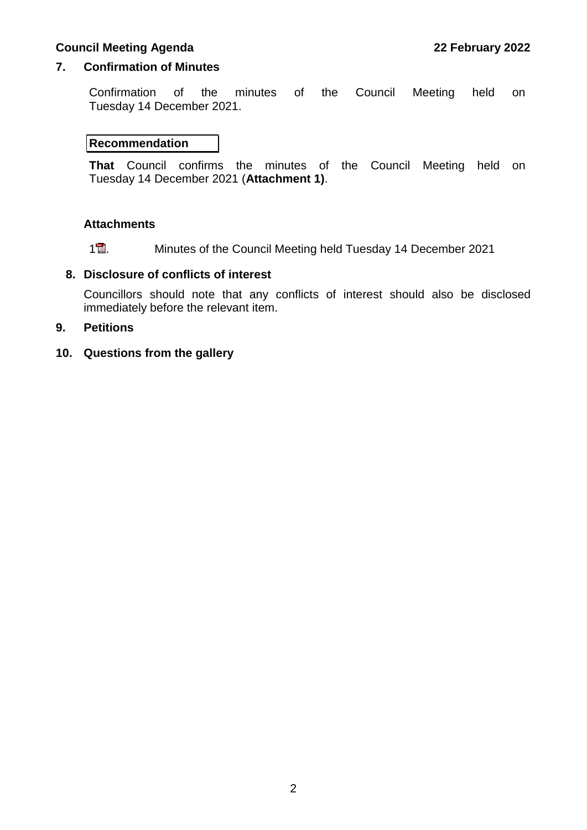#### <span id="page-5-0"></span>**7. Confirmation of Minutes**

Confirmation of the minutes of the Council Meeting held on Tuesday 14 December 2021.

#### **Recommendation**

**That** Council confirms the minutes of the Council Meeting held on Tuesday 14 December 2021 (**Attachment 1)**.

#### **Attachments**

[1](CM_22022022_AGN_1185_files/CM_22022022_AGN_1185_Attachment_6634_1.PDF) **1** . Minutes of the Council Meeting held Tuesday 14 December 2021

#### <span id="page-5-1"></span> **8. Disclosure of conflicts of interest**

Councillors should note that any conflicts of interest should also be disclosed immediately before the relevant item.

#### <span id="page-5-2"></span>**9. Petitions**

#### <span id="page-5-3"></span>**10. Questions from the gallery**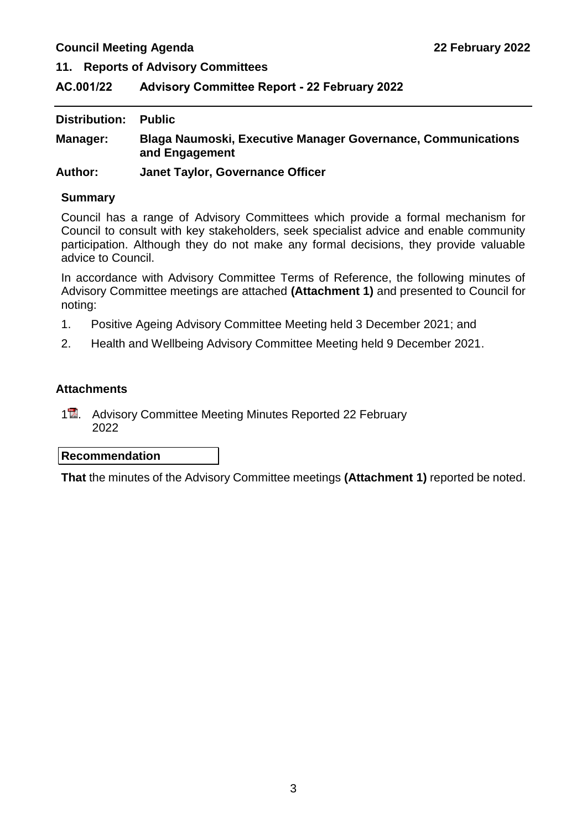<span id="page-6-0"></span>**11. Reports of Advisory Committees**

#### <span id="page-6-1"></span>**AC.001/22 Advisory Committee Report - 22 February 2022**

**Manager: Blaga Naumoski, Executive Manager Governance, Communications and Engagement** 

**Author: Janet Taylor, Governance Officer** 

#### **Summary**

Council has a range of Advisory Committees which provide a formal mechanism for Council to consult with key stakeholders, seek specialist advice and enable community participation. Although they do not make any formal decisions, they provide valuable advice to Council.

In accordance with Advisory Committee Terms of Reference, the following minutes of Advisory Committee meetings are attached **(Attachment 1)** and presented to Council for noting:

- 1. Positive Ageing Advisory Committee Meeting held 3 December 2021; and
- 2. Health and Wellbeing Advisory Committee Meeting held 9 December 2021.

#### **Attachments**

1 **图**. Advisory Committee Meeting Minutes Reported 22 February 2022

#### **Recommendation**

**That** the minutes of the Advisory Committee meetings **(Attachment 1)** reported be noted.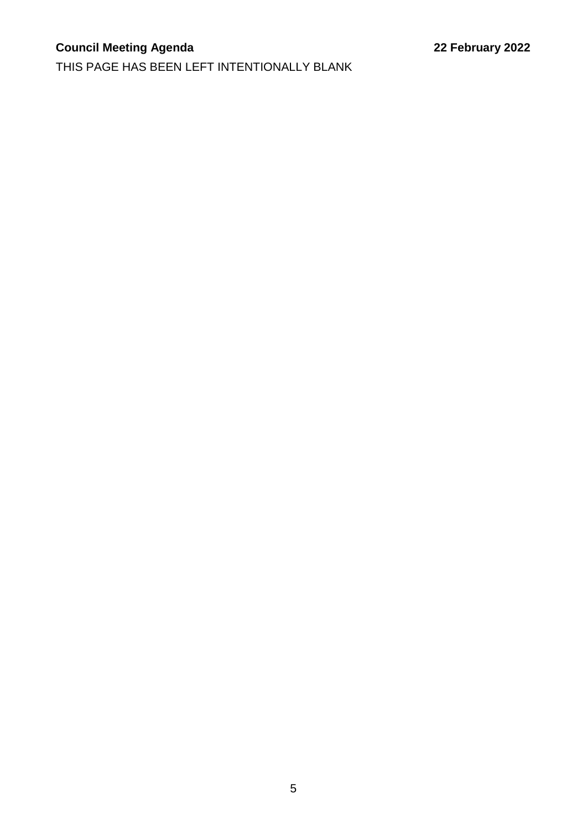THIS PAGE HAS BEEN LEFT INTENTIONALLY BLANK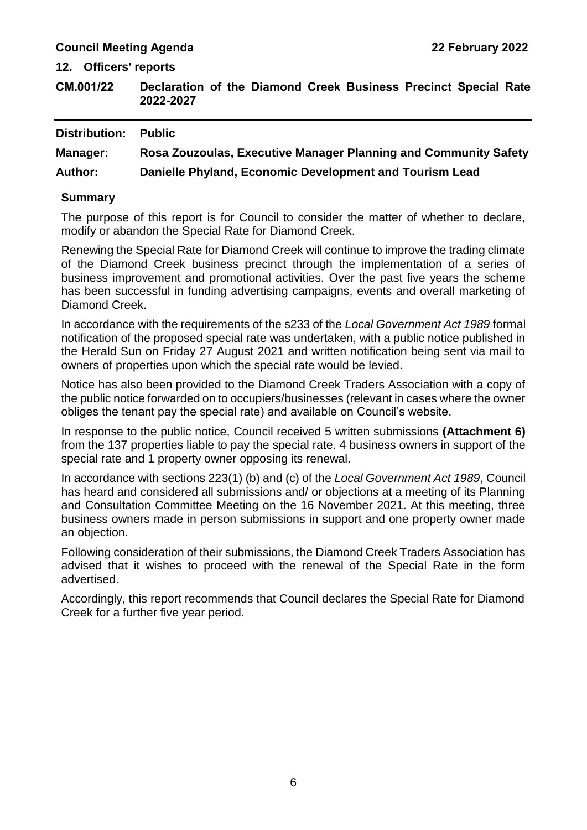<span id="page-9-0"></span>**12. Officers' reports**

<span id="page-9-1"></span>

| CM.001/22 | Declaration of the Diamond Creek Business Precinct Special Rate |  |  |  |  |
|-----------|-----------------------------------------------------------------|--|--|--|--|
|           | 2022-2027                                                       |  |  |  |  |

| <b>Public</b>                                                   |
|-----------------------------------------------------------------|
| Rosa Zouzoulas, Executive Manager Planning and Community Safety |
| Danielle Phyland, Economic Development and Tourism Lead         |
|                                                                 |

#### **Summary**

The purpose of this report is for Council to consider the matter of whether to declare, modify or abandon the Special Rate for Diamond Creek.

Renewing the Special Rate for Diamond Creek will continue to improve the trading climate of the Diamond Creek business precinct through the implementation of a series of business improvement and promotional activities. Over the past five years the scheme has been successful in funding advertising campaigns, events and overall marketing of Diamond Creek.

In accordance with the requirements of the s233 of the *Local Government Act 1989* formal notification of the proposed special rate was undertaken, with a public notice published in the Herald Sun on Friday 27 August 2021 and written notification being sent via mail to owners of properties upon which the special rate would be levied.

Notice has also been provided to the Diamond Creek Traders Association with a copy of the public notice forwarded on to occupiers/businesses (relevant in cases where the owner obliges the tenant pay the special rate) and available on Council's website.

In response to the public notice, Council received 5 written submissions **(Attachment 6)**  from the 137 properties liable to pay the special rate. 4 business owners in support of the special rate and 1 property owner opposing its renewal.

In accordance with sections 223(1) (b) and (c) of the *Local Government Act 1989*, Council has heard and considered all submissions and/ or objections at a meeting of its Planning and Consultation Committee Meeting on the 16 November 2021. At this meeting, three business owners made in person submissions in support and one property owner made an objection.

Following consideration of their submissions, the Diamond Creek Traders Association has advised that it wishes to proceed with the renewal of the Special Rate in the form advertised.

Accordingly, this report recommends that Council declares the Special Rate for Diamond Creek for a further five year period.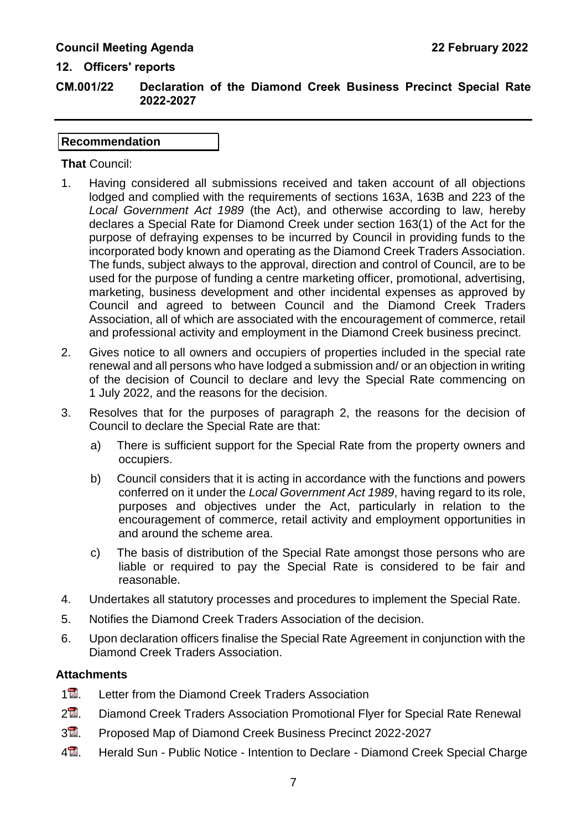#### **12. Officers' reports**

**CM.001/22 Declaration of the Diamond Creek Business Precinct Special Rate 2022-2027**

#### **Recommendation**

**That** Council:

- 1. Having considered all submissions received and taken account of all objections lodged and complied with the requirements of sections 163A, 163B and 223 of the *Local Government Act 1989* (the Act), and otherwise according to law, hereby declares a Special Rate for Diamond Creek under section 163(1) of the Act for the purpose of defraying expenses to be incurred by Council in providing funds to the incorporated body known and operating as the Diamond Creek Traders Association. The funds, subject always to the approval, direction and control of Council, are to be used for the purpose of funding a centre marketing officer, promotional, advertising, marketing, business development and other incidental expenses as approved by Council and agreed to between Council and the Diamond Creek Traders Association, all of which are associated with the encouragement of commerce, retail and professional activity and employment in the Diamond Creek business precinct.
- 2. Gives notice to all owners and occupiers of properties included in the special rate renewal and all persons who have lodged a submission and/ or an objection in writing of the decision of Council to declare and levy the Special Rate commencing on 1 July 2022, and the reasons for the decision.
- 3. Resolves that for the purposes of paragraph 2, the reasons for the decision of Council to declare the Special Rate are that:
	- a) There is sufficient support for the Special Rate from the property owners and occupiers.
	- b) Council considers that it is acting in accordance with the functions and powers conferred on it under the *Local Government Act 1989*, having regard to its role, purposes and objectives under the Act, particularly in relation to the encouragement of commerce, retail activity and employment opportunities in and around the scheme area.
	- c) The basis of distribution of the Special Rate amongst those persons who are liable or required to pay the Special Rate is considered to be fair and reasonable.
- 4. Undertakes all statutory processes and procedures to implement the Special Rate.
- 5. Notifies the Diamond Creek Traders Association of the decision.
- 6. Upon declaration officers finalise the Special Rate Agreement in conjunction with the Diamond Creek Traders Association.

#### **Attachments**

- 1<sup>7</sup> Letter from the Diamond Creek Traders Association
- 2<sup>個</sup>. Diamond Creek Traders Association Promotional Flyer for Special Rate Renewal
- 3<sup>1</sup> . Proposed Map of Diamond Creek Business Precinct 2022-2027
- 4<sup>個</sup>. Herald Sun Public Notice Intention to Declare Diamond Creek Special Charge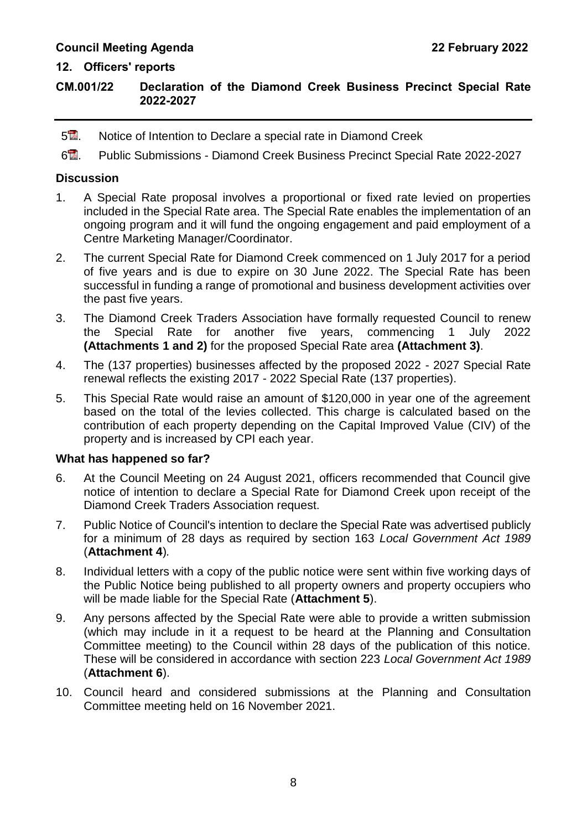#### **12. Officers' reports**

**CM.001/22 Declaration of the Diamond Creek Business Precinct Special Rate 2022-2027**

5<sup>1</sup> . Notice of Intention to Declare a special rate in Diamond Creek

6<sup>1</sup> . Public Submissions - Diamond Creek Business Precinct Special Rate 2022-2027

#### **Discussion**

- 1. A Special Rate proposal involves a proportional or fixed rate levied on properties included in the Special Rate area. The Special Rate enables the implementation of an ongoing program and it will fund the ongoing engagement and paid employment of a Centre Marketing Manager/Coordinator.
- 2. The current Special Rate for Diamond Creek commenced on 1 July 2017 for a period of five years and is due to expire on 30 June 2022. The Special Rate has been successful in funding a range of promotional and business development activities over the past five years.
- 3. The Diamond Creek Traders Association have formally requested Council to renew the Special Rate for another five years, commencing 1 July 2022 **(Attachments 1 and 2)** for the proposed Special Rate area **(Attachment 3)**.
- 4. The (137 properties) businesses affected by the proposed 2022 2027 Special Rate renewal reflects the existing 2017 - 2022 Special Rate (137 properties).
- 5. This Special Rate would raise an amount of \$120,000 in year one of the agreement based on the total of the levies collected. This charge is calculated based on the contribution of each property depending on the Capital Improved Value (CIV) of the property and is increased by CPI each year.

#### **What has happened so far?**

- 6. At the Council Meeting on 24 August 2021, officers recommended that Council give notice of intention to declare a Special Rate for Diamond Creek upon receipt of the Diamond Creek Traders Association request.
- 7. Public Notice of Council's intention to declare the Special Rate was advertised publicly for a minimum of 28 days as required by section 163 *Local Government Act 1989*  (**Attachment 4**)*.*
- 8. Individual letters with a copy of the public notice were sent within five working days of the Public Notice being published to all property owners and property occupiers who will be made liable for the Special Rate (**Attachment 5**).
- 9. Any persons affected by the Special Rate were able to provide a written submission (which may include in it a request to be heard at the Planning and Consultation Committee meeting) to the Council within 28 days of the publication of this notice. These will be considered in accordance with section 223 *Local Government Act 1989*  (**Attachment 6**).
- 10. Council heard and considered submissions at the Planning and Consultation Committee meeting held on 16 November 2021.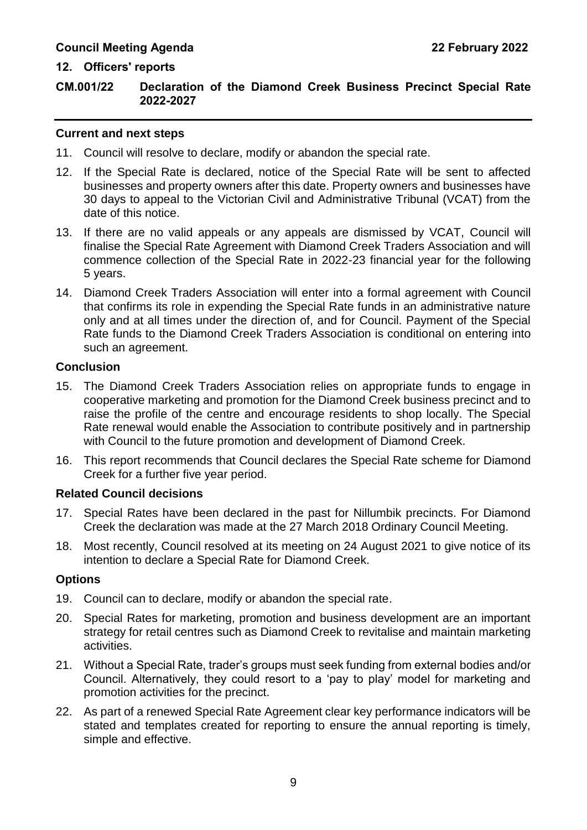#### **12. Officers' reports**

#### **CM.001/22 Declaration of the Diamond Creek Business Precinct Special Rate 2022-2027**

#### **Current and next steps**

- 11. Council will resolve to declare, modify or abandon the special rate.
- 12. If the Special Rate is declared, notice of the Special Rate will be sent to affected businesses and property owners after this date. Property owners and businesses have 30 days to appeal to the Victorian Civil and Administrative Tribunal (VCAT) from the date of this notice.
- 13. If there are no valid appeals or any appeals are dismissed by VCAT, Council will finalise the Special Rate Agreement with Diamond Creek Traders Association and will commence collection of the Special Rate in 2022-23 financial year for the following 5 years.
- 14. Diamond Creek Traders Association will enter into a formal agreement with Council that confirms its role in expending the Special Rate funds in an administrative nature only and at all times under the direction of, and for Council. Payment of the Special Rate funds to the Diamond Creek Traders Association is conditional on entering into such an agreement.

#### **Conclusion**

- 15. The Diamond Creek Traders Association relies on appropriate funds to engage in cooperative marketing and promotion for the Diamond Creek business precinct and to raise the profile of the centre and encourage residents to shop locally. The Special Rate renewal would enable the Association to contribute positively and in partnership with Council to the future promotion and development of Diamond Creek.
- 16. This report recommends that Council declares the Special Rate scheme for Diamond Creek for a further five year period.

#### **Related Council decisions**

- 17. Special Rates have been declared in the past for Nillumbik precincts. For Diamond Creek the declaration was made at the 27 March 2018 Ordinary Council Meeting.
- 18. Most recently, Council resolved at its meeting on 24 August 2021 to give notice of its intention to declare a Special Rate for Diamond Creek.

#### **Options**

- 19. Council can to declare, modify or abandon the special rate.
- 20. Special Rates for marketing, promotion and business development are an important strategy for retail centres such as Diamond Creek to revitalise and maintain marketing activities.
- 21. Without a Special Rate, trader's groups must seek funding from external bodies and/or Council. Alternatively, they could resort to a 'pay to play' model for marketing and promotion activities for the precinct.
- 22. As part of a renewed Special Rate Agreement clear key performance indicators will be stated and templates created for reporting to ensure the annual reporting is timely, simple and effective.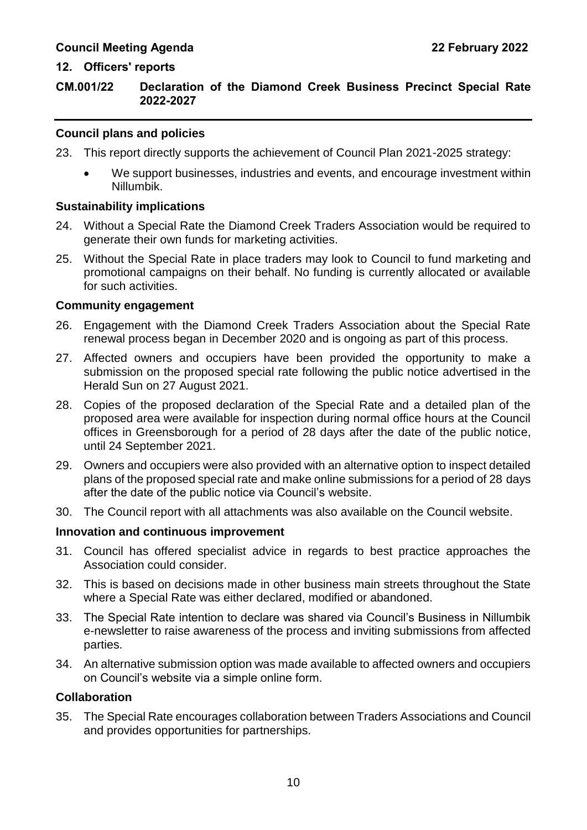#### **12. Officers' reports**

#### **CM.001/22 Declaration of the Diamond Creek Business Precinct Special Rate 2022-2027**

#### **Council plans and policies**

- 23. This report directly supports the achievement of Council Plan 2021-2025 strategy:
	- We support businesses, industries and events, and encourage investment within Nillumbik.

#### **Sustainability implications**

- 24. Without a Special Rate the Diamond Creek Traders Association would be required to generate their own funds for marketing activities.
- 25. Without the Special Rate in place traders may look to Council to fund marketing and promotional campaigns on their behalf. No funding is currently allocated or available for such activities.

#### **Community engagement**

- 26. Engagement with the Diamond Creek Traders Association about the Special Rate renewal process began in December 2020 and is ongoing as part of this process.
- 27. Affected owners and occupiers have been provided the opportunity to make a submission on the proposed special rate following the public notice advertised in the Herald Sun on 27 August 2021.
- 28. Copies of the proposed declaration of the Special Rate and a detailed plan of the proposed area were available for inspection during normal office hours at the Council offices in Greensborough for a period of 28 days after the date of the public notice, until 24 September 2021.
- 29. Owners and occupiers were also provided with an alternative option to inspect detailed plans of the proposed special rate and make online submissions for a period of 28 days after the date of the public notice via Council's website.
- 30. The Council report with all attachments was also available on the Council website.

#### **Innovation and continuous improvement**

- 31. Council has offered specialist advice in regards to best practice approaches the Association could consider.
- 32. This is based on decisions made in other business main streets throughout the State where a Special Rate was either declared, modified or abandoned.
- 33. The Special Rate intention to declare was shared via Council's Business in Nillumbik e-newsletter to raise awareness of the process and inviting submissions from affected parties.
- 34. An alternative submission option was made available to affected owners and occupiers on Council's website via a simple online form.

#### **Collaboration**

35. The Special Rate encourages collaboration between Traders Associations and Council and provides opportunities for partnerships.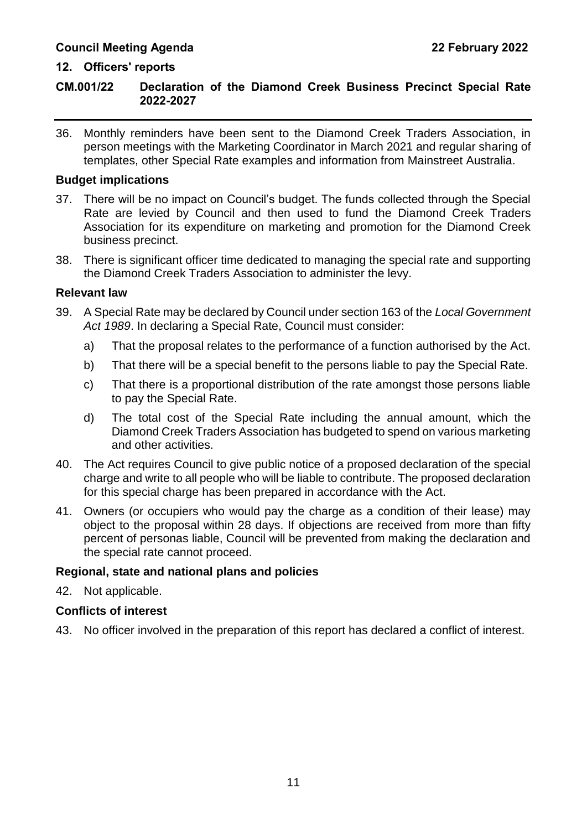#### **12. Officers' reports**

#### **CM.001/22 Declaration of the Diamond Creek Business Precinct Special Rate 2022-2027**

36. Monthly reminders have been sent to the Diamond Creek Traders Association, in person meetings with the Marketing Coordinator in March 2021 and regular sharing of templates, other Special Rate examples and information from Mainstreet Australia.

#### **Budget implications**

- 37. There will be no impact on Council's budget. The funds collected through the Special Rate are levied by Council and then used to fund the Diamond Creek Traders Association for its expenditure on marketing and promotion for the Diamond Creek business precinct.
- 38. There is significant officer time dedicated to managing the special rate and supporting the Diamond Creek Traders Association to administer the levy.

#### **Relevant law**

- 39. A Special Rate may be declared by Council under section 163 of the *Local Government Act 1989*. In declaring a Special Rate, Council must consider:
	- a) That the proposal relates to the performance of a function authorised by the Act.
	- b) That there will be a special benefit to the persons liable to pay the Special Rate.
	- c) That there is a proportional distribution of the rate amongst those persons liable to pay the Special Rate.
	- d) The total cost of the Special Rate including the annual amount, which the Diamond Creek Traders Association has budgeted to spend on various marketing and other activities.
- 40. The Act requires Council to give public notice of a proposed declaration of the special charge and write to all people who will be liable to contribute. The proposed declaration for this special charge has been prepared in accordance with the Act.
- 41. Owners (or occupiers who would pay the charge as a condition of their lease) may object to the proposal within 28 days. If objections are received from more than fifty percent of personas liable, Council will be prevented from making the declaration and the special rate cannot proceed.

#### **Regional, state and national plans and policies**

42. Not applicable.

#### **Conflicts of interest**

43. No officer involved in the preparation of this report has declared a conflict of interest.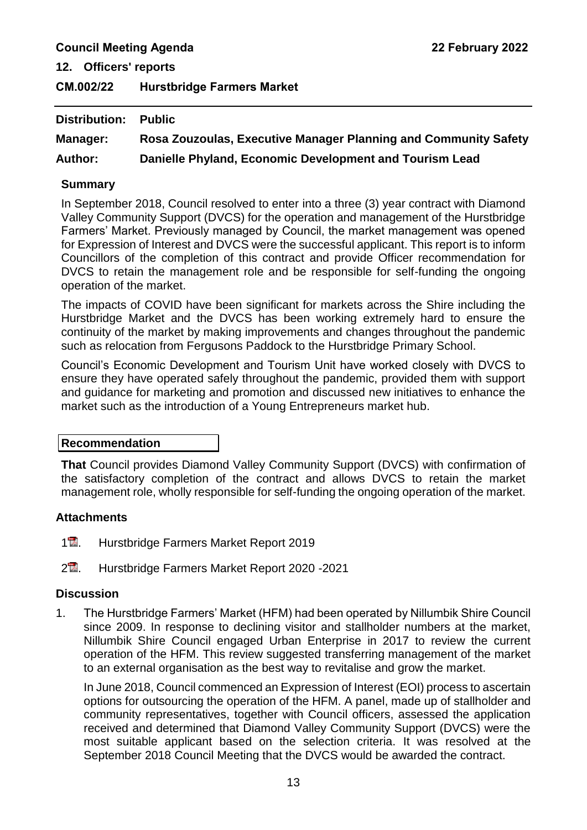**12. Officers' reports**

<span id="page-16-0"></span>

| CM.002/22 | <b>Hurstbridge Farmers Market</b> |  |  |
|-----------|-----------------------------------|--|--|
|-----------|-----------------------------------|--|--|

| Distribution:  | <b>Public</b>                                                   |
|----------------|-----------------------------------------------------------------|
| Manager:       | Rosa Zouzoulas, Executive Manager Planning and Community Safety |
| <b>Author:</b> | Danielle Phyland, Economic Development and Tourism Lead         |

#### **Summary**

In September 2018, Council resolved to enter into a three (3) year contract with Diamond Valley Community Support (DVCS) for the operation and management of the Hurstbridge Farmers' Market. Previously managed by Council, the market management was opened for Expression of Interest and DVCS were the successful applicant. This report is to inform Councillors of the completion of this contract and provide Officer recommendation for DVCS to retain the management role and be responsible for self-funding the ongoing operation of the market.

The impacts of COVID have been significant for markets across the Shire including the Hurstbridge Market and the DVCS has been working extremely hard to ensure the continuity of the market by making improvements and changes throughout the pandemic such as relocation from Fergusons Paddock to the Hurstbridge Primary School.

Council's Economic Development and Tourism Unit have worked closely with DVCS to ensure they have operated safely throughout the pandemic, provided them with support and guidance for marketing and promotion and discussed new initiatives to enhance the market such as the introduction of a Young Entrepreneurs market hub.

#### **Recommendation**

**That** Council provides Diamond Valley Community Support (DVCS) with confirmation of the satisfactory completion of the contract and allows DVCS to retain the market management role, wholly responsible for self-funding the ongoing operation of the market.

#### **Attachments**

- 1 **图**. Hurstbridge Farmers Market Report 2019
- 2<sup>1</sup> . Hurstbridge Farmers Market Report 2020 2021

#### **Discussion**

1. The Hurstbridge Farmers' Market (HFM) had been operated by Nillumbik Shire Council since 2009. In response to declining visitor and stallholder numbers at the market, Nillumbik Shire Council engaged Urban Enterprise in 2017 to review the current operation of the HFM. This review suggested transferring management of the market to an external organisation as the best way to revitalise and grow the market.

In June 2018, Council commenced an Expression of Interest (EOI) process to ascertain options for outsourcing the operation of the HFM. A panel, made up of stallholder and community representatives, together with Council officers, assessed the application received and determined that Diamond Valley Community Support (DVCS) were the most suitable applicant based on the selection criteria. It was resolved at the September 2018 Council Meeting that the DVCS would be awarded the contract.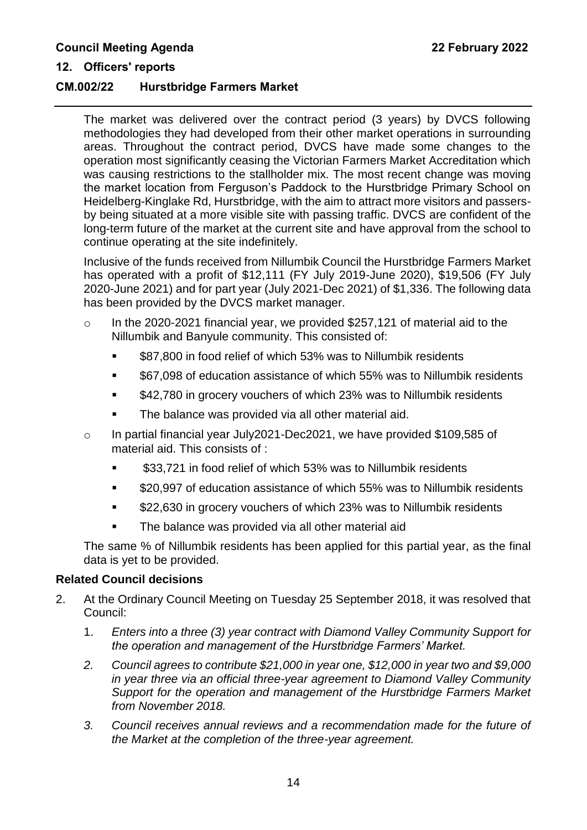#### **12. Officers' reports**

#### **CM.002/22 Hurstbridge Farmers Market**

The market was delivered over the contract period (3 years) by DVCS following methodologies they had developed from their other market operations in surrounding areas. Throughout the contract period, DVCS have made some changes to the operation most significantly ceasing the Victorian Farmers Market Accreditation which was causing restrictions to the stallholder mix. The most recent change was moving the market location from Ferguson's Paddock to the Hurstbridge Primary School on Heidelberg-Kinglake Rd, Hurstbridge, with the aim to attract more visitors and passersby being situated at a more visible site with passing traffic. DVCS are confident of the long-term future of the market at the current site and have approval from the school to continue operating at the site indefinitely.

Inclusive of the funds received from Nillumbik Council the Hurstbridge Farmers Market has operated with a profit of \$12,111 (FY July 2019-June 2020), \$19,506 (FY July 2020-June 2021) and for part year (July 2021-Dec 2021) of \$1,336. The following data has been provided by the DVCS market manager.

- $\circ$  In the 2020-2021 financial year, we provided \$257,121 of material aid to the Nillumbik and Banyule community. This consisted of:
	- **587,800 in food relief of which 53% was to Nillumbik residents**
	- \$67,098 of education assistance of which 55% was to Nillumbik residents
	- **542,780 in grocery vouchers of which 23% was to Nillumbik residents**
	- The balance was provided via all other material aid.
- o In partial financial year July2021-Dec2021, we have provided \$109,585 of material aid. This consists of :
	- **533,721 in food relief of which 53% was to Nillumbik residents**
	- **520,997 of education assistance of which 55% was to Nillumbik residents**
	- **522,630 in grocery vouchers of which 23% was to Nillumbik residents**
	- The balance was provided via all other material aid

The same % of Nillumbik residents has been applied for this partial year, as the final data is yet to be provided.

#### **Related Council decisions**

- 2. At the Ordinary Council Meeting on Tuesday 25 September 2018, it was resolved that Council:
	- 1. *Enters into a three (3) year contract with Diamond Valley Community Support for the operation and management of the Hurstbridge Farmers' Market.*
	- *2. Council agrees to contribute \$21,000 in year one, \$12,000 in year two and \$9,000 in year three via an official three-year agreement to Diamond Valley Community Support for the operation and management of the Hurstbridge Farmers Market from November 2018.*
	- *3. Council receives annual reviews and a recommendation made for the future of the Market at the completion of the three-year agreement.*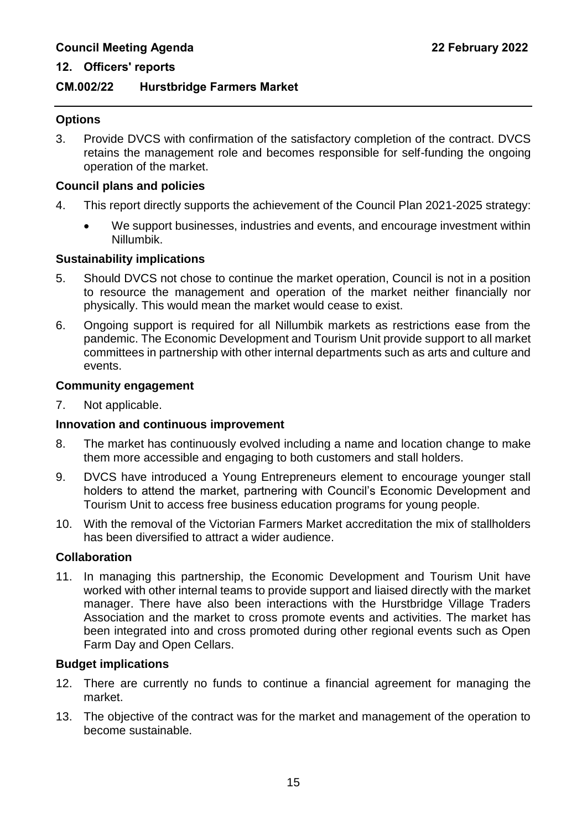#### **CM.002/22 Hurstbridge Farmers Market**

#### **Options**

3. Provide DVCS with confirmation of the satisfactory completion of the contract. DVCS retains the management role and becomes responsible for self-funding the ongoing operation of the market.

#### **Council plans and policies**

- 4. This report directly supports the achievement of the Council Plan 2021-2025 strategy:
	- We support businesses, industries and events, and encourage investment within Nillumbik.

#### **Sustainability implications**

- 5. Should DVCS not chose to continue the market operation, Council is not in a position to resource the management and operation of the market neither financially nor physically. This would mean the market would cease to exist.
- 6. Ongoing support is required for all Nillumbik markets as restrictions ease from the pandemic. The Economic Development and Tourism Unit provide support to all market committees in partnership with other internal departments such as arts and culture and events.

#### **Community engagement**

7. Not applicable.

#### **Innovation and continuous improvement**

- 8. The market has continuously evolved including a name and location change to make them more accessible and engaging to both customers and stall holders.
- 9. DVCS have introduced a Young Entrepreneurs element to encourage younger stall holders to attend the market, partnering with Council's Economic Development and Tourism Unit to access free business education programs for young people.
- 10. With the removal of the Victorian Farmers Market accreditation the mix of stallholders has been diversified to attract a wider audience.

#### **Collaboration**

11. In managing this partnership, the Economic Development and Tourism Unit have worked with other internal teams to provide support and liaised directly with the market manager. There have also been interactions with the Hurstbridge Village Traders Association and the market to cross promote events and activities. The market has been integrated into and cross promoted during other regional events such as Open Farm Day and Open Cellars.

#### **Budget implications**

- 12. There are currently no funds to continue a financial agreement for managing the market.
- 13. The objective of the contract was for the market and management of the operation to become sustainable.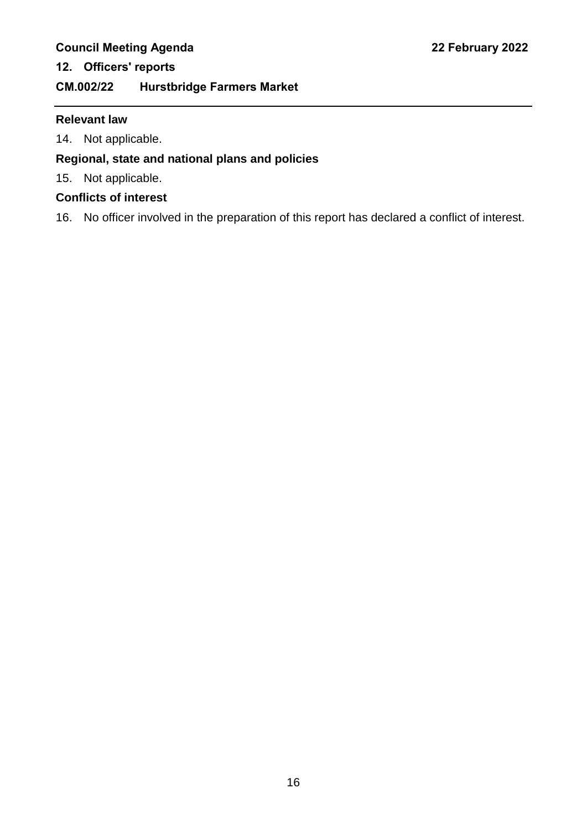#### **12. Officers' reports**

#### **CM.002/22 Hurstbridge Farmers Market**

#### **Relevant law**

14. Not applicable.

#### **Regional, state and national plans and policies**

15. Not applicable.

#### **Conflicts of interest**

16. No officer involved in the preparation of this report has declared a conflict of interest.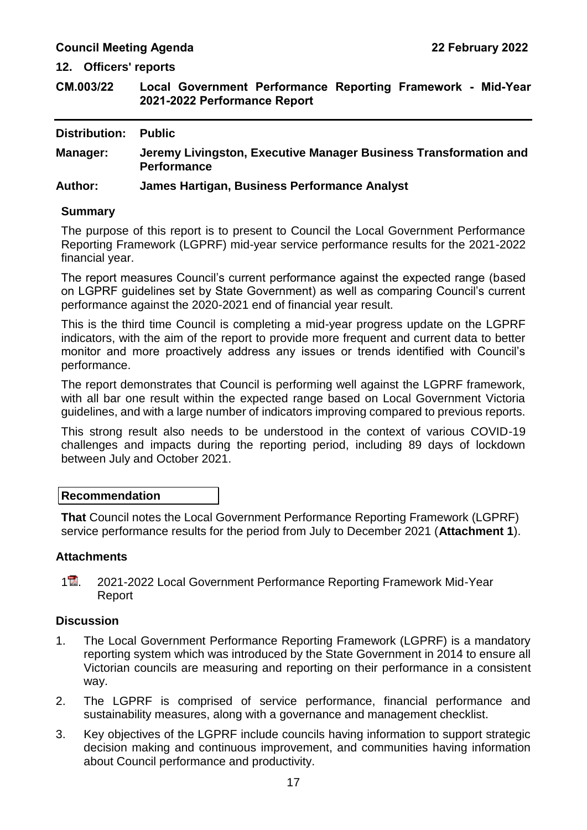**12. Officers' reports**

<span id="page-20-0"></span>

| CM.003/22 |                              | Local Government Performance Reporting Framework - Mid-Year |  |  |
|-----------|------------------------------|-------------------------------------------------------------|--|--|
|           | 2021-2022 Performance Report |                                                             |  |  |

| Distribution:  | <b>Public</b>                                                                          |
|----------------|----------------------------------------------------------------------------------------|
| Manager:       | Jeremy Livingston, Executive Manager Business Transformation and<br><b>Performance</b> |
| <b>Author:</b> | James Hartigan, Business Performance Analyst                                           |

#### **Summary**

The purpose of this report is to present to Council the Local Government Performance Reporting Framework (LGPRF) mid-year service performance results for the 2021-2022 financial year.

The report measures Council's current performance against the expected range (based on LGPRF guidelines set by State Government) as well as comparing Council's current performance against the 2020-2021 end of financial year result.

This is the third time Council is completing a mid-year progress update on the LGPRF indicators, with the aim of the report to provide more frequent and current data to better monitor and more proactively address any issues or trends identified with Council's performance.

The report demonstrates that Council is performing well against the LGPRF framework, with all bar one result within the expected range based on Local Government Victoria guidelines, and with a large number of indicators improving compared to previous reports.

This strong result also needs to be understood in the context of various COVID-19 challenges and impacts during the reporting period, including 89 days of lockdown between July and October 2021.

#### **Recommendation**

**That** Council notes the Local Government Performance Reporting Framework (LGPRF) service performance results for the period from July to December 2021 (**Attachment 1**).

#### **Attachments**

1 . 2021-2022 Local Government Performance Reporting Framework Mid-Year Report

#### **Discussion**

- 1. The Local Government Performance Reporting Framework (LGPRF) is a mandatory reporting system which was introduced by the State Government in 2014 to ensure all Victorian councils are measuring and reporting on their performance in a consistent way.
- 2. The LGPRF is comprised of service performance, financial performance and sustainability measures, along with a governance and management checklist.
- 3. Key objectives of the LGPRF include councils having information to support strategic decision making and continuous improvement, and communities having information about Council performance and productivity.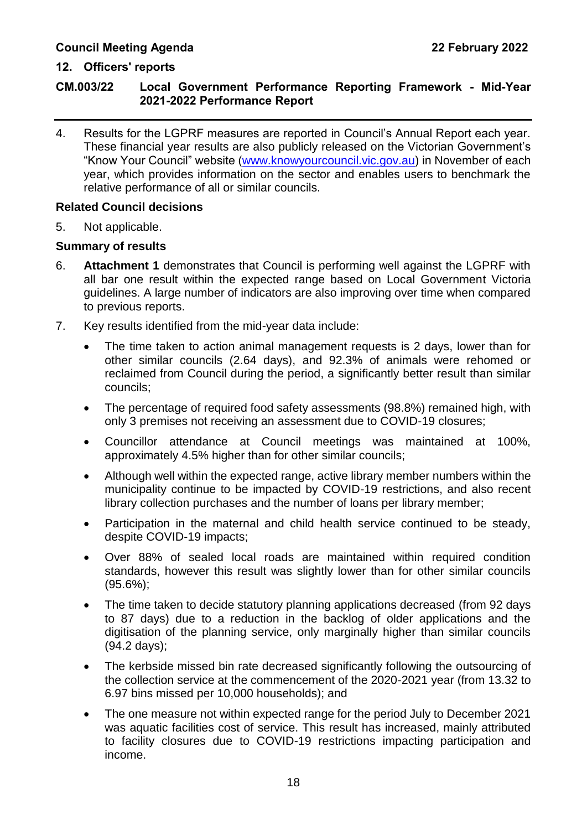#### **CM.003/22 Local Government Performance Reporting Framework - Mid-Year 2021-2022 Performance Report**

4. Results for the LGPRF measures are reported in Council's Annual Report each year. These financial year results are also publicly released on the Victorian Government's "Know Your Council" website [\(www.knowyourcouncil.vic.gov.au\)](http://www.knowyourcouncil.vic.gov.au/) in November of each year, which provides information on the sector and enables users to benchmark the relative performance of all or similar councils.

#### **Related Council decisions**

5. Not applicable.

#### **Summary of results**

- 6. **Attachment 1** demonstrates that Council is performing well against the LGPRF with all bar one result within the expected range based on Local Government Victoria guidelines. A large number of indicators are also improving over time when compared to previous reports.
- 7. Key results identified from the mid-year data include:
	- The time taken to action animal management requests is 2 days, lower than for other similar councils (2.64 days), and 92.3% of animals were rehomed or reclaimed from Council during the period, a significantly better result than similar councils;
	- The percentage of required food safety assessments (98.8%) remained high, with only 3 premises not receiving an assessment due to COVID-19 closures;
	- Councillor attendance at Council meetings was maintained at 100%, approximately 4.5% higher than for other similar councils;
	- Although well within the expected range, active library member numbers within the municipality continue to be impacted by COVID-19 restrictions, and also recent library collection purchases and the number of loans per library member;
	- Participation in the maternal and child health service continued to be steady, despite COVID-19 impacts;
	- Over 88% of sealed local roads are maintained within required condition standards, however this result was slightly lower than for other similar councils (95.6%);
	- The time taken to decide statutory planning applications decreased (from 92 days to 87 days) due to a reduction in the backlog of older applications and the digitisation of the planning service, only marginally higher than similar councils (94.2 days);
	- The kerbside missed bin rate decreased significantly following the outsourcing of the collection service at the commencement of the 2020-2021 year (from 13.32 to 6.97 bins missed per 10,000 households); and
	- The one measure not within expected range for the period July to December 2021 was aquatic facilities cost of service. This result has increased, mainly attributed to facility closures due to COVID-19 restrictions impacting participation and income.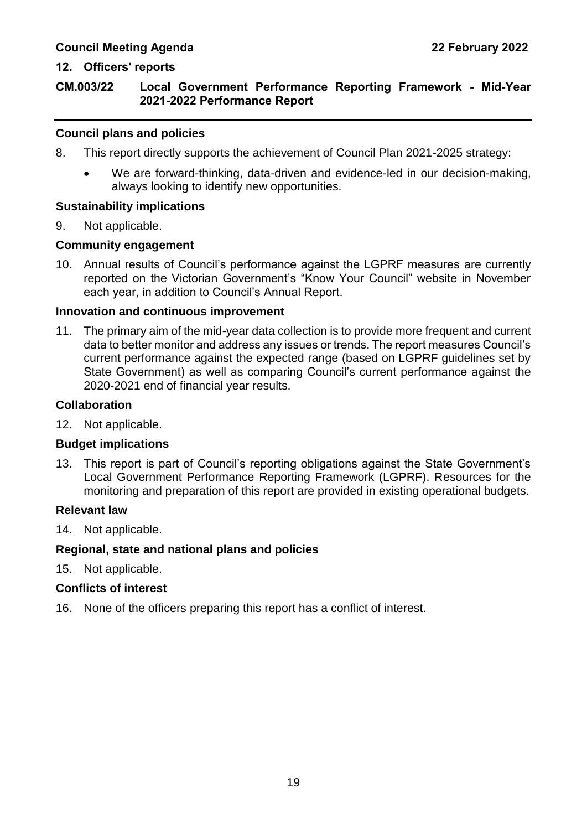#### **CM.003/22 Local Government Performance Reporting Framework - Mid-Year 2021-2022 Performance Report**

#### **Council plans and policies**

- 8. This report directly supports the achievement of Council Plan 2021-2025 strategy:
	- We are forward-thinking, data-driven and evidence-led in our decision-making, always looking to identify new opportunities.

#### **Sustainability implications**

9. Not applicable.

#### **Community engagement**

10. Annual results of Council's performance against the LGPRF measures are currently reported on the Victorian Government's "Know Your Council" website in November each year, in addition to Council's Annual Report.

#### **Innovation and continuous improvement**

11. The primary aim of the mid-year data collection is to provide more frequent and current data to better monitor and address any issues or trends. The report measures Council's current performance against the expected range (based on LGPRF guidelines set by State Government) as well as comparing Council's current performance against the 2020-2021 end of financial year results.

#### **Collaboration**

12. Not applicable.

#### **Budget implications**

13. This report is part of Council's reporting obligations against the State Government's Local Government Performance Reporting Framework (LGPRF). Resources for the monitoring and preparation of this report are provided in existing operational budgets.

#### **Relevant law**

14. Not applicable.

#### **Regional, state and national plans and policies**

15. Not applicable.

#### **Conflicts of interest**

16. None of the officers preparing this report has a conflict of interest.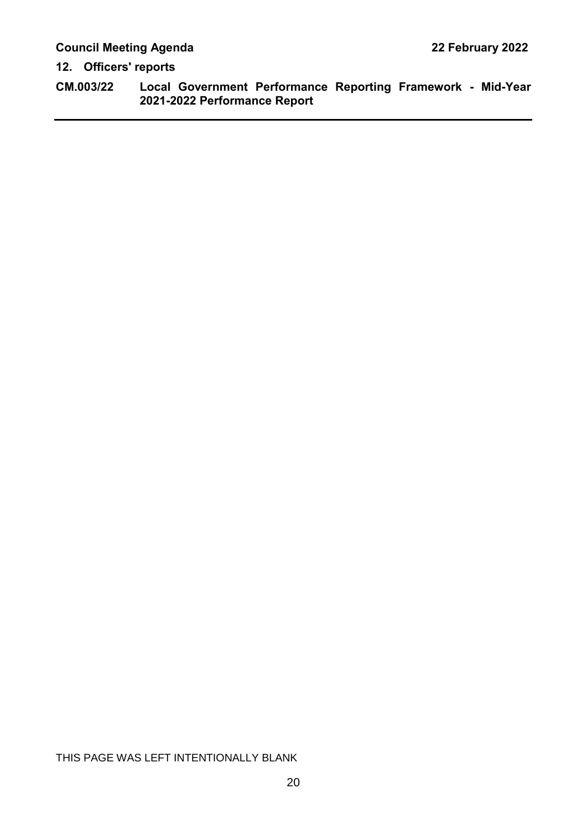**CM.003/22 Local Government Performance Reporting Framework - Mid-Year 2021-2022 Performance Report**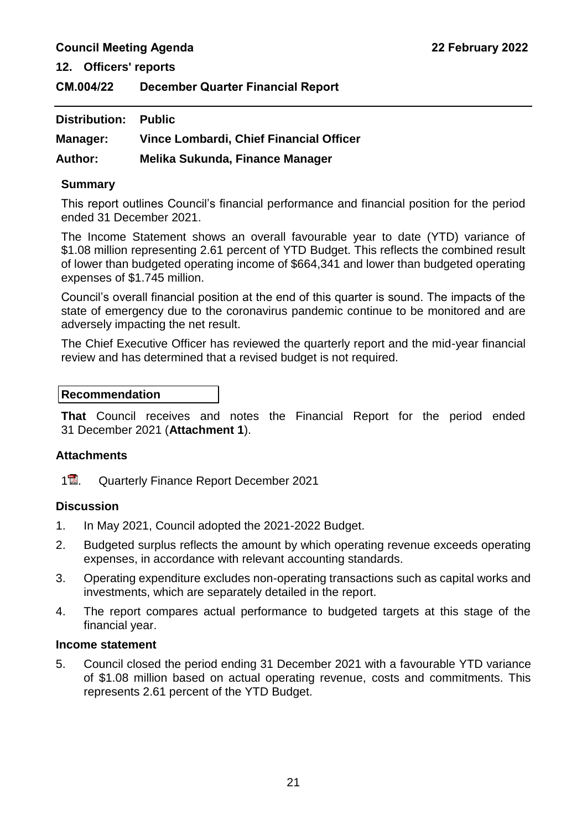**12. Officers' reports**

<span id="page-24-0"></span>**CM.004/22 December Quarter Financial Report**

| <b>Distribution:</b> | <b>Public</b>                           |
|----------------------|-----------------------------------------|
| Manager:             | Vince Lombardi, Chief Financial Officer |
| Author:              | Melika Sukunda, Finance Manager         |

#### **Summary**

This report outlines Council's financial performance and financial position for the period ended 31 December 2021.

The Income Statement shows an overall favourable year to date (YTD) variance of \$1.08 million representing 2.61 percent of YTD Budget. This reflects the combined result of lower than budgeted operating income of \$664,341 and lower than budgeted operating expenses of \$1.745 million.

Council's overall financial position at the end of this quarter is sound. The impacts of the state of emergency due to the coronavirus pandemic continue to be monitored and are adversely impacting the net result.

The Chief Executive Officer has reviewed the quarterly report and the mid-year financial review and has determined that a revised budget is not required.

#### **Recommendation**

**That** Council receives and notes the Financial Report for the period ended 31 December 2021 (**Attachment 1**).

#### **Attachments**

1 **图**. Quarterly Finance Report December 2021

#### **Discussion**

- 1. In May 2021, Council adopted the 2021-2022 Budget.
- 2. Budgeted surplus reflects the amount by which operating revenue exceeds operating expenses, in accordance with relevant accounting standards.
- 3. Operating expenditure excludes non-operating transactions such as capital works and investments, which are separately detailed in the report.
- 4. The report compares actual performance to budgeted targets at this stage of the financial year.

#### **Income statement**

5. Council closed the period ending 31 December 2021 with a favourable YTD variance of \$1.08 million based on actual operating revenue, costs and commitments. This represents 2.61 percent of the YTD Budget.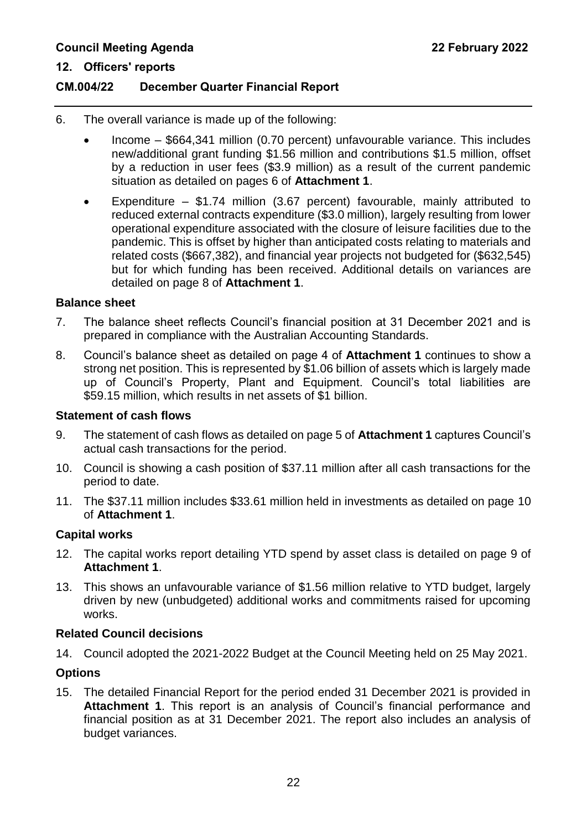#### **CM.004/22 December Quarter Financial Report**

- 6. The overall variance is made up of the following:
	- Income \$664,341 million (0.70 percent) unfavourable variance. This includes new/additional grant funding \$1.56 million and contributions \$1.5 million, offset by a reduction in user fees (\$3.9 million) as a result of the current pandemic situation as detailed on pages 6 of **Attachment 1**.
	- Expenditure \$1.74 million (3.67 percent) favourable, mainly attributed to reduced external contracts expenditure (\$3.0 million), largely resulting from lower operational expenditure associated with the closure of leisure facilities due to the pandemic. This is offset by higher than anticipated costs relating to materials and related costs (\$667,382), and financial year projects not budgeted for (\$632,545) but for which funding has been received. Additional details on variances are detailed on page 8 of **Attachment 1**.

#### **Balance sheet**

- 7. The balance sheet reflects Council's financial position at 31 December 2021 and is prepared in compliance with the Australian Accounting Standards.
- 8. Council's balance sheet as detailed on page 4 of **Attachment 1** continues to show a strong net position. This is represented by \$1.06 billion of assets which is largely made up of Council's Property, Plant and Equipment. Council's total liabilities are \$59.15 million, which results in net assets of \$1 billion.

#### **Statement of cash flows**

- 9. The statement of cash flows as detailed on page 5 of **Attachment 1** captures Council's actual cash transactions for the period.
- 10. Council is showing a cash position of \$37.11 million after all cash transactions for the period to date.
- 11. The \$37.11 million includes \$33.61 million held in investments as detailed on page 10 of **Attachment 1**.

#### **Capital works**

- 12. The capital works report detailing YTD spend by asset class is detailed on page 9 of **Attachment 1**.
- 13. This shows an unfavourable variance of \$1.56 million relative to YTD budget, largely driven by new (unbudgeted) additional works and commitments raised for upcoming works.

#### **Related Council decisions**

14. Council adopted the 2021-2022 Budget at the Council Meeting held on 25 May 2021.

#### **Options**

15. The detailed Financial Report for the period ended 31 December 2021 is provided in **Attachment 1**. This report is an analysis of Council's financial performance and financial position as at 31 December 2021. The report also includes an analysis of budget variances.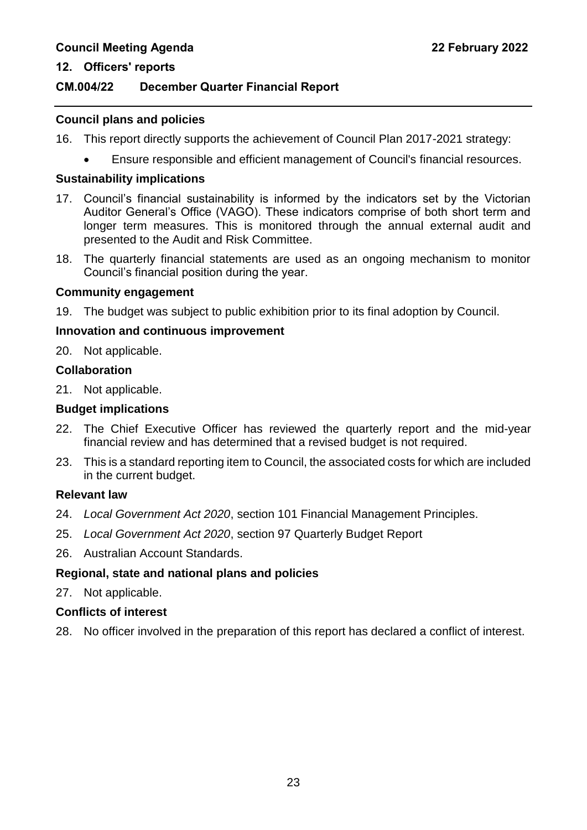#### **CM.004/22 December Quarter Financial Report**

#### **Council plans and policies**

- 16. This report directly supports the achievement of Council Plan 2017-2021 strategy:
	- Ensure responsible and efficient management of Council's financial resources.

#### **Sustainability implications**

- 17. Council's financial sustainability is informed by the indicators set by the Victorian Auditor General's Office (VAGO). These indicators comprise of both short term and longer term measures. This is monitored through the annual external audit and presented to the Audit and Risk Committee.
- 18. The quarterly financial statements are used as an ongoing mechanism to monitor Council's financial position during the year.

#### **Community engagement**

19. The budget was subject to public exhibition prior to its final adoption by Council.

#### **Innovation and continuous improvement**

20. Not applicable.

#### **Collaboration**

21. Not applicable.

#### **Budget implications**

- 22. The Chief Executive Officer has reviewed the quarterly report and the mid-year financial review and has determined that a revised budget is not required.
- 23. This is a standard reporting item to Council, the associated costs for which are included in the current budget.

#### **Relevant law**

- 24. *Local Government Act 2020*, section 101 Financial Management Principles.
- 25. *Local Government Act 2020*, section 97 Quarterly Budget Report
- 26. Australian Account Standards.

#### **Regional, state and national plans and policies**

27. Not applicable.

#### **Conflicts of interest**

28. No officer involved in the preparation of this report has declared a conflict of interest.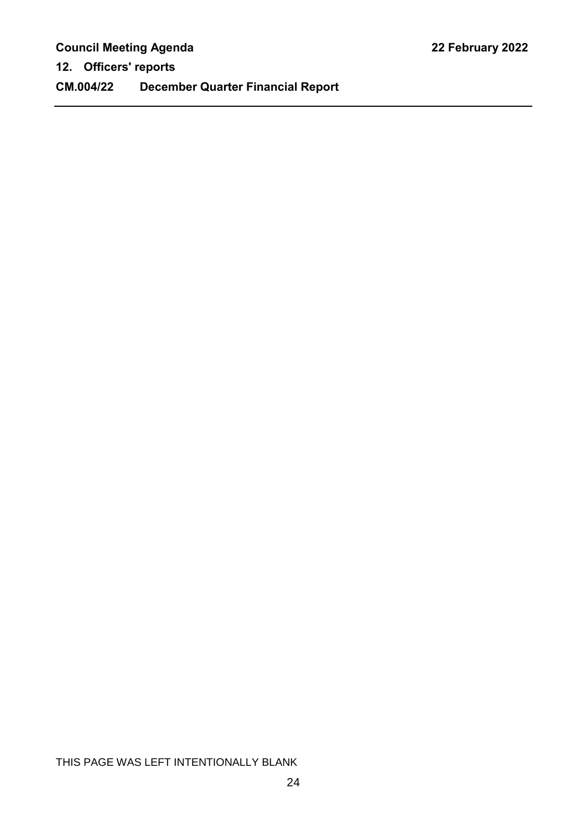**CM.004/22 December Quarter Financial Report**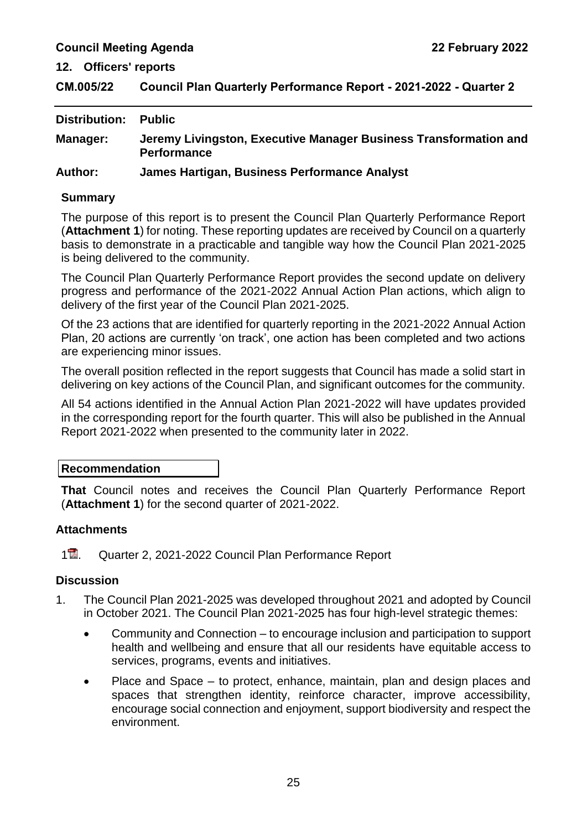**12. Officers' reports**

<span id="page-28-0"></span>

| CM.005/22 |  |  | Council Plan Quarterly Performance Report - 2021-2022 - Quarter 2 |
|-----------|--|--|-------------------------------------------------------------------|
|-----------|--|--|-------------------------------------------------------------------|

| <b>Distribution:</b> | <b>Public</b>                                                                          |
|----------------------|----------------------------------------------------------------------------------------|
| Manager:             | Jeremy Livingston, Executive Manager Business Transformation and<br><b>Performance</b> |
| <b>Author:</b>       | James Hartigan, Business Performance Analyst                                           |

#### **Summary**

The purpose of this report is to present the Council Plan Quarterly Performance Report (**Attachment 1**) for noting. These reporting updates are received by Council on a quarterly basis to demonstrate in a practicable and tangible way how the Council Plan 2021-2025 is being delivered to the community.

The Council Plan Quarterly Performance Report provides the second update on delivery progress and performance of the 2021-2022 Annual Action Plan actions, which align to delivery of the first year of the Council Plan 2021-2025.

Of the 23 actions that are identified for quarterly reporting in the 2021-2022 Annual Action Plan, 20 actions are currently 'on track', one action has been completed and two actions are experiencing minor issues.

The overall position reflected in the report suggests that Council has made a solid start in delivering on key actions of the Council Plan, and significant outcomes for the community.

All 54 actions identified in the Annual Action Plan 2021-2022 will have updates provided in the corresponding report for the fourth quarter. This will also be published in the Annual Report 2021-2022 when presented to the community later in 2022.

#### **Recommendation**

**That** Council notes and receives the Council Plan Quarterly Performance Report (**Attachment 1**) for the second quarter of 2021-2022.

#### **Attachments**

1<sup>1</sup>. Quarter 2, 2021-2022 Council Plan Performance Report

#### **Discussion**

- 1. The Council Plan 2021-2025 was developed throughout 2021 and adopted by Council in October 2021. The Council Plan 2021-2025 has four high-level strategic themes:
	- Community and Connection to encourage inclusion and participation to support health and wellbeing and ensure that all our residents have equitable access to services, programs, events and initiatives.
	- Place and Space to protect, enhance, maintain, plan and design places and spaces that strengthen identity, reinforce character, improve accessibility, encourage social connection and enjoyment, support biodiversity and respect the environment.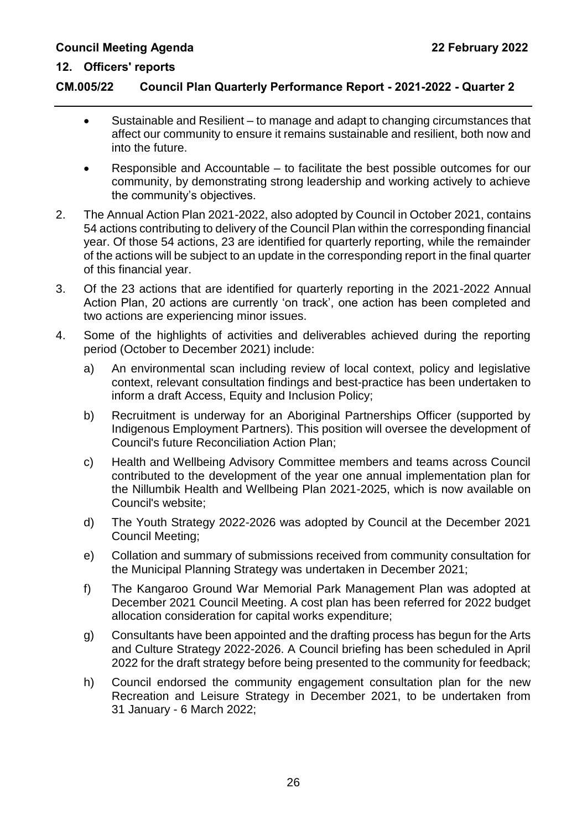#### **CM.005/22 Council Plan Quarterly Performance Report - 2021-2022 - Quarter 2**

- Sustainable and Resilient to manage and adapt to changing circumstances that affect our community to ensure it remains sustainable and resilient, both now and into the future.
- Responsible and Accountable to facilitate the best possible outcomes for our community, by demonstrating strong leadership and working actively to achieve the community's objectives.
- 2. The Annual Action Plan 2021-2022, also adopted by Council in October 2021, contains 54 actions contributing to delivery of the Council Plan within the corresponding financial year. Of those 54 actions, 23 are identified for quarterly reporting, while the remainder of the actions will be subject to an update in the corresponding report in the final quarter of this financial year.
- 3. Of the 23 actions that are identified for quarterly reporting in the 2021-2022 Annual Action Plan, 20 actions are currently 'on track', one action has been completed and two actions are experiencing minor issues.
- 4. Some of the highlights of activities and deliverables achieved during the reporting period (October to December 2021) include:
	- a) An environmental scan including review of local context, policy and legislative context, relevant consultation findings and best-practice has been undertaken to inform a draft Access, Equity and Inclusion Policy;
	- b) Recruitment is underway for an Aboriginal Partnerships Officer (supported by Indigenous Employment Partners). This position will oversee the development of Council's future Reconciliation Action Plan;
	- c) Health and Wellbeing Advisory Committee members and teams across Council contributed to the development of the year one annual implementation plan for the Nillumbik Health and Wellbeing Plan 2021-2025, which is now available on Council's website;
	- d) The Youth Strategy 2022-2026 was adopted by Council at the December 2021 Council Meeting;
	- e) Collation and summary of submissions received from community consultation for the Municipal Planning Strategy was undertaken in December 2021;
	- f) The Kangaroo Ground War Memorial Park Management Plan was adopted at December 2021 Council Meeting. A cost plan has been referred for 2022 budget allocation consideration for capital works expenditure;
	- g) Consultants have been appointed and the drafting process has begun for the Arts and Culture Strategy 2022-2026. A Council briefing has been scheduled in April 2022 for the draft strategy before being presented to the community for feedback;
	- h) Council endorsed the community engagement consultation plan for the new Recreation and Leisure Strategy in December 2021, to be undertaken from 31 January - 6 March 2022;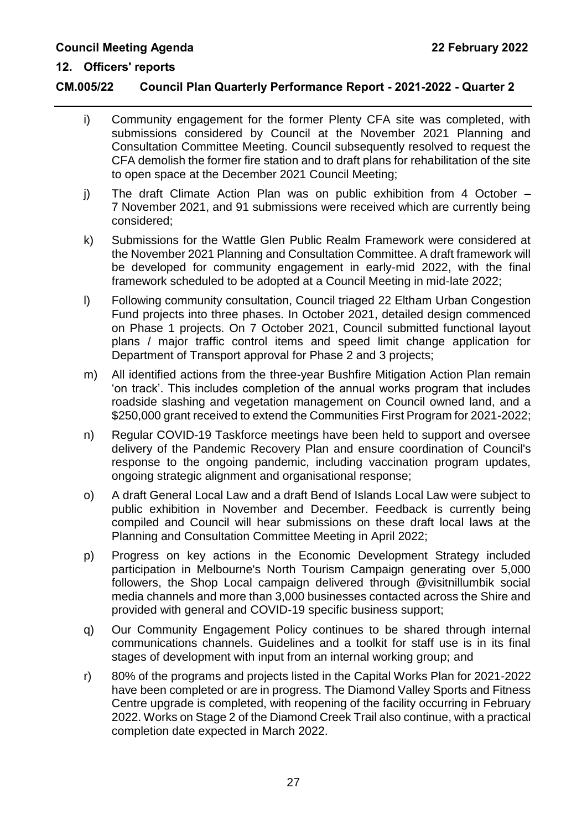#### **CM.005/22 Council Plan Quarterly Performance Report - 2021-2022 - Quarter 2**

- i) Community engagement for the former Plenty CFA site was completed, with submissions considered by Council at the November 2021 Planning and Consultation Committee Meeting. Council subsequently resolved to request the CFA demolish the former fire station and to draft plans for rehabilitation of the site to open space at the December 2021 Council Meeting;
- j) The draft Climate Action Plan was on public exhibition from 4 October 7 November 2021, and 91 submissions were received which are currently being considered;
- k) Submissions for the Wattle Glen Public Realm Framework were considered at the November 2021 Planning and Consultation Committee. A draft framework will be developed for community engagement in early-mid 2022, with the final framework scheduled to be adopted at a Council Meeting in mid-late 2022;
- l) Following community consultation, Council triaged 22 Eltham Urban Congestion Fund projects into three phases. In October 2021, detailed design commenced on Phase 1 projects. On 7 October 2021, Council submitted functional layout plans / major traffic control items and speed limit change application for Department of Transport approval for Phase 2 and 3 projects;
- m) All identified actions from the three-year Bushfire Mitigation Action Plan remain 'on track'. This includes completion of the annual works program that includes roadside slashing and vegetation management on Council owned land, and a \$250,000 grant received to extend the Communities First Program for 2021-2022;
- n) Regular COVID-19 Taskforce meetings have been held to support and oversee delivery of the Pandemic Recovery Plan and ensure coordination of Council's response to the ongoing pandemic, including vaccination program updates, ongoing strategic alignment and organisational response;
- o) A draft General Local Law and a draft Bend of Islands Local Law were subject to public exhibition in November and December. Feedback is currently being compiled and Council will hear submissions on these draft local laws at the Planning and Consultation Committee Meeting in April 2022;
- p) Progress on key actions in the Economic Development Strategy included participation in Melbourne's North Tourism Campaign generating over 5,000 followers, the Shop Local campaign delivered through @visitnillumbik social media channels and more than 3,000 businesses contacted across the Shire and provided with general and COVID-19 specific business support;
- q) Our Community Engagement Policy continues to be shared through internal communications channels. Guidelines and a toolkit for staff use is in its final stages of development with input from an internal working group; and
- r) 80% of the programs and projects listed in the Capital Works Plan for 2021-2022 have been completed or are in progress. The Diamond Valley Sports and Fitness Centre upgrade is completed, with reopening of the facility occurring in February 2022. Works on Stage 2 of the Diamond Creek Trail also continue, with a practical completion date expected in March 2022.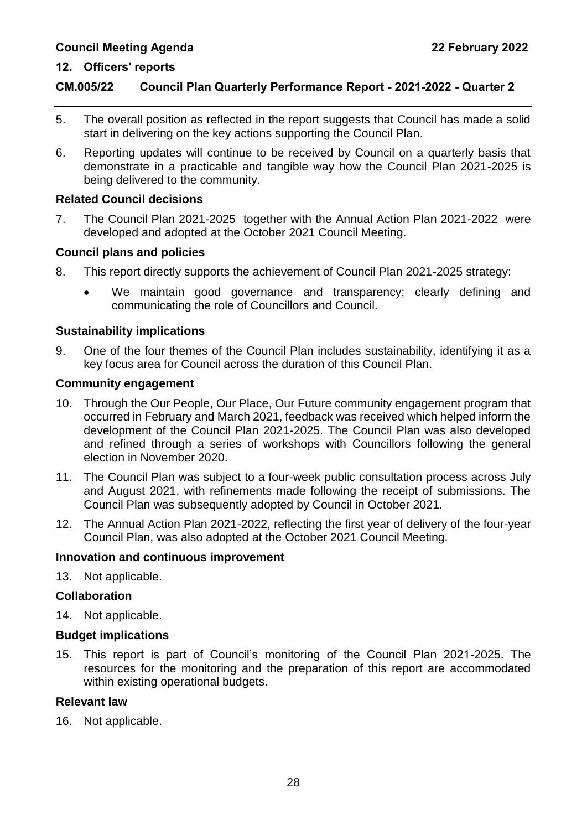#### **CM.005/22 Council Plan Quarterly Performance Report - 2021-2022 - Quarter 2**

- 5. The overall position as reflected in the report suggests that Council has made a solid start in delivering on the key actions supporting the Council Plan.
- 6. Reporting updates will continue to be received by Council on a quarterly basis that demonstrate in a practicable and tangible way how the Council Plan 2021-2025 is being delivered to the community.

#### **Related Council decisions**

7. The Council Plan 2021-2025 together with the Annual Action Plan 2021-2022 were developed and adopted at the October 2021 Council Meeting.

#### **Council plans and policies**

- 8. This report directly supports the achievement of Council Plan 2021-2025 strategy:
	- We maintain good governance and transparency; clearly defining and communicating the role of Councillors and Council.

#### **Sustainability implications**

9. One of the four themes of the Council Plan includes sustainability, identifying it as a key focus area for Council across the duration of this Council Plan.

#### **Community engagement**

- 10. Through the Our People, Our Place, Our Future community engagement program that occurred in February and March 2021, feedback was received which helped inform the development of the Council Plan 2021-2025. The Council Plan was also developed and refined through a series of workshops with Councillors following the general election in November 2020.
- 11. The Council Plan was subject to a four-week public consultation process across July and August 2021, with refinements made following the receipt of submissions. The Council Plan was subsequently adopted by Council in October 2021.
- 12. The Annual Action Plan 2021-2022, reflecting the first year of delivery of the four-year Council Plan, was also adopted at the October 2021 Council Meeting.

#### **Innovation and continuous improvement**

13. Not applicable.

#### **Collaboration**

14. Not applicable.

#### **Budget implications**

15. This report is part of Council's monitoring of the Council Plan 2021-2025. The resources for the monitoring and the preparation of this report are accommodated within existing operational budgets.

#### **Relevant law**

16. Not applicable.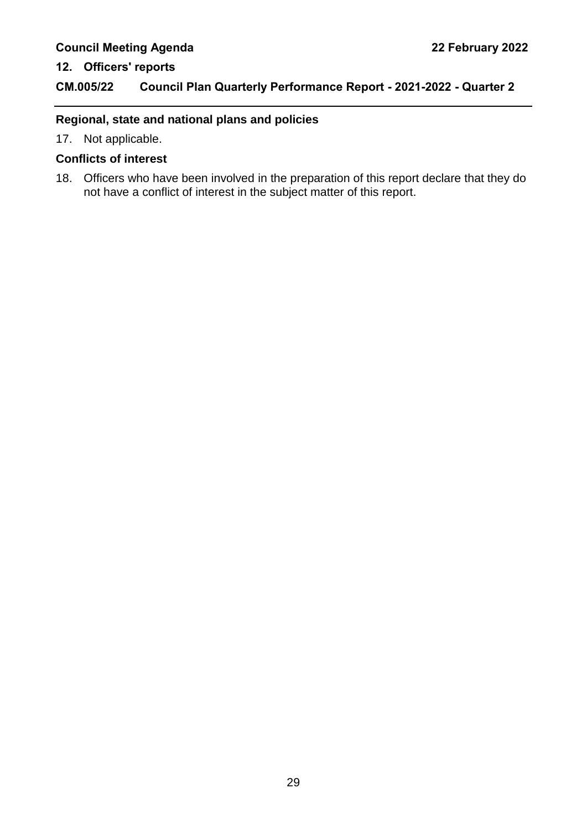#### **CM.005/22 Council Plan Quarterly Performance Report - 2021-2022 - Quarter 2**

#### **Regional, state and national plans and policies**

17. Not applicable.

#### **Conflicts of interest**

18. Officers who have been involved in the preparation of this report declare that they do not have a conflict of interest in the subject matter of this report.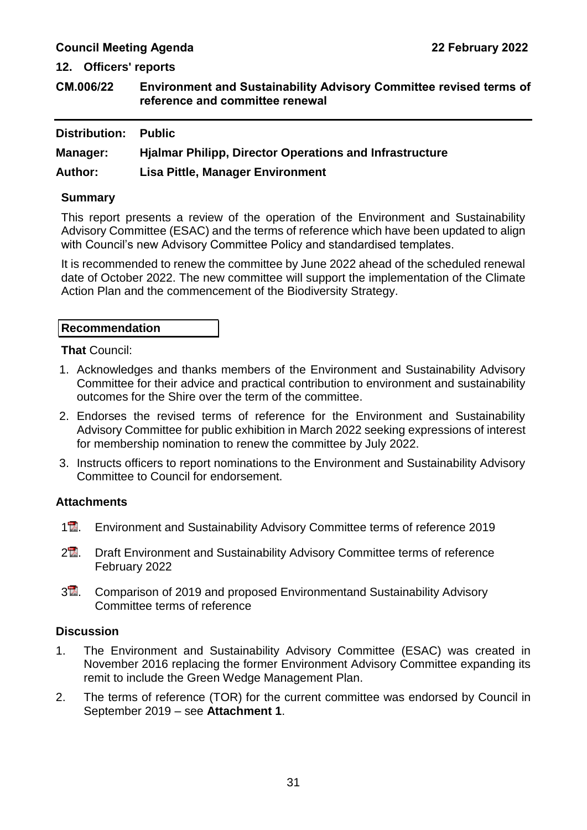**12. Officers' reports**

<span id="page-34-0"></span>**CM.006/22 Environment and Sustainability Advisory Committee revised terms of reference and committee renewal**

| Distribution:  | <b>Public</b>                                                  |
|----------------|----------------------------------------------------------------|
| Manager:       | <b>Hjalmar Philipp, Director Operations and Infrastructure</b> |
| <b>Author:</b> | <b>Lisa Pittle, Manager Environment</b>                        |

#### **Summary**

This report presents a review of the operation of the Environment and Sustainability Advisory Committee (ESAC) and the terms of reference which have been updated to align with Council's new Advisory Committee Policy and standardised templates.

It is recommended to renew the committee by June 2022 ahead of the scheduled renewal date of October 2022. The new committee will support the implementation of the Climate Action Plan and the commencement of the Biodiversity Strategy.

#### **Recommendation**

**That** Council:

- 1. Acknowledges and thanks members of the Environment and Sustainability Advisory Committee for their advice and practical contribution to environment and sustainability outcomes for the Shire over the term of the committee.
- 2. Endorses the revised terms of reference for the Environment and Sustainability Advisory Committee for public exhibition in March 2022 seeking expressions of interest for membership nomination to renew the committee by July 2022.
- 3. Instructs officers to report nominations to the Environment and Sustainability Advisory Committee to Council for endorsement.

#### **Attachments**

- 1<sup>個</sup>. Environment and Sustainability Advisory Committee terms of reference 2019
- 2<sup>1</sup> . Draft Environment and Sustainability Advisory Committee terms of reference February 2022
- 3<sup>1</sup>. Comparison of 2019 and proposed Environmentand Sustainability Advisory Committee terms of reference

#### **Discussion**

- 1. The Environment and Sustainability Advisory Committee (ESAC) was created in November 2016 replacing the former Environment Advisory Committee expanding its remit to include the Green Wedge Management Plan.
- 2. The terms of reference (TOR) for the current committee was endorsed by Council in September 2019 – see **Attachment 1**.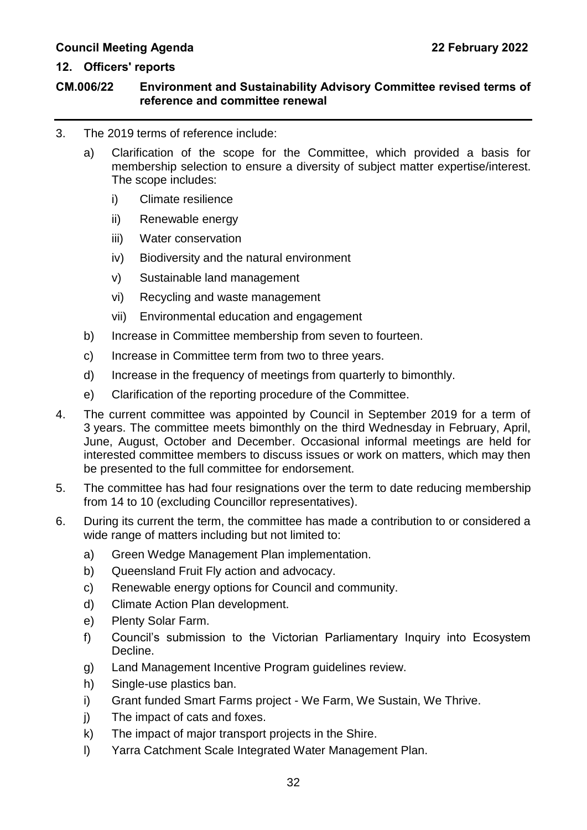#### **12. Officers' reports**

#### **CM.006/22 Environment and Sustainability Advisory Committee revised terms of reference and committee renewal**

- 3. The 2019 terms of reference include:
	- a) Clarification of the scope for the Committee, which provided a basis for membership selection to ensure a diversity of subject matter expertise/interest. The scope includes:
		- i) Climate resilience
		- ii) Renewable energy
		- iii) Water conservation
		- iv) Biodiversity and the natural environment
		- v) Sustainable land management
		- vi) Recycling and waste management
		- vii) Environmental education and engagement
	- b) Increase in Committee membership from seven to fourteen.
	- c) Increase in Committee term from two to three years.
	- d) Increase in the frequency of meetings from quarterly to bimonthly.
	- e) Clarification of the reporting procedure of the Committee.
- 4. The current committee was appointed by Council in September 2019 for a term of 3 years. The committee meets bimonthly on the third Wednesday in February, April, June, August, October and December. Occasional informal meetings are held for interested committee members to discuss issues or work on matters, which may then be presented to the full committee for endorsement.
- 5. The committee has had four resignations over the term to date reducing membership from 14 to 10 (excluding Councillor representatives).
- 6. During its current the term, the committee has made a contribution to or considered a wide range of matters including but not limited to:
	- a) Green Wedge Management Plan implementation.
	- b) Queensland Fruit Fly action and advocacy.
	- c) Renewable energy options for Council and community.
	- d) Climate Action Plan development.
	- e) Plenty Solar Farm.
	- f) Council's submission to the Victorian Parliamentary Inquiry into Ecosystem Decline.
	- g) Land Management Incentive Program guidelines review.
	- h) Single-use plastics ban.
	- i) Grant funded Smart Farms project We Farm, We Sustain, We Thrive.
	- j) The impact of cats and foxes.
	- k) The impact of major transport projects in the Shire.
	- l) Yarra Catchment Scale Integrated Water Management Plan.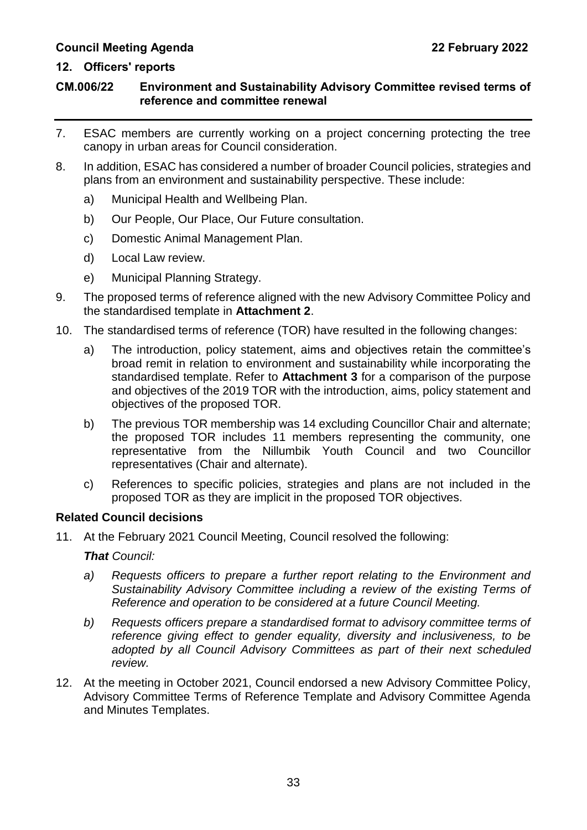## **12. Officers' reports**

## **CM.006/22 Environment and Sustainability Advisory Committee revised terms of reference and committee renewal**

- 7. ESAC members are currently working on a project concerning protecting the tree canopy in urban areas for Council consideration.
- 8. In addition, ESAC has considered a number of broader Council policies, strategies and plans from an environment and sustainability perspective. These include:
	- a) Municipal Health and Wellbeing Plan.
	- b) Our People, Our Place, Our Future consultation.
	- c) Domestic Animal Management Plan.
	- d) Local Law review.
	- e) Municipal Planning Strategy.
- 9. The proposed terms of reference aligned with the new Advisory Committee Policy and the standardised template in **Attachment 2**.
- 10. The standardised terms of reference (TOR) have resulted in the following changes:
	- a) The introduction, policy statement, aims and objectives retain the committee's broad remit in relation to environment and sustainability while incorporating the standardised template. Refer to **Attachment 3** for a comparison of the purpose and objectives of the 2019 TOR with the introduction, aims, policy statement and objectives of the proposed TOR.
	- b) The previous TOR membership was 14 excluding Councillor Chair and alternate; the proposed TOR includes 11 members representing the community, one representative from the Nillumbik Youth Council and two Councillor representatives (Chair and alternate).
	- c) References to specific policies, strategies and plans are not included in the proposed TOR as they are implicit in the proposed TOR objectives.

## **Related Council decisions**

11. At the February 2021 Council Meeting, Council resolved the following:

*That Council:*

- *a) Requests officers to prepare a further report relating to the Environment and Sustainability Advisory Committee including a review of the existing Terms of Reference and operation to be considered at a future Council Meeting.*
- *b) Requests officers prepare a standardised format to advisory committee terms of reference giving effect to gender equality, diversity and inclusiveness, to be adopted by all Council Advisory Committees as part of their next scheduled review.*
- 12. At the meeting in October 2021, Council endorsed a new Advisory Committee Policy, Advisory Committee Terms of Reference Template and Advisory Committee Agenda and Minutes Templates.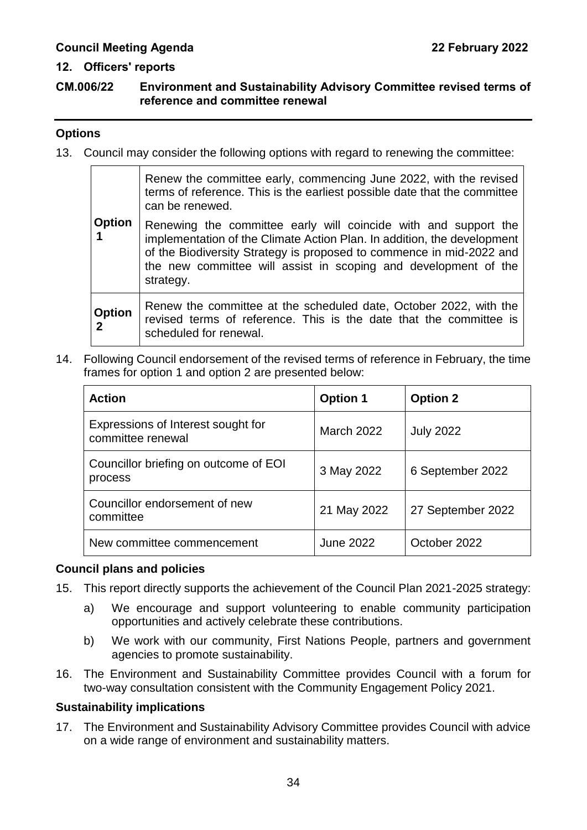### **12. Officers' reports**

## **CM.006/22 Environment and Sustainability Advisory Committee revised terms of reference and committee renewal**

## **Options**

13. Council may consider the following options with regard to renewing the committee:

| <b>Option</b>                     | Renew the committee early, commencing June 2022, with the revised<br>terms of reference. This is the earliest possible date that the committee<br>can be renewed.                                                                                                                                  |
|-----------------------------------|----------------------------------------------------------------------------------------------------------------------------------------------------------------------------------------------------------------------------------------------------------------------------------------------------|
|                                   | Renewing the committee early will coincide with and support the<br>implementation of the Climate Action Plan. In addition, the development<br>of the Biodiversity Strategy is proposed to commence in mid-2022 and<br>the new committee will assist in scoping and development of the<br>strategy. |
| <b>Option</b><br>$\boldsymbol{p}$ | Renew the committee at the scheduled date, October 2022, with the<br>revised terms of reference. This is the date that the committee is<br>scheduled for renewal.                                                                                                                                  |

14. Following Council endorsement of the revised terms of reference in February, the time frames for option 1 and option 2 are presented below:

| <b>Action</b>                                           | <b>Option 1</b>   | <b>Option 2</b>   |
|---------------------------------------------------------|-------------------|-------------------|
| Expressions of Interest sought for<br>committee renewal | <b>March 2022</b> | <b>July 2022</b>  |
| Councillor briefing on outcome of EOI<br>process        | 3 May 2022        | 6 September 2022  |
| Councillor endorsement of new<br>committee              | 21 May 2022       | 27 September 2022 |
| New committee commencement                              | <b>June 2022</b>  | October 2022      |

## **Council plans and policies**

- 15. This report directly supports the achievement of the Council Plan 2021-2025 strategy:
	- a) We encourage and support volunteering to enable community participation opportunities and actively celebrate these contributions.
	- b) We work with our community, First Nations People, partners and government agencies to promote sustainability.
- 16. The Environment and Sustainability Committee provides Council with a forum for two-way consultation consistent with the Community Engagement Policy 2021.

#### **Sustainability implications**

17. The Environment and Sustainability Advisory Committee provides Council with advice on a wide range of environment and sustainability matters.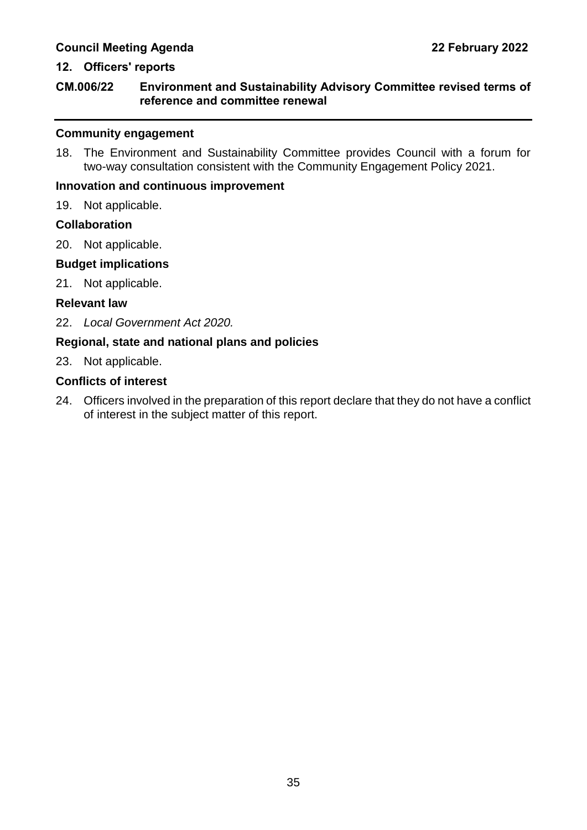### **12. Officers' reports**

## **CM.006/22 Environment and Sustainability Advisory Committee revised terms of reference and committee renewal**

#### **Community engagement**

18. The Environment and Sustainability Committee provides Council with a forum for two-way consultation consistent with the Community Engagement Policy 2021.

### **Innovation and continuous improvement**

19. Not applicable.

### **Collaboration**

20. Not applicable.

### **Budget implications**

21. Not applicable.

### **Relevant law**

22. *Local Government Act 2020.*

# **Regional, state and national plans and policies**

23. Not applicable.

## **Conflicts of interest**

24. Officers involved in the preparation of this report declare that they do not have a conflict of interest in the subject matter of this report.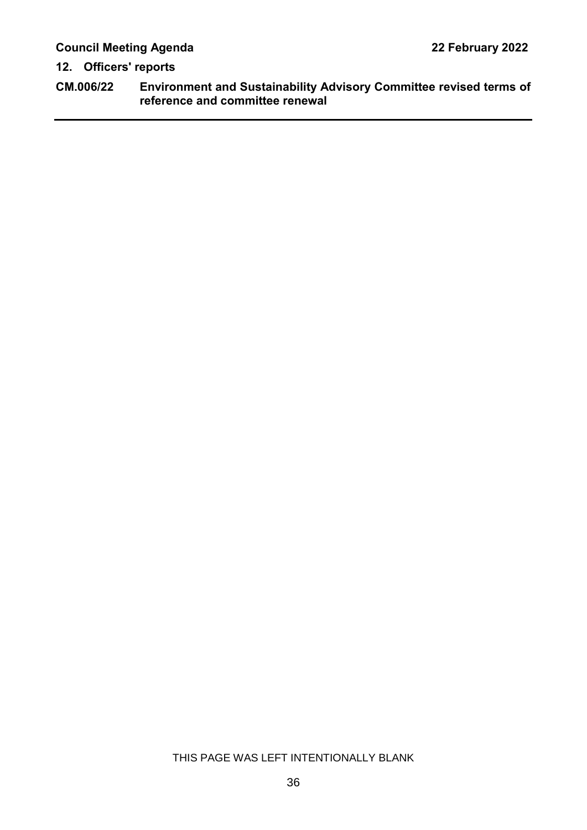**12. Officers' reports**

**CM.006/22 Environment and Sustainability Advisory Committee revised terms of reference and committee renewal**

# THIS PAGE WAS LEFT INTENTIONALLY BLANK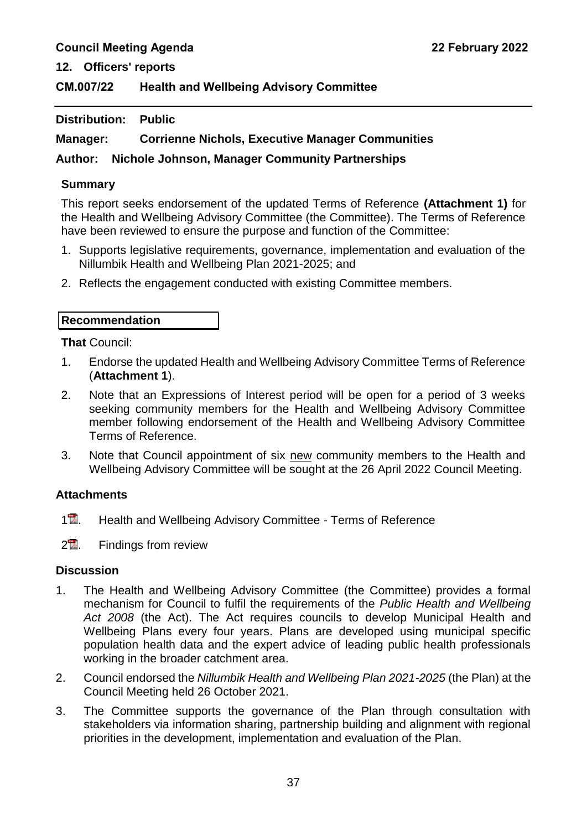**12. Officers' reports**

**CM.007/22 Health and Wellbeing Advisory Committee** 

### **Distribution: Public**

**Manager: Corrienne Nichols, Executive Manager Communities** 

# **Author: Nichole Johnson, Manager Community Partnerships**

## **Summary**

This report seeks endorsement of the updated Terms of Reference **(Attachment 1)** for the Health and Wellbeing Advisory Committee (the Committee). The Terms of Reference have been reviewed to ensure the purpose and function of the Committee:

- 1. Supports legislative requirements, governance, implementation and evaluation of the Nillumbik Health and Wellbeing Plan 2021-2025; and
- 2. Reflects the engagement conducted with existing Committee members.

# **Recommendation**

**That** Council:

- 1. Endorse the updated Health and Wellbeing Advisory Committee Terms of Reference (**Attachment 1**).
- 2. Note that an Expressions of Interest period will be open for a period of 3 weeks seeking community members for the Health and Wellbeing Advisory Committee member following endorsement of the Health and Wellbeing Advisory Committee Terms of Reference.
- 3. Note that Council appointment of six new community members to the Health and Wellbeing Advisory Committee will be sought at the 26 April 2022 Council Meeting.

## **Attachments**

- 1 **1** . Health and Wellbeing Advisory Committee Terms of Reference
- $2\overline{2}$  Findings from review

### **Discussion**

- 1. The Health and Wellbeing Advisory Committee (the Committee) provides a formal mechanism for Council to fulfil the requirements of the *Public Health and Wellbeing Act 2008* (the Act). The Act requires councils to develop Municipal Health and Wellbeing Plans every four years. Plans are developed using municipal specific population health data and the expert advice of leading public health professionals working in the broader catchment area.
- 2. Council endorsed the *Nillumbik Health and Wellbeing Plan 2021-2025* (the Plan) at the Council Meeting held 26 October 2021.
- 3. The Committee supports the governance of the Plan through consultation with stakeholders via information sharing, partnership building and alignment with regional priorities in the development, implementation and evaluation of the Plan.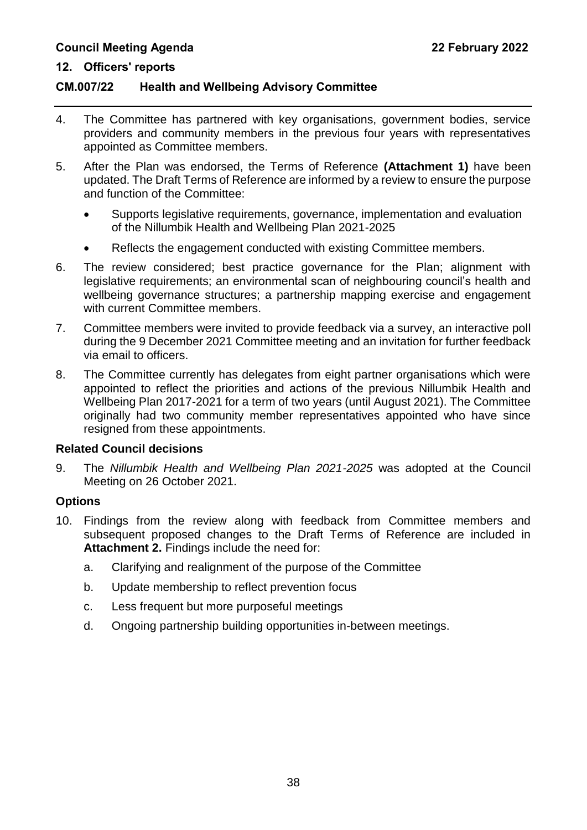### **12. Officers' reports**

### **CM.007/22 Health and Wellbeing Advisory Committee**

- 4. The Committee has partnered with key organisations, government bodies, service providers and community members in the previous four years with representatives appointed as Committee members.
- 5. After the Plan was endorsed, the Terms of Reference **(Attachment 1)** have been updated. The Draft Terms of Reference are informed by a review to ensure the purpose and function of the Committee:
	- Supports legislative requirements, governance, implementation and evaluation of the Nillumbik Health and Wellbeing Plan 2021-2025
	- Reflects the engagement conducted with existing Committee members.
- 6. The review considered; best practice governance for the Plan; alignment with legislative requirements; an environmental scan of neighbouring council's health and wellbeing governance structures; a partnership mapping exercise and engagement with current Committee members.
- 7. Committee members were invited to provide feedback via a survey, an interactive poll during the 9 December 2021 Committee meeting and an invitation for further feedback via email to officers.
- 8. The Committee currently has delegates from eight partner organisations which were appointed to reflect the priorities and actions of the previous Nillumbik Health and Wellbeing Plan 2017-2021 for a term of two years (until August 2021). The Committee originally had two community member representatives appointed who have since resigned from these appointments.

#### **Related Council decisions**

9. The *Nillumbik Health and Wellbeing Plan 2021-2025* was adopted at the Council Meeting on 26 October 2021.

## **Options**

- 10. Findings from the review along with feedback from Committee members and subsequent proposed changes to the Draft Terms of Reference are included in **Attachment 2.** Findings include the need for:
	- a. Clarifying and realignment of the purpose of the Committee
	- b. Update membership to reflect prevention focus
	- c. Less frequent but more purposeful meetings
	- d. Ongoing partnership building opportunities in-between meetings.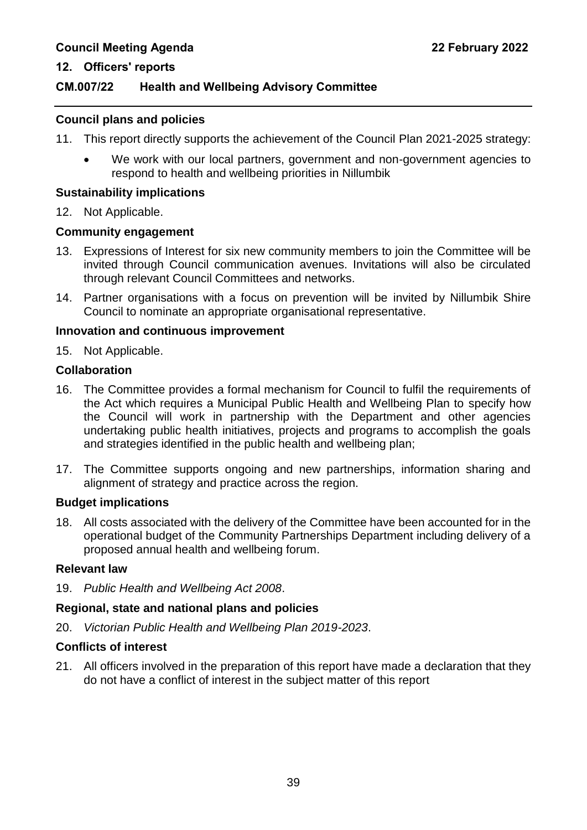### **12. Officers' reports**

### **CM.007/22 Health and Wellbeing Advisory Committee**

## **Council plans and policies**

- 11. This report directly supports the achievement of the Council Plan 2021-2025 strategy:
	- We work with our local partners, government and non-government agencies to respond to health and wellbeing priorities in Nillumbik

#### **Sustainability implications**

12. Not Applicable.

### **Community engagement**

- 13. Expressions of Interest for six new community members to join the Committee will be invited through Council communication avenues. Invitations will also be circulated through relevant Council Committees and networks.
- 14. Partner organisations with a focus on prevention will be invited by Nillumbik Shire Council to nominate an appropriate organisational representative.

### **Innovation and continuous improvement**

15. Not Applicable.

### **Collaboration**

- 16. The Committee provides a formal mechanism for Council to fulfil the requirements of the Act which requires a Municipal Public Health and Wellbeing Plan to specify how the Council will work in partnership with the Department and other agencies undertaking public health initiatives, projects and programs to accomplish the goals and strategies identified in the public health and wellbeing plan;
- 17. The Committee supports ongoing and new partnerships, information sharing and alignment of strategy and practice across the region.

#### **Budget implications**

18. All costs associated with the delivery of the Committee have been accounted for in the operational budget of the Community Partnerships Department including delivery of a proposed annual health and wellbeing forum.

#### **Relevant law**

19. *Public Health and Wellbeing Act 2008*.

## **Regional, state and national plans and policies**

20. *Victorian Public Health and Wellbeing Plan 2019-2023*.

# **Conflicts of interest**

21. All officers involved in the preparation of this report have made a declaration that they do not have a conflict of interest in the subject matter of this report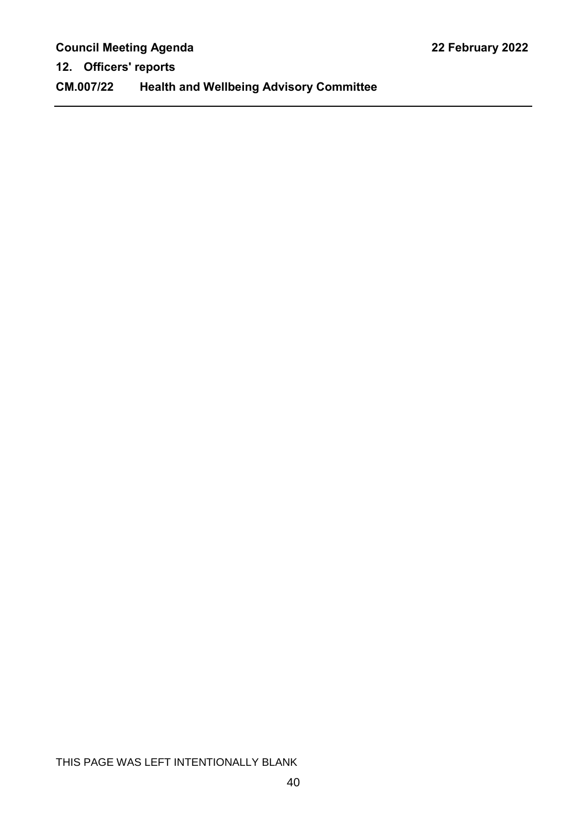**12. Officers' reports**

**CM.007/22 Health and Wellbeing Advisory Committee**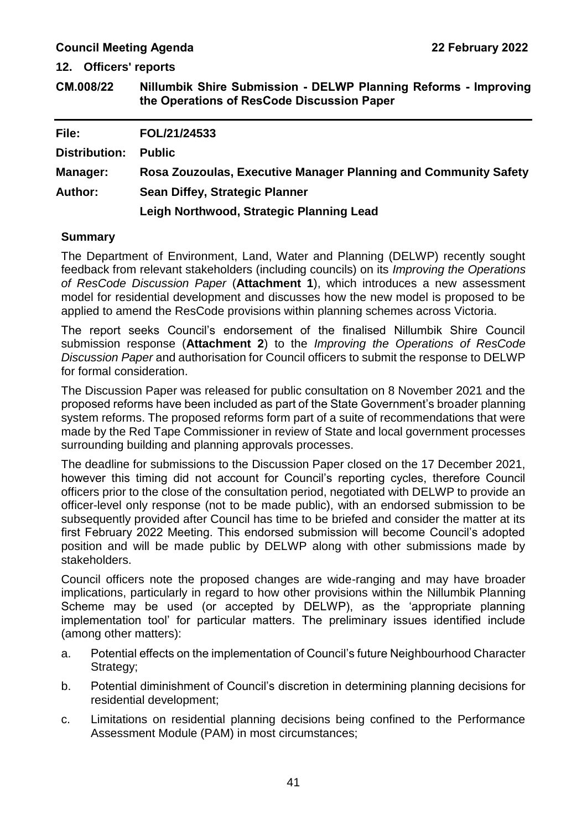**12. Officers' reports**

**CM.008/22 Nillumbik Shire Submission - DELWP Planning Reforms - Improving the Operations of ResCode Discussion Paper**

| File:          | FOL/21/24533                                                    |
|----------------|-----------------------------------------------------------------|
| Distribution:  | <b>Public</b>                                                   |
| Manager:       | Rosa Zouzoulas, Executive Manager Planning and Community Safety |
| <b>Author:</b> | <b>Sean Diffey, Strategic Planner</b>                           |
|                | Leigh Northwood, Strategic Planning Lead                        |

### **Summary**

The Department of Environment, Land, Water and Planning (DELWP) recently sought feedback from relevant stakeholders (including councils) on its *Improving the Operations of ResCode Discussion Paper* (**Attachment 1**), which introduces a new assessment model for residential development and discusses how the new model is proposed to be applied to amend the ResCode provisions within planning schemes across Victoria.

The report seeks Council's endorsement of the finalised Nillumbik Shire Council submission response (**Attachment 2**) to the *Improving the Operations of ResCode Discussion Paper* and authorisation for Council officers to submit the response to DELWP for formal consideration.

The Discussion Paper was released for public consultation on 8 November 2021 and the proposed reforms have been included as part of the State Government's broader planning system reforms. The proposed reforms form part of a suite of recommendations that were made by the Red Tape Commissioner in review of State and local government processes surrounding building and planning approvals processes.

The deadline for submissions to the Discussion Paper closed on the 17 December 2021, however this timing did not account for Council's reporting cycles, therefore Council officers prior to the close of the consultation period, negotiated with DELWP to provide an officer-level only response (not to be made public), with an endorsed submission to be subsequently provided after Council has time to be briefed and consider the matter at its first February 2022 Meeting. This endorsed submission will become Council's adopted position and will be made public by DELWP along with other submissions made by stakeholders.

Council officers note the proposed changes are wide-ranging and may have broader implications, particularly in regard to how other provisions within the Nillumbik Planning Scheme may be used (or accepted by DELWP), as the 'appropriate planning implementation tool' for particular matters. The preliminary issues identified include (among other matters):

- a. Potential effects on the implementation of Council's future Neighbourhood Character Strategy;
- b. Potential diminishment of Council's discretion in determining planning decisions for residential development;
- c. Limitations on residential planning decisions being confined to the Performance Assessment Module (PAM) in most circumstances;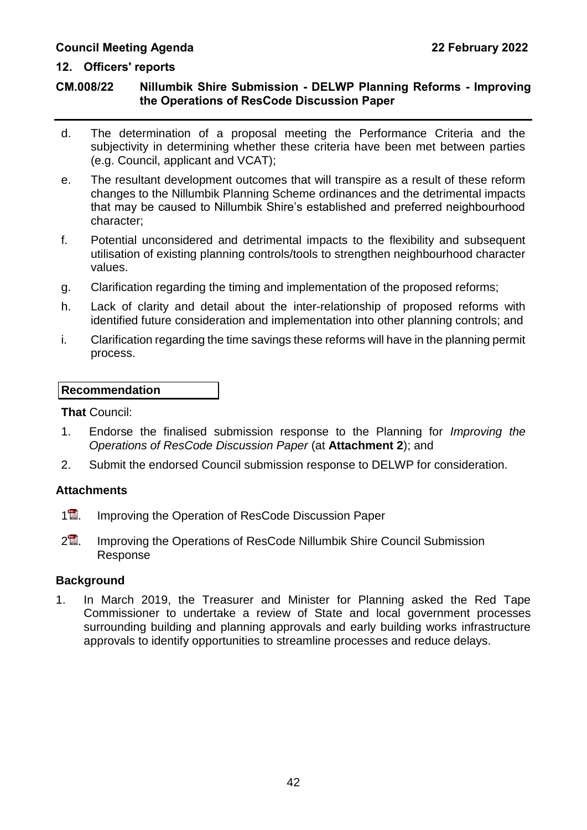## **12. Officers' reports**

## **CM.008/22 Nillumbik Shire Submission - DELWP Planning Reforms - Improving the Operations of ResCode Discussion Paper**

- d. The determination of a proposal meeting the Performance Criteria and the subjectivity in determining whether these criteria have been met between parties (e.g. Council, applicant and VCAT);
- e. The resultant development outcomes that will transpire as a result of these reform changes to the Nillumbik Planning Scheme ordinances and the detrimental impacts that may be caused to Nillumbik Shire's established and preferred neighbourhood character;
- f. Potential unconsidered and detrimental impacts to the flexibility and subsequent utilisation of existing planning controls/tools to strengthen neighbourhood character values.
- g. Clarification regarding the timing and implementation of the proposed reforms;
- h. Lack of clarity and detail about the inter-relationship of proposed reforms with identified future consideration and implementation into other planning controls; and
- i. Clarification regarding the time savings these reforms will have in the planning permit process.

#### **Recommendation**

**That** Council:

- 1. Endorse the finalised submission response to the Planning for *Improving the Operations of ResCode Discussion Paper* (at **Attachment 2**); and
- 2. Submit the endorsed Council submission response to DELWP for consideration.

## **Attachments**

- 1 **D**. Improving the Operation of ResCode Discussion Paper
- 2<sup>1</sup> . Improving the Operations of ResCode Nillumbik Shire Council Submission Response

## **Background**

1. In March 2019, the Treasurer and Minister for Planning asked the Red Tape Commissioner to undertake a review of State and local government processes surrounding building and planning approvals and early building works infrastructure approvals to identify opportunities to streamline processes and reduce delays.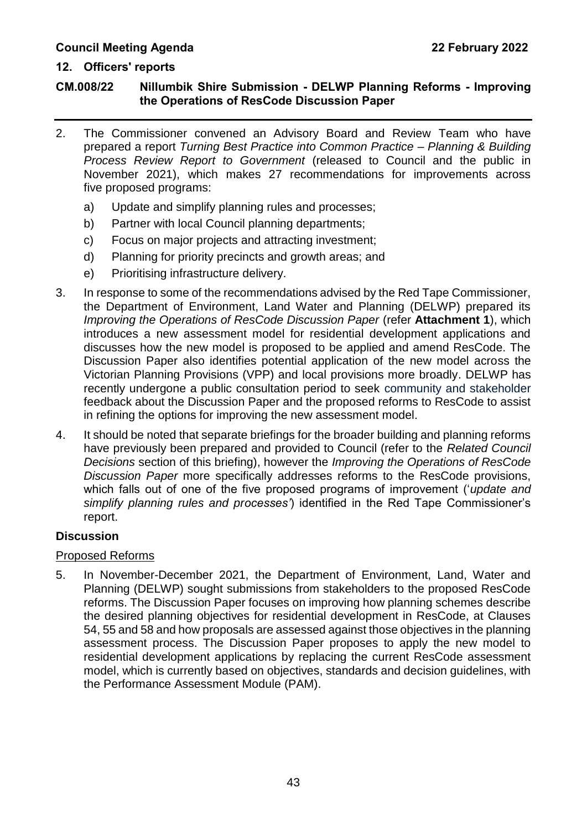## **12. Officers' reports**

## **CM.008/22 Nillumbik Shire Submission - DELWP Planning Reforms - Improving the Operations of ResCode Discussion Paper**

- 2. The Commissioner convened an Advisory Board and Review Team who have prepared a report *Turning Best Practice into Common Practice – Planning & Building Process Review Report to Government* (released to Council and the public in November 2021), which makes 27 recommendations for improvements across five proposed programs:
	- a) Update and simplify planning rules and processes;
	- b) Partner with local Council planning departments;
	- c) Focus on major projects and attracting investment;
	- d) Planning for priority precincts and growth areas; and
	- e) Prioritising infrastructure delivery.
- 3. In response to some of the recommendations advised by the Red Tape Commissioner, the Department of Environment, Land Water and Planning (DELWP) prepared its *Improving the Operations of ResCode Discussion Paper* (refer **Attachment 1**), which introduces a new assessment model for residential development applications and discusses how the new model is proposed to be applied and amend ResCode. The Discussion Paper also identifies potential application of the new model across the Victorian Planning Provisions (VPP) and local provisions more broadly. DELWP has recently undergone a public consultation period to seek community and stakeholder feedback about the Discussion Paper and the proposed reforms to ResCode to assist in refining the options for improving the new assessment model.
- 4. It should be noted that separate briefings for the broader building and planning reforms have previously been prepared and provided to Council (refer to the *Related Council Decisions* section of this briefing), however the *Improving the Operations of ResCode Discussion Paper* more specifically addresses reforms to the ResCode provisions, which falls out of one of the five proposed programs of improvement ('*update and simplify planning rules and processes'*) identified in the Red Tape Commissioner's report.

## **Discussion**

## Proposed Reforms

5. In November-December 2021, the Department of Environment, Land, Water and Planning (DELWP) sought submissions from stakeholders to the proposed ResCode reforms. The Discussion Paper focuses on improving how planning schemes describe the desired planning objectives for residential development in ResCode, at Clauses 54, 55 and 58 and how proposals are assessed against those objectives in the planning assessment process. The Discussion Paper proposes to apply the new model to residential development applications by replacing the current ResCode assessment model, which is currently based on objectives, standards and decision guidelines, with the Performance Assessment Module (PAM).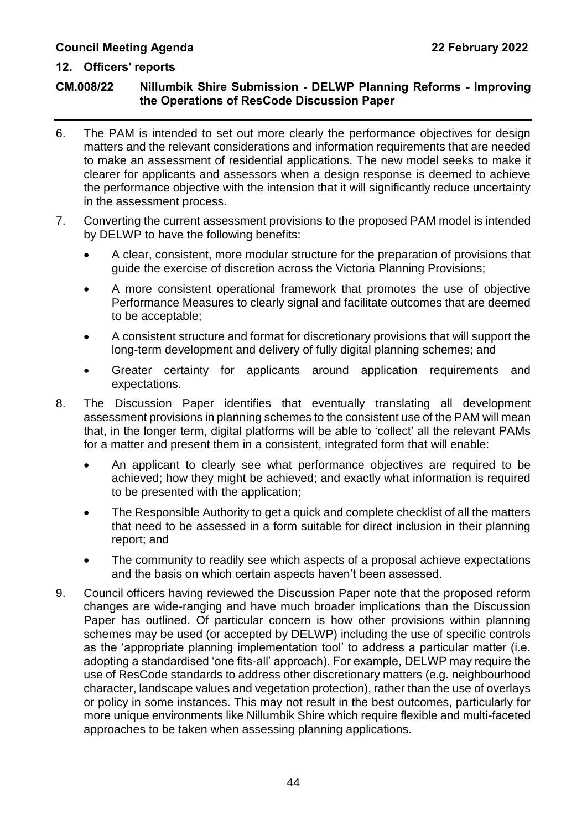## **12. Officers' reports**

## **CM.008/22 Nillumbik Shire Submission - DELWP Planning Reforms - Improving the Operations of ResCode Discussion Paper**

- 6. The PAM is intended to set out more clearly the performance objectives for design matters and the relevant considerations and information requirements that are needed to make an assessment of residential applications. The new model seeks to make it clearer for applicants and assessors when a design response is deemed to achieve the performance objective with the intension that it will significantly reduce uncertainty in the assessment process.
- 7. Converting the current assessment provisions to the proposed PAM model is intended by DELWP to have the following benefits:
	- A clear, consistent, more modular structure for the preparation of provisions that guide the exercise of discretion across the Victoria Planning Provisions;
	- A more consistent operational framework that promotes the use of objective Performance Measures to clearly signal and facilitate outcomes that are deemed to be acceptable;
	- A consistent structure and format for discretionary provisions that will support the long-term development and delivery of fully digital planning schemes; and
	- Greater certainty for applicants around application requirements and expectations.
- 8. The Discussion Paper identifies that eventually translating all development assessment provisions in planning schemes to the consistent use of the PAM will mean that, in the longer term, digital platforms will be able to 'collect' all the relevant PAMs for a matter and present them in a consistent, integrated form that will enable:
	- An applicant to clearly see what performance objectives are required to be achieved; how they might be achieved; and exactly what information is required to be presented with the application;
	- The Responsible Authority to get a quick and complete checklist of all the matters that need to be assessed in a form suitable for direct inclusion in their planning report; and
	- The community to readily see which aspects of a proposal achieve expectations and the basis on which certain aspects haven't been assessed.
- 9. Council officers having reviewed the Discussion Paper note that the proposed reform changes are wide-ranging and have much broader implications than the Discussion Paper has outlined. Of particular concern is how other provisions within planning schemes may be used (or accepted by DELWP) including the use of specific controls as the 'appropriate planning implementation tool' to address a particular matter (i.e. adopting a standardised 'one fits-all' approach). For example, DELWP may require the use of ResCode standards to address other discretionary matters (e.g. neighbourhood character, landscape values and vegetation protection), rather than the use of overlays or policy in some instances. This may not result in the best outcomes, particularly for more unique environments like Nillumbik Shire which require flexible and multi-faceted approaches to be taken when assessing planning applications.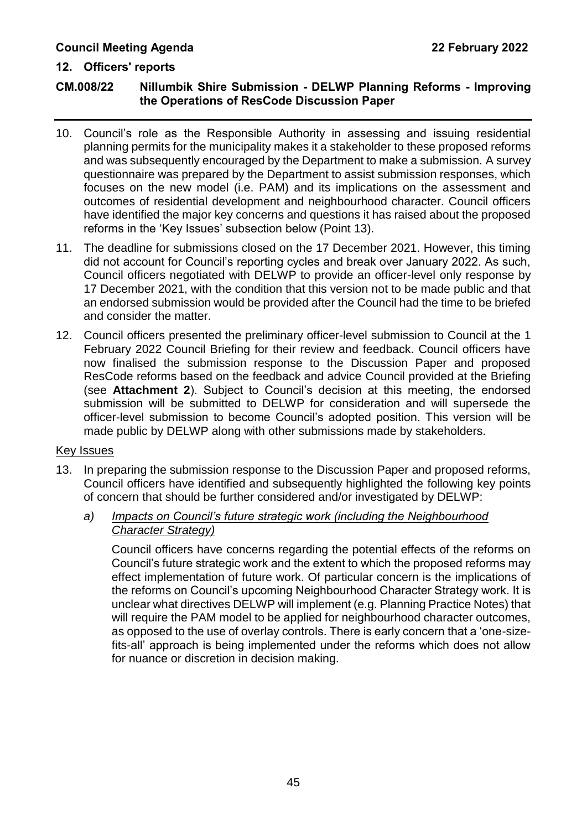## **12. Officers' reports**

## **CM.008/22 Nillumbik Shire Submission - DELWP Planning Reforms - Improving the Operations of ResCode Discussion Paper**

- 10. Council's role as the Responsible Authority in assessing and issuing residential planning permits for the municipality makes it a stakeholder to these proposed reforms and was subsequently encouraged by the Department to make a submission. A survey questionnaire was prepared by the Department to assist submission responses, which focuses on the new model (i.e. PAM) and its implications on the assessment and outcomes of residential development and neighbourhood character. Council officers have identified the major key concerns and questions it has raised about the proposed reforms in the 'Key Issues' subsection below (Point 13).
- 11. The deadline for submissions closed on the 17 December 2021. However, this timing did not account for Council's reporting cycles and break over January 2022. As such, Council officers negotiated with DELWP to provide an officer-level only response by 17 December 2021, with the condition that this version not to be made public and that an endorsed submission would be provided after the Council had the time to be briefed and consider the matter.
- 12. Council officers presented the preliminary officer-level submission to Council at the 1 February 2022 Council Briefing for their review and feedback. Council officers have now finalised the submission response to the Discussion Paper and proposed ResCode reforms based on the feedback and advice Council provided at the Briefing (see **Attachment 2**). Subject to Council's decision at this meeting, the endorsed submission will be submitted to DELWP for consideration and will supersede the officer-level submission to become Council's adopted position. This version will be made public by DELWP along with other submissions made by stakeholders.

## Key Issues

- 13. In preparing the submission response to the Discussion Paper and proposed reforms, Council officers have identified and subsequently highlighted the following key points of concern that should be further considered and/or investigated by DELWP:
	- *a) Impacts on Council's future strategic work (including the Neighbourhood Character Strategy)*

Council officers have concerns regarding the potential effects of the reforms on Council's future strategic work and the extent to which the proposed reforms may effect implementation of future work. Of particular concern is the implications of the reforms on Council's upcoming Neighbourhood Character Strategy work. It is unclear what directives DELWP will implement (e.g. Planning Practice Notes) that will require the PAM model to be applied for neighbourhood character outcomes, as opposed to the use of overlay controls. There is early concern that a 'one-sizefits-all' approach is being implemented under the reforms which does not allow for nuance or discretion in decision making.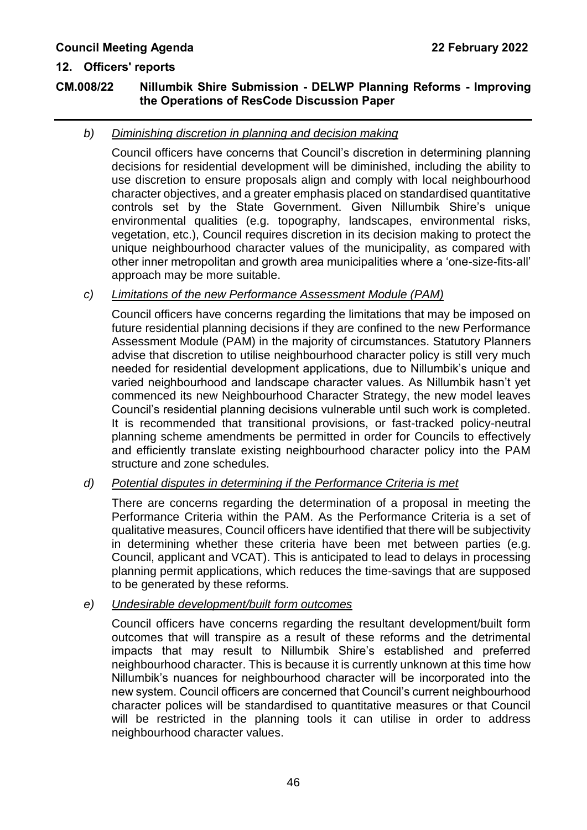## **12. Officers' reports**

# **CM.008/22 Nillumbik Shire Submission - DELWP Planning Reforms - Improving the Operations of ResCode Discussion Paper**

## *b) Diminishing discretion in planning and decision making*

Council officers have concerns that Council's discretion in determining planning decisions for residential development will be diminished, including the ability to use discretion to ensure proposals align and comply with local neighbourhood character objectives, and a greater emphasis placed on standardised quantitative controls set by the State Government. Given Nillumbik Shire's unique environmental qualities (e.g. topography, landscapes, environmental risks, vegetation, etc.), Council requires discretion in its decision making to protect the unique neighbourhood character values of the municipality, as compared with other inner metropolitan and growth area municipalities where a 'one-size-fits-all' approach may be more suitable.

## *c) Limitations of the new Performance Assessment Module (PAM)*

Council officers have concerns regarding the limitations that may be imposed on future residential planning decisions if they are confined to the new Performance Assessment Module (PAM) in the majority of circumstances. Statutory Planners advise that discretion to utilise neighbourhood character policy is still very much needed for residential development applications, due to Nillumbik's unique and varied neighbourhood and landscape character values. As Nillumbik hasn't yet commenced its new Neighbourhood Character Strategy, the new model leaves Council's residential planning decisions vulnerable until such work is completed. It is recommended that transitional provisions, or fast-tracked policy-neutral planning scheme amendments be permitted in order for Councils to effectively and efficiently translate existing neighbourhood character policy into the PAM structure and zone schedules.

## *d) Potential disputes in determining if the Performance Criteria is met*

There are concerns regarding the determination of a proposal in meeting the Performance Criteria within the PAM. As the Performance Criteria is a set of qualitative measures, Council officers have identified that there will be subjectivity in determining whether these criteria have been met between parties (e.g. Council, applicant and VCAT). This is anticipated to lead to delays in processing planning permit applications, which reduces the time-savings that are supposed to be generated by these reforms.

## *e) Undesirable development/built form outcomes*

Council officers have concerns regarding the resultant development/built form outcomes that will transpire as a result of these reforms and the detrimental impacts that may result to Nillumbik Shire's established and preferred neighbourhood character. This is because it is currently unknown at this time how Nillumbik's nuances for neighbourhood character will be incorporated into the new system. Council officers are concerned that Council's current neighbourhood character polices will be standardised to quantitative measures or that Council will be restricted in the planning tools it can utilise in order to address neighbourhood character values.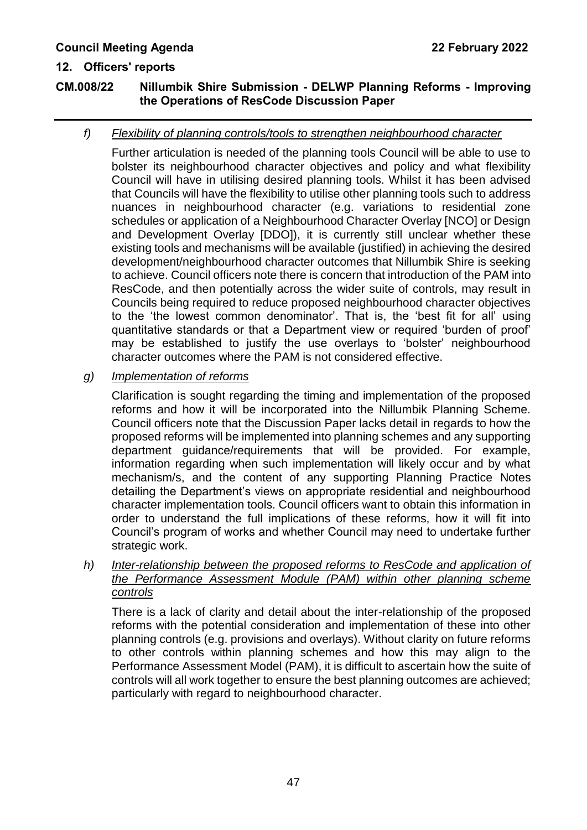## **12. Officers' reports**

## **CM.008/22 Nillumbik Shire Submission - DELWP Planning Reforms - Improving the Operations of ResCode Discussion Paper**

*f) Flexibility of planning controls/tools to strengthen neighbourhood character*

Further articulation is needed of the planning tools Council will be able to use to bolster its neighbourhood character objectives and policy and what flexibility Council will have in utilising desired planning tools. Whilst it has been advised that Councils will have the flexibility to utilise other planning tools such to address nuances in neighbourhood character (e.g. variations to residential zone schedules or application of a Neighbourhood Character Overlay [NCO] or Design and Development Overlay [DDO]), it is currently still unclear whether these existing tools and mechanisms will be available (justified) in achieving the desired development/neighbourhood character outcomes that Nillumbik Shire is seeking to achieve. Council officers note there is concern that introduction of the PAM into ResCode, and then potentially across the wider suite of controls, may result in Councils being required to reduce proposed neighbourhood character objectives to the 'the lowest common denominator'. That is, the 'best fit for all' using quantitative standards or that a Department view or required 'burden of proof' may be established to justify the use overlays to 'bolster' neighbourhood character outcomes where the PAM is not considered effective.

## *g) Implementation of reforms*

Clarification is sought regarding the timing and implementation of the proposed reforms and how it will be incorporated into the Nillumbik Planning Scheme. Council officers note that the Discussion Paper lacks detail in regards to how the proposed reforms will be implemented into planning schemes and any supporting department guidance/requirements that will be provided. For example, information regarding when such implementation will likely occur and by what mechanism/s, and the content of any supporting Planning Practice Notes detailing the Department's views on appropriate residential and neighbourhood character implementation tools. Council officers want to obtain this information in order to understand the full implications of these reforms, how it will fit into Council's program of works and whether Council may need to undertake further strategic work.

*h) Inter-relationship between the proposed reforms to ResCode and application of the Performance Assessment Module (PAM) within other planning scheme controls*

There is a lack of clarity and detail about the inter-relationship of the proposed reforms with the potential consideration and implementation of these into other planning controls (e.g. provisions and overlays). Without clarity on future reforms to other controls within planning schemes and how this may align to the Performance Assessment Model (PAM), it is difficult to ascertain how the suite of controls will all work together to ensure the best planning outcomes are achieved; particularly with regard to neighbourhood character.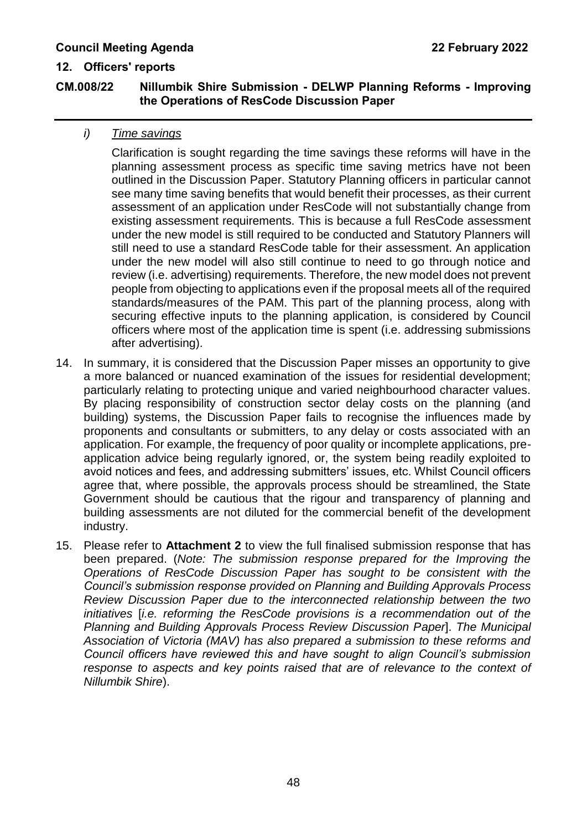## **12. Officers' reports**

# **CM.008/22 Nillumbik Shire Submission - DELWP Planning Reforms - Improving the Operations of ResCode Discussion Paper**

*i) Time savings*

Clarification is sought regarding the time savings these reforms will have in the planning assessment process as specific time saving metrics have not been outlined in the Discussion Paper. Statutory Planning officers in particular cannot see many time saving benefits that would benefit their processes, as their current assessment of an application under ResCode will not substantially change from existing assessment requirements. This is because a full ResCode assessment under the new model is still required to be conducted and Statutory Planners will still need to use a standard ResCode table for their assessment. An application under the new model will also still continue to need to go through notice and review (i.e. advertising) requirements. Therefore, the new model does not prevent people from objecting to applications even if the proposal meets all of the required standards/measures of the PAM. This part of the planning process, along with securing effective inputs to the planning application, is considered by Council officers where most of the application time is spent (i.e. addressing submissions after advertising).

- 14. In summary, it is considered that the Discussion Paper misses an opportunity to give a more balanced or nuanced examination of the issues for residential development; particularly relating to protecting unique and varied neighbourhood character values. By placing responsibility of construction sector delay costs on the planning (and building) systems, the Discussion Paper fails to recognise the influences made by proponents and consultants or submitters, to any delay or costs associated with an application. For example, the frequency of poor quality or incomplete applications, preapplication advice being regularly ignored, or, the system being readily exploited to avoid notices and fees, and addressing submitters' issues, etc. Whilst Council officers agree that, where possible, the approvals process should be streamlined, the State Government should be cautious that the rigour and transparency of planning and building assessments are not diluted for the commercial benefit of the development industry.
- 15. Please refer to **Attachment 2** to view the full finalised submission response that has been prepared. (*Note: The submission response prepared for the Improving the Operations of ResCode Discussion Paper has sought to be consistent with the Council's submission response provided on Planning and Building Approvals Process Review Discussion Paper due to the interconnected relationship between the two initiatives* [*i.e. reforming the ResCode provisions is a recommendation out of the Planning and Building Approvals Process Review Discussion Paper*]. *The Municipal Association of Victoria (MAV) has also prepared a submission to these reforms and Council officers have reviewed this and have sought to align Council's submission*  response to aspects and key points raised that are of relevance to the context of *Nillumbik Shire*).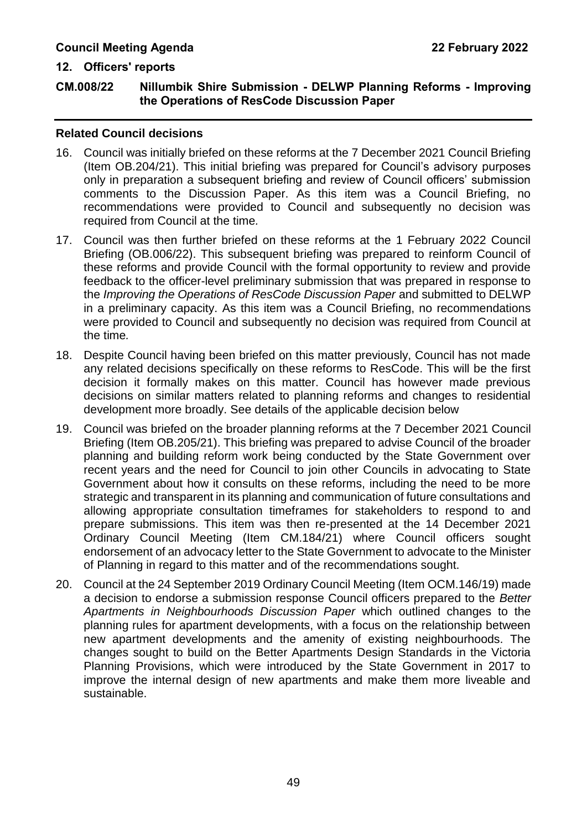### **12. Officers' reports**

## **CM.008/22 Nillumbik Shire Submission - DELWP Planning Reforms - Improving the Operations of ResCode Discussion Paper**

### **Related Council decisions**

- 16. Council was initially briefed on these reforms at the 7 December 2021 Council Briefing (Item OB.204/21). This initial briefing was prepared for Council's advisory purposes only in preparation a subsequent briefing and review of Council officers' submission comments to the Discussion Paper. As this item was a Council Briefing, no recommendations were provided to Council and subsequently no decision was required from Council at the time*.*
- 17. Council was then further briefed on these reforms at the 1 February 2022 Council Briefing (OB.006/22). This subsequent briefing was prepared to reinform Council of these reforms and provide Council with the formal opportunity to review and provide feedback to the officer-level preliminary submission that was prepared in response to the *Improving the Operations of ResCode Discussion Paper* and submitted to DELWP in a preliminary capacity. As this item was a Council Briefing, no recommendations were provided to Council and subsequently no decision was required from Council at the time*.*
- 18. Despite Council having been briefed on this matter previously, Council has not made any related decisions specifically on these reforms to ResCode. This will be the first decision it formally makes on this matter. Council has however made previous decisions on similar matters related to planning reforms and changes to residential development more broadly. See details of the applicable decision below
- 19. Council was briefed on the broader planning reforms at the 7 December 2021 Council Briefing (Item OB.205/21). This briefing was prepared to advise Council of the broader planning and building reform work being conducted by the State Government over recent years and the need for Council to join other Councils in advocating to State Government about how it consults on these reforms, including the need to be more strategic and transparent in its planning and communication of future consultations and allowing appropriate consultation timeframes for stakeholders to respond to and prepare submissions. This item was then re-presented at the 14 December 2021 Ordinary Council Meeting (Item CM.184/21) where Council officers sought endorsement of an advocacy letter to the State Government to advocate to the Minister of Planning in regard to this matter and of the recommendations sought.
- 20. Council at the 24 September 2019 Ordinary Council Meeting (Item OCM.146/19) made a decision to endorse a submission response Council officers prepared to the *Better Apartments in Neighbourhoods Discussion Paper* which outlined changes to the planning rules for apartment developments, with a focus on the relationship between new apartment developments and the amenity of existing neighbourhoods. The changes sought to build on the Better Apartments Design Standards in the Victoria Planning Provisions, which were introduced by the State Government in 2017 to improve the internal design of new apartments and make them more liveable and sustainable.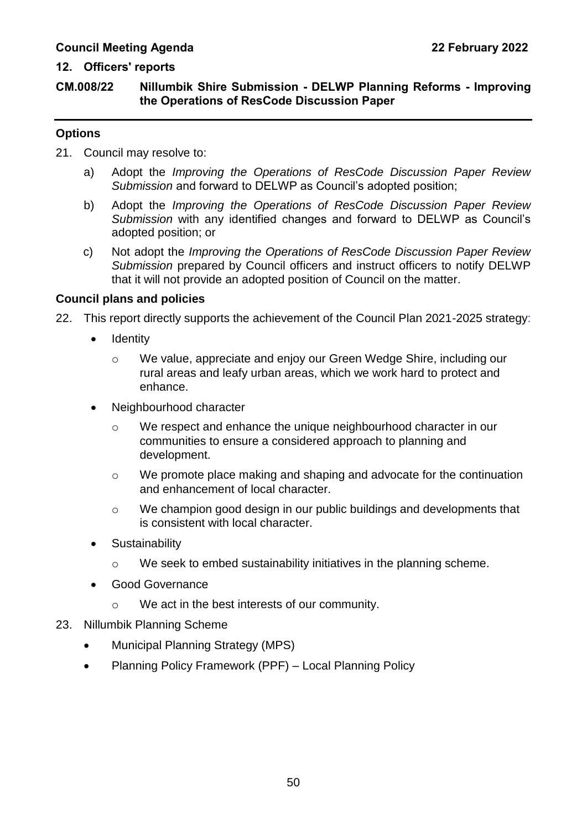### **12. Officers' reports**

## **CM.008/22 Nillumbik Shire Submission - DELWP Planning Reforms - Improving the Operations of ResCode Discussion Paper**

## **Options**

- 21. Council may resolve to:
	- a) Adopt the *Improving the Operations of ResCode Discussion Paper Review Submission* and forward to DELWP as Council's adopted position;
	- b) Adopt the *Improving the Operations of ResCode Discussion Paper Review Submission* with any identified changes and forward to DELWP as Council's adopted position; or
	- c) Not adopt the *Improving the Operations of ResCode Discussion Paper Review Submission* prepared by Council officers and instruct officers to notify DELWP that it will not provide an adopted position of Council on the matter.

### **Council plans and policies**

- 22. This report directly supports the achievement of the Council Plan 2021-2025 strategy:
	- Identity
		- o We value, appreciate and enjoy our Green Wedge Shire, including our rural areas and leafy urban areas, which we work hard to protect and enhance.
	- Neighbourhood character
		- o We respect and enhance the unique neighbourhood character in our communities to ensure a considered approach to planning and development.
		- o We promote place making and shaping and advocate for the continuation and enhancement of local character.
		- o We champion good design in our public buildings and developments that is consistent with local character.
	- **Sustainability** 
		- o We seek to embed sustainability initiatives in the planning scheme.
	- Good Governance
		- o We act in the best interests of our community.
- 23. Nillumbik Planning Scheme
	- Municipal Planning Strategy (MPS)
	- Planning Policy Framework (PPF) Local Planning Policy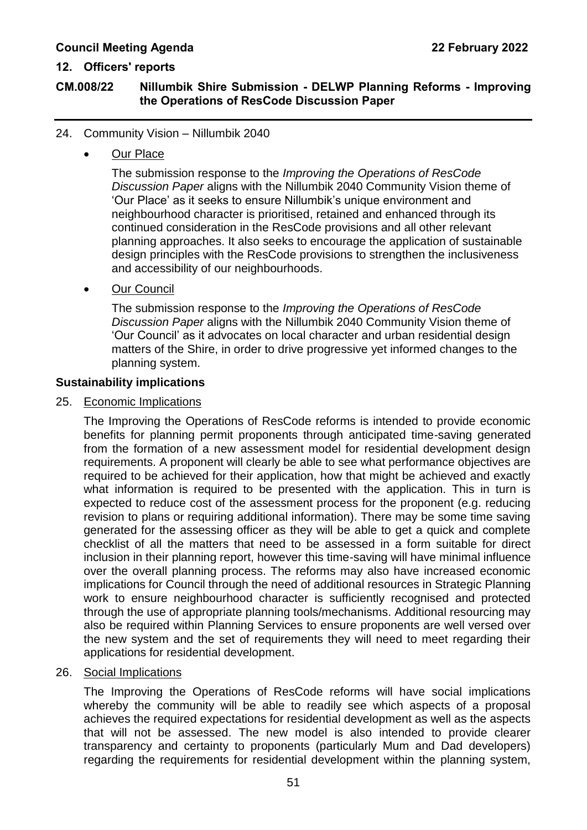## **12. Officers' reports**

# **CM.008/22 Nillumbik Shire Submission - DELWP Planning Reforms - Improving the Operations of ResCode Discussion Paper**

### 24. Community Vision – Nillumbik 2040

Our Place

The submission response to the *Improving the Operations of ResCode Discussion Paper* aligns with the Nillumbik 2040 Community Vision theme of 'Our Place' as it seeks to ensure Nillumbik's unique environment and neighbourhood character is prioritised, retained and enhanced through its continued consideration in the ResCode provisions and all other relevant planning approaches. It also seeks to encourage the application of sustainable design principles with the ResCode provisions to strengthen the inclusiveness and accessibility of our neighbourhoods.

Our Council

The submission response to the *Improving the Operations of ResCode Discussion Paper* aligns with the Nillumbik 2040 Community Vision theme of 'Our Council' as it advocates on local character and urban residential design matters of the Shire, in order to drive progressive yet informed changes to the planning system.

### **Sustainability implications**

### 25. Economic Implications

The Improving the Operations of ResCode reforms is intended to provide economic benefits for planning permit proponents through anticipated time-saving generated from the formation of a new assessment model for residential development design requirements. A proponent will clearly be able to see what performance objectives are required to be achieved for their application, how that might be achieved and exactly what information is required to be presented with the application. This in turn is expected to reduce cost of the assessment process for the proponent (e.g. reducing revision to plans or requiring additional information). There may be some time saving generated for the assessing officer as they will be able to get a quick and complete checklist of all the matters that need to be assessed in a form suitable for direct inclusion in their planning report, however this time-saving will have minimal influence over the overall planning process. The reforms may also have increased economic implications for Council through the need of additional resources in Strategic Planning work to ensure neighbourhood character is sufficiently recognised and protected through the use of appropriate planning tools/mechanisms. Additional resourcing may also be required within Planning Services to ensure proponents are well versed over the new system and the set of requirements they will need to meet regarding their applications for residential development.

## 26. Social Implications

The Improving the Operations of ResCode reforms will have social implications whereby the community will be able to readily see which aspects of a proposal achieves the required expectations for residential development as well as the aspects that will not be assessed. The new model is also intended to provide clearer transparency and certainty to proponents (particularly Mum and Dad developers) regarding the requirements for residential development within the planning system,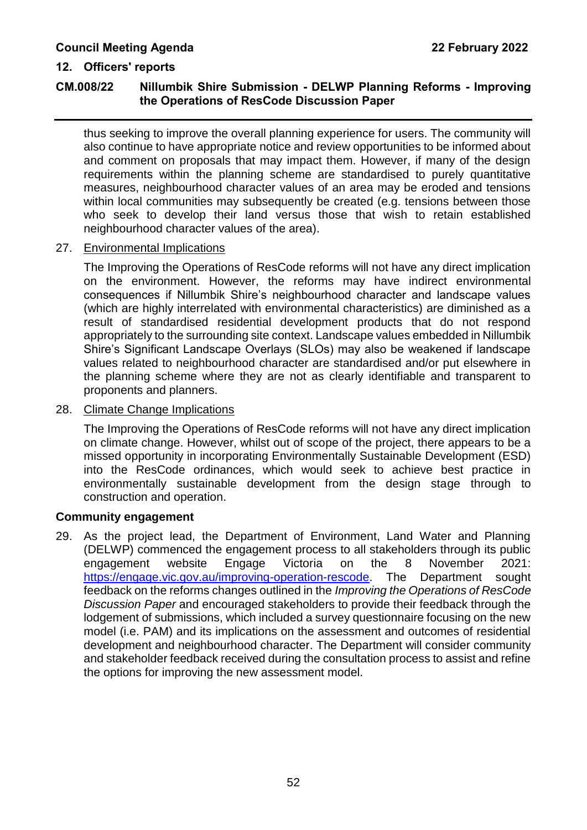## **12. Officers' reports**

## **CM.008/22 Nillumbik Shire Submission - DELWP Planning Reforms - Improving the Operations of ResCode Discussion Paper**

thus seeking to improve the overall planning experience for users. The community will also continue to have appropriate notice and review opportunities to be informed about and comment on proposals that may impact them. However, if many of the design requirements within the planning scheme are standardised to purely quantitative measures, neighbourhood character values of an area may be eroded and tensions within local communities may subsequently be created (e.g. tensions between those who seek to develop their land versus those that wish to retain established neighbourhood character values of the area).

### 27. Environmental Implications

The Improving the Operations of ResCode reforms will not have any direct implication on the environment. However, the reforms may have indirect environmental consequences if Nillumbik Shire's neighbourhood character and landscape values (which are highly interrelated with environmental characteristics) are diminished as a result of standardised residential development products that do not respond appropriately to the surrounding site context. Landscape values embedded in Nillumbik Shire's Significant Landscape Overlays (SLOs) may also be weakened if landscape values related to neighbourhood character are standardised and/or put elsewhere in the planning scheme where they are not as clearly identifiable and transparent to proponents and planners.

### 28. Climate Change Implications

The Improving the Operations of ResCode reforms will not have any direct implication on climate change. However, whilst out of scope of the project, there appears to be a missed opportunity in incorporating Environmentally Sustainable Development (ESD) into the ResCode ordinances, which would seek to achieve best practice in environmentally sustainable development from the design stage through to construction and operation.

## **Community engagement**

29. As the project lead, the Department of Environment, Land Water and Planning (DELWP) commenced the engagement process to all stakeholders through its public engagement website Engage Victoria on the 8 November 2021: [https://engage.vic.gov.au/improving-operation-rescode.](https://engage.vic.gov.au/improving-operation-rescode) The Department sought feedback on the reforms changes outlined in the *Improving the Operations of ResCode Discussion Paper* and encouraged stakeholders to provide their feedback through the lodgement of submissions, which included a survey questionnaire focusing on the new model (i.e. PAM) and its implications on the assessment and outcomes of residential development and neighbourhood character. The Department will consider community and stakeholder feedback received during the consultation process to assist and refine the options for improving the new assessment model.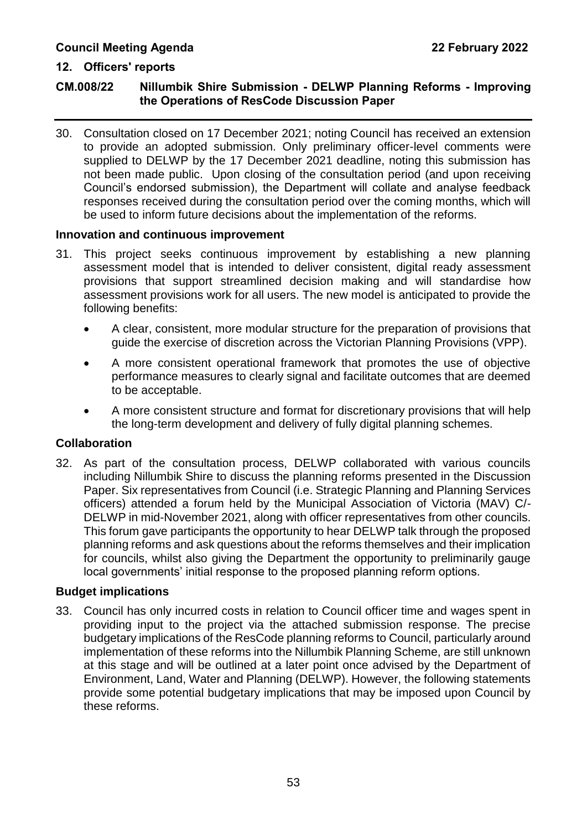## **12. Officers' reports**

## **CM.008/22 Nillumbik Shire Submission - DELWP Planning Reforms - Improving the Operations of ResCode Discussion Paper**

30. Consultation closed on 17 December 2021; noting Council has received an extension to provide an adopted submission. Only preliminary officer-level comments were supplied to DELWP by the 17 December 2021 deadline, noting this submission has not been made public. Upon closing of the consultation period (and upon receiving Council's endorsed submission), the Department will collate and analyse feedback responses received during the consultation period over the coming months, which will be used to inform future decisions about the implementation of the reforms.

#### **Innovation and continuous improvement**

- 31. This project seeks continuous improvement by establishing a new planning assessment model that is intended to deliver consistent, digital ready assessment provisions that support streamlined decision making and will standardise how assessment provisions work for all users. The new model is anticipated to provide the following benefits:
	- A clear, consistent, more modular structure for the preparation of provisions that guide the exercise of discretion across the Victorian Planning Provisions (VPP).
	- A more consistent operational framework that promotes the use of objective performance measures to clearly signal and facilitate outcomes that are deemed to be acceptable.
	- A more consistent structure and format for discretionary provisions that will help the long-term development and delivery of fully digital planning schemes.

#### **Collaboration**

32. As part of the consultation process, DELWP collaborated with various councils including Nillumbik Shire to discuss the planning reforms presented in the Discussion Paper. Six representatives from Council (i.e. Strategic Planning and Planning Services officers) attended a forum held by the Municipal Association of Victoria (MAV) C/- DELWP in mid-November 2021, along with officer representatives from other councils. This forum gave participants the opportunity to hear DELWP talk through the proposed planning reforms and ask questions about the reforms themselves and their implication for councils, whilst also giving the Department the opportunity to preliminarily gauge local governments' initial response to the proposed planning reform options.

#### **Budget implications**

33. Council has only incurred costs in relation to Council officer time and wages spent in providing input to the project via the attached submission response. The precise budgetary implications of the ResCode planning reforms to Council, particularly around implementation of these reforms into the Nillumbik Planning Scheme, are still unknown at this stage and will be outlined at a later point once advised by the Department of Environment, Land, Water and Planning (DELWP). However, the following statements provide some potential budgetary implications that may be imposed upon Council by these reforms.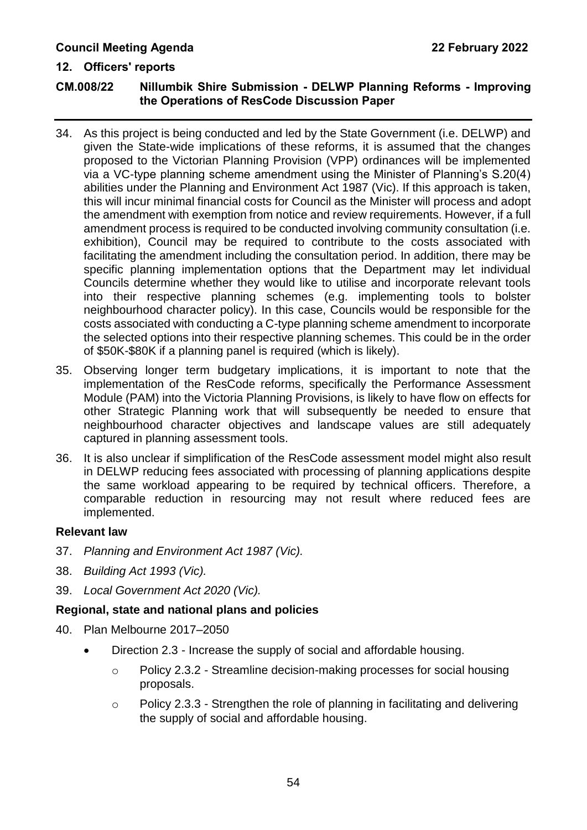## **12. Officers' reports**

## **CM.008/22 Nillumbik Shire Submission - DELWP Planning Reforms - Improving the Operations of ResCode Discussion Paper**

- 34. As this project is being conducted and led by the State Government (i.e. DELWP) and given the State-wide implications of these reforms, it is assumed that the changes proposed to the Victorian Planning Provision (VPP) ordinances will be implemented via a VC-type planning scheme amendment using the Minister of Planning's S.20(4) abilities under the Planning and Environment Act 1987 (Vic). If this approach is taken, this will incur minimal financial costs for Council as the Minister will process and adopt the amendment with exemption from notice and review requirements. However, if a full amendment process is required to be conducted involving community consultation (i.e. exhibition), Council may be required to contribute to the costs associated with facilitating the amendment including the consultation period. In addition, there may be specific planning implementation options that the Department may let individual Councils determine whether they would like to utilise and incorporate relevant tools into their respective planning schemes (e.g. implementing tools to bolster neighbourhood character policy). In this case, Councils would be responsible for the costs associated with conducting a C-type planning scheme amendment to incorporate the selected options into their respective planning schemes. This could be in the order of \$50K-\$80K if a planning panel is required (which is likely).
- 35. Observing longer term budgetary implications, it is important to note that the implementation of the ResCode reforms, specifically the Performance Assessment Module (PAM) into the Victoria Planning Provisions, is likely to have flow on effects for other Strategic Planning work that will subsequently be needed to ensure that neighbourhood character objectives and landscape values are still adequately captured in planning assessment tools.
- 36. It is also unclear if simplification of the ResCode assessment model might also result in DELWP reducing fees associated with processing of planning applications despite the same workload appearing to be required by technical officers. Therefore, a comparable reduction in resourcing may not result where reduced fees are implemented.

#### **Relevant law**

- 37. *Planning and Environment Act 1987 (Vic).*
- 38. *Building Act 1993 (Vic).*
- 39. *Local Government Act 2020 (Vic).*

## **Regional, state and national plans and policies**

- 40. Plan Melbourne 2017–2050
	- Direction 2.3 Increase the supply of social and affordable housing.
		- o Policy 2.3.2 Streamline decision-making processes for social housing proposals.
		- $\circ$  Policy 2.3.3 Strengthen the role of planning in facilitating and delivering the supply of social and affordable housing.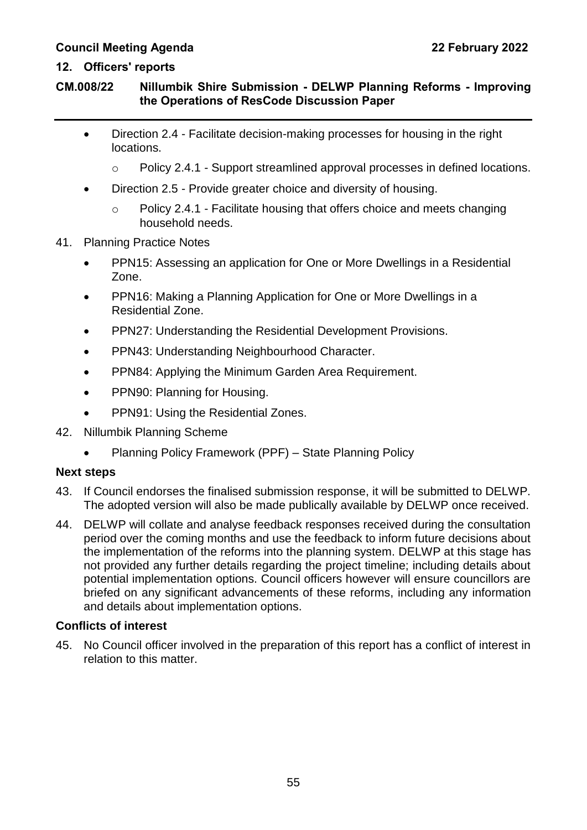## **12. Officers' reports**

# **CM.008/22 Nillumbik Shire Submission - DELWP Planning Reforms - Improving the Operations of ResCode Discussion Paper**

- Direction 2.4 Facilitate decision-making processes for housing in the right locations.
	- o Policy 2.4.1 Support streamlined approval processes in defined locations.
- Direction 2.5 Provide greater choice and diversity of housing.
	- o Policy 2.4.1 Facilitate housing that offers choice and meets changing household needs.

## 41. Planning Practice Notes

- PPN15: Assessing an application for One or More Dwellings in a Residential Zone.
- PPN16: Making a Planning Application for One or More Dwellings in a Residential Zone.
- **•** PPN27: Understanding the Residential Development Provisions.
- **PPN43: Understanding Neighbourhood Character.**
- PPN84: Applying the Minimum Garden Area Requirement.
- PPN90: Planning for Housing.
- PPN91: Using the Residential Zones.
- 42. Nillumbik Planning Scheme
	- Planning Policy Framework (PPF) State Planning Policy

## **Next steps**

- 43. If Council endorses the finalised submission response, it will be submitted to DELWP. The adopted version will also be made publically available by DELWP once received.
- 44. DELWP will collate and analyse feedback responses received during the consultation period over the coming months and use the feedback to inform future decisions about the implementation of the reforms into the planning system. DELWP at this stage has not provided any further details regarding the project timeline; including details about potential implementation options. Council officers however will ensure councillors are briefed on any significant advancements of these reforms, including any information and details about implementation options.

## **Conflicts of interest**

45. No Council officer involved in the preparation of this report has a conflict of interest in relation to this matter.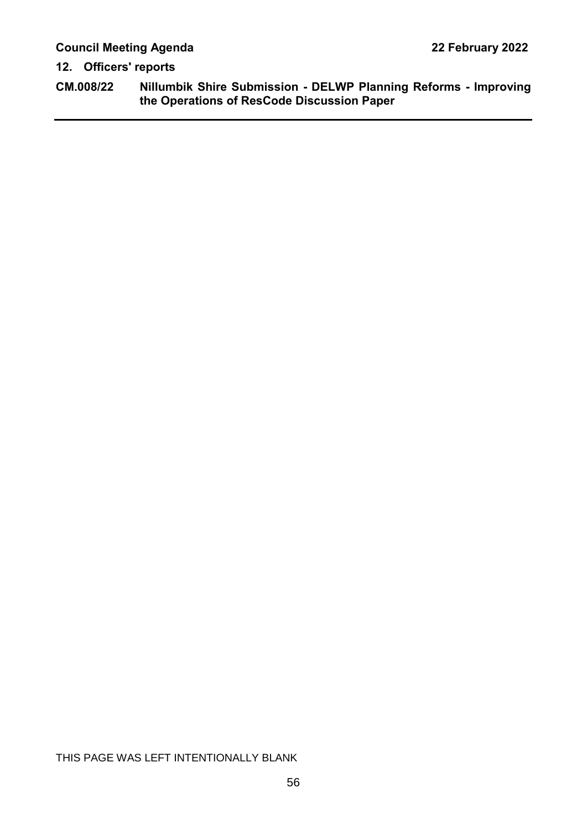**12. Officers' reports**

**CM.008/22 Nillumbik Shire Submission - DELWP Planning Reforms - Improving the Operations of ResCode Discussion Paper**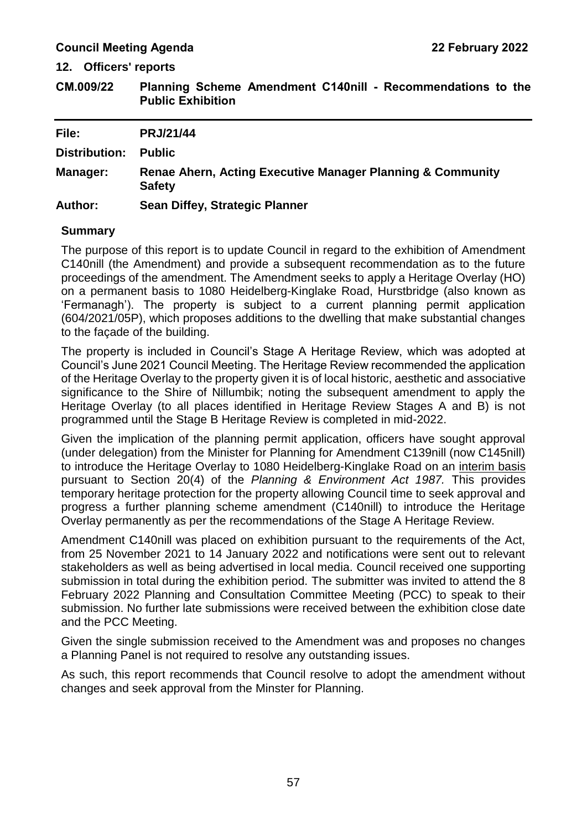**12. Officers' reports**

| CM.009/22 |                          |  | Planning Scheme Amendment C140nill - Recommendations to the |  |
|-----------|--------------------------|--|-------------------------------------------------------------|--|
|           | <b>Public Exhibition</b> |  |                                                             |  |

| File:          | <b>PRJ/21/44</b>                                                            |
|----------------|-----------------------------------------------------------------------------|
| Distribution:  | <b>Public</b>                                                               |
| Manager:       | Renae Ahern, Acting Executive Manager Planning & Community<br><b>Safety</b> |
| <b>Author:</b> | <b>Sean Diffey, Strategic Planner</b>                                       |

### **Summary**

The purpose of this report is to update Council in regard to the exhibition of Amendment C140nill (the Amendment) and provide a subsequent recommendation as to the future proceedings of the amendment. The Amendment seeks to apply a Heritage Overlay (HO) on a permanent basis to 1080 Heidelberg-Kinglake Road, Hurstbridge (also known as 'Fermanagh'). The property is subject to a current planning permit application (604/2021/05P), which proposes additions to the dwelling that make substantial changes to the façade of the building.

The property is included in Council's Stage A Heritage Review, which was adopted at Council's June 2021 Council Meeting. The Heritage Review recommended the application of the Heritage Overlay to the property given it is of local historic, aesthetic and associative significance to the Shire of Nillumbik; noting the subsequent amendment to apply the Heritage Overlay (to all places identified in Heritage Review Stages A and B) is not programmed until the Stage B Heritage Review is completed in mid-2022.

Given the implication of the planning permit application, officers have sought approval (under delegation) from the Minister for Planning for Amendment C139nill (now C145nill) to introduce the Heritage Overlay to 1080 Heidelberg-Kinglake Road on an interim basis pursuant to Section 20(4) of the *Planning & Environment Act 1987.* This provides temporary heritage protection for the property allowing Council time to seek approval and progress a further planning scheme amendment (C140nill) to introduce the Heritage Overlay permanently as per the recommendations of the Stage A Heritage Review.

Amendment C140nill was placed on exhibition pursuant to the requirements of the Act, from 25 November 2021 to 14 January 2022 and notifications were sent out to relevant stakeholders as well as being advertised in local media. Council received one supporting submission in total during the exhibition period. The submitter was invited to attend the 8 February 2022 Planning and Consultation Committee Meeting (PCC) to speak to their submission. No further late submissions were received between the exhibition close date and the PCC Meeting.

Given the single submission received to the Amendment was and proposes no changes a Planning Panel is not required to resolve any outstanding issues.

As such, this report recommends that Council resolve to adopt the amendment without changes and seek approval from the Minster for Planning.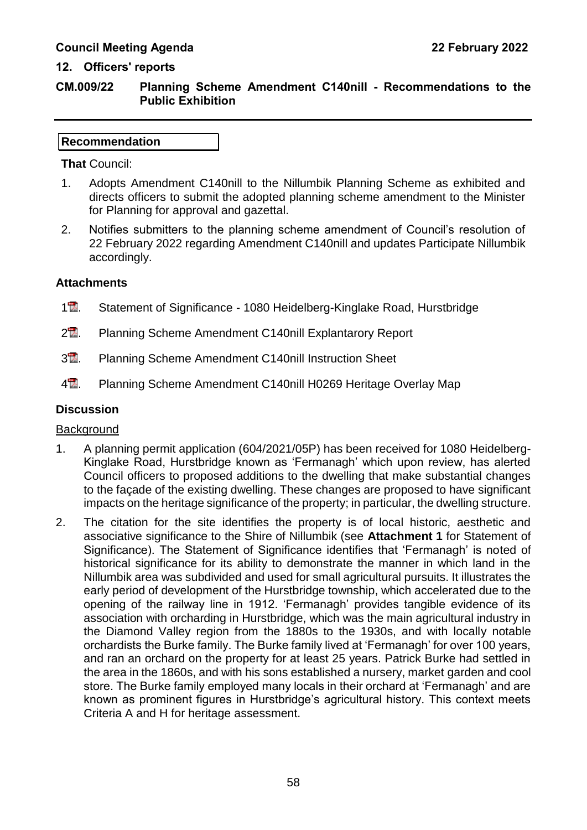## **12. Officers' reports**

## **CM.009/22 Planning Scheme Amendment C140nill - Recommendations to the Public Exhibition**

#### **Recommendation**

**That** Council:

- 1. Adopts Amendment C140nill to the Nillumbik Planning Scheme as exhibited and directs officers to submit the adopted planning scheme amendment to the Minister for Planning for approval and gazettal.
- 2. Notifies submitters to the planning scheme amendment of Council's resolution of 22 February 2022 regarding Amendment C140nill and updates Participate Nillumbik accordingly.

## **Attachments**

- 1<sup>1</sup> . Statement of Significance 1080 Heidelberg-Kinglake Road, Hurstbridge
- 2<sup>1</sup> Planning Scheme Amendment C140nill Explantarory Report
- 3<sup>個</sup>. Planning Scheme Amendment C140nill Instruction Sheet
- 4 . Planning Scheme Amendment C140nill H0269 Heritage Overlay Map

## **Discussion**

## **Background**

- 1. A planning permit application (604/2021/05P) has been received for 1080 Heidelberg-Kinglake Road, Hurstbridge known as 'Fermanagh' which upon review, has alerted Council officers to proposed additions to the dwelling that make substantial changes to the façade of the existing dwelling. These changes are proposed to have significant impacts on the heritage significance of the property; in particular, the dwelling structure.
- 2. The citation for the site identifies the property is of local historic, aesthetic and associative significance to the Shire of Nillumbik (see **Attachment 1** for Statement of Significance). The Statement of Significance identifies that 'Fermanagh' is noted of historical significance for its ability to demonstrate the manner in which land in the Nillumbik area was subdivided and used for small agricultural pursuits. It illustrates the early period of development of the Hurstbridge township, which accelerated due to the opening of the railway line in 1912. 'Fermanagh' provides tangible evidence of its association with orcharding in Hurstbridge, which was the main agricultural industry in the Diamond Valley region from the 1880s to the 1930s, and with locally notable orchardists the Burke family. The Burke family lived at 'Fermanagh' for over 100 years, and ran an orchard on the property for at least 25 years. Patrick Burke had settled in the area in the 1860s, and with his sons established a nursery, market garden and cool store. The Burke family employed many locals in their orchard at 'Fermanagh' and are known as prominent figures in Hurstbridge's agricultural history. This context meets Criteria A and H for heritage assessment.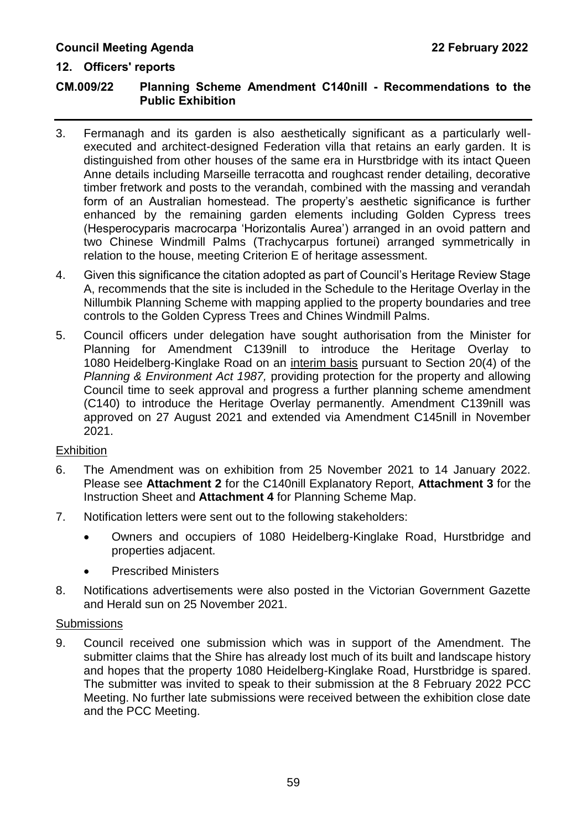## **12. Officers' reports**

## **CM.009/22 Planning Scheme Amendment C140nill - Recommendations to the Public Exhibition**

- 3. Fermanagh and its garden is also aesthetically significant as a particularly wellexecuted and architect-designed Federation villa that retains an early garden. It is distinguished from other houses of the same era in Hurstbridge with its intact Queen Anne details including Marseille terracotta and roughcast render detailing, decorative timber fretwork and posts to the verandah, combined with the massing and verandah form of an Australian homestead. The property's aesthetic significance is further enhanced by the remaining garden elements including Golden Cypress trees (Hesperocyparis macrocarpa 'Horizontalis Aurea') arranged in an ovoid pattern and two Chinese Windmill Palms (Trachycarpus fortunei) arranged symmetrically in relation to the house, meeting Criterion E of heritage assessment.
- 4. Given this significance the citation adopted as part of Council's Heritage Review Stage A, recommends that the site is included in the Schedule to the Heritage Overlay in the Nillumbik Planning Scheme with mapping applied to the property boundaries and tree controls to the Golden Cypress Trees and Chines Windmill Palms.
- 5. Council officers under delegation have sought authorisation from the Minister for Planning for Amendment C139nill to introduce the Heritage Overlay to 1080 Heidelberg-Kinglake Road on an interim basis pursuant to Section 20(4) of the *Planning & Environment Act 1987,* providing protection for the property and allowing Council time to seek approval and progress a further planning scheme amendment (C140) to introduce the Heritage Overlay permanently. Amendment C139nill was approved on 27 August 2021 and extended via Amendment C145nill in November 2021.

#### Exhibition

- 6. The Amendment was on exhibition from 25 November 2021 to 14 January 2022. Please see **Attachment 2** for the C140nill Explanatory Report, **Attachment 3** for the Instruction Sheet and **Attachment 4** for Planning Scheme Map.
- 7. Notification letters were sent out to the following stakeholders:
	- Owners and occupiers of 1080 Heidelberg-Kinglake Road, Hurstbridge and properties adjacent.
	- Prescribed Ministers
- 8. Notifications advertisements were also posted in the Victorian Government Gazette and Herald sun on 25 November 2021.

#### **Submissions**

9. Council received one submission which was in support of the Amendment. The submitter claims that the Shire has already lost much of its built and landscape history and hopes that the property 1080 Heidelberg-Kinglake Road, Hurstbridge is spared. The submitter was invited to speak to their submission at the 8 February 2022 PCC Meeting. No further late submissions were received between the exhibition close date and the PCC Meeting.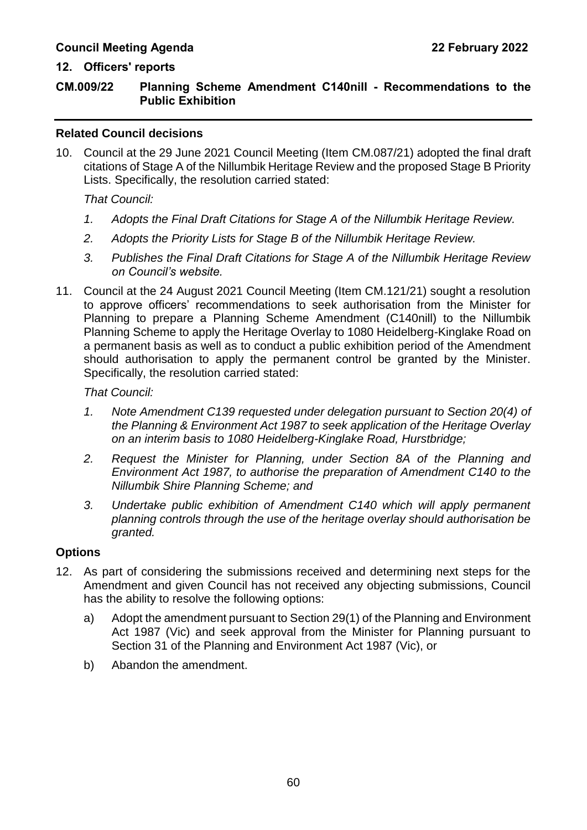### **12. Officers' reports**

## **CM.009/22 Planning Scheme Amendment C140nill - Recommendations to the Public Exhibition**

#### **Related Council decisions**

10. Council at the 29 June 2021 Council Meeting (Item CM.087/21) adopted the final draft citations of Stage A of the Nillumbik Heritage Review and the proposed Stage B Priority Lists. Specifically, the resolution carried stated:

*That Council:*

- *1. Adopts the Final Draft Citations for Stage A of the Nillumbik Heritage Review.*
- *2. Adopts the Priority Lists for Stage B of the Nillumbik Heritage Review.*
- *3. Publishes the Final Draft Citations for Stage A of the Nillumbik Heritage Review on Council's website.*
- 11. Council at the 24 August 2021 Council Meeting (Item CM.121/21) sought a resolution to approve officers' recommendations to seek authorisation from the Minister for Planning to prepare a Planning Scheme Amendment (C140nill) to the Nillumbik Planning Scheme to apply the Heritage Overlay to 1080 Heidelberg-Kinglake Road on a permanent basis as well as to conduct a public exhibition period of the Amendment should authorisation to apply the permanent control be granted by the Minister. Specifically, the resolution carried stated:

*That Council:*

- *1. Note Amendment C139 requested under delegation pursuant to Section 20(4) of the Planning & Environment Act 1987 to seek application of the Heritage Overlay on an interim basis to 1080 Heidelberg-Kinglake Road, Hurstbridge;*
- *2. Request the Minister for Planning, under Section 8A of the Planning and Environment Act 1987, to authorise the preparation of Amendment C140 to the Nillumbik Shire Planning Scheme; and*
- *3. Undertake public exhibition of Amendment C140 which will apply permanent planning controls through the use of the heritage overlay should authorisation be granted.*

## **Options**

- 12. As part of considering the submissions received and determining next steps for the Amendment and given Council has not received any objecting submissions, Council has the ability to resolve the following options:
	- a) Adopt the amendment pursuant to Section 29(1) of the Planning and Environment Act 1987 (Vic) and seek approval from the Minister for Planning pursuant to Section 31 of the Planning and Environment Act 1987 (Vic), or
	- b) Abandon the amendment.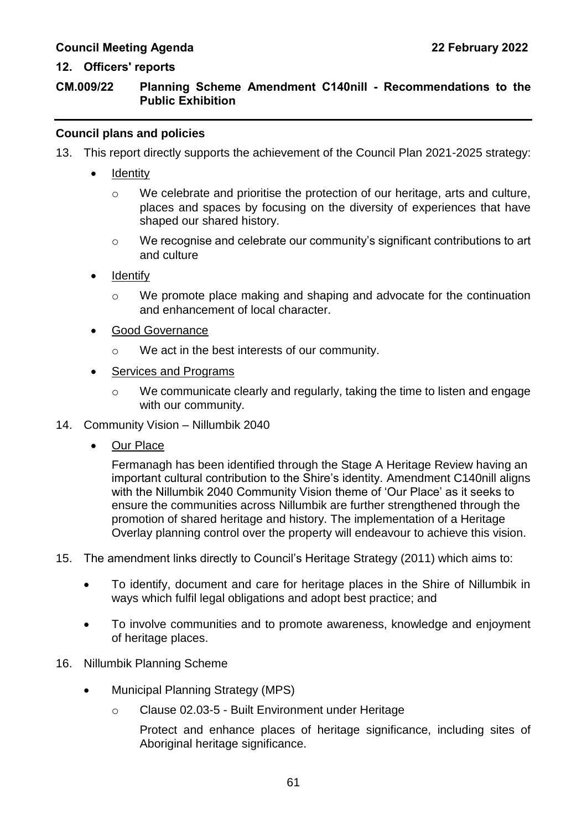## **12. Officers' reports**

# **CM.009/22 Planning Scheme Amendment C140nill - Recommendations to the Public Exhibition**

# **Council plans and policies**

- 13. This report directly supports the achievement of the Council Plan 2021-2025 strategy:
	- Identity
		- $\circ$  We celebrate and prioritise the protection of our heritage, arts and culture, places and spaces by focusing on the diversity of experiences that have shaped our shared history.
		- o We recognise and celebrate our community's significant contributions to art and culture
	- Identify
		- o We promote place making and shaping and advocate for the continuation and enhancement of local character.
	- Good Governance
		- o We act in the best interests of our community.
	- Services and Programs
		- o We communicate clearly and regularly, taking the time to listen and engage with our community.
- 14. Community Vision Nillumbik 2040
	- Our Place

Fermanagh has been identified through the Stage A Heritage Review having an important cultural contribution to the Shire's identity. Amendment C140nill aligns with the Nillumbik 2040 Community Vision theme of 'Our Place' as it seeks to ensure the communities across Nillumbik are further strengthened through the promotion of shared heritage and history. The implementation of a Heritage Overlay planning control over the property will endeavour to achieve this vision.

- 15. The amendment links directly to Council's Heritage Strategy (2011) which aims to:
	- To identify, document and care for heritage places in the Shire of Nillumbik in ways which fulfil legal obligations and adopt best practice; and
	- To involve communities and to promote awareness, knowledge and enjoyment of heritage places.
- 16. Nillumbik Planning Scheme
	- Municipal Planning Strategy (MPS)
		- o Clause 02.03-5 Built Environment under Heritage

Protect and enhance places of heritage significance, including sites of Aboriginal heritage significance.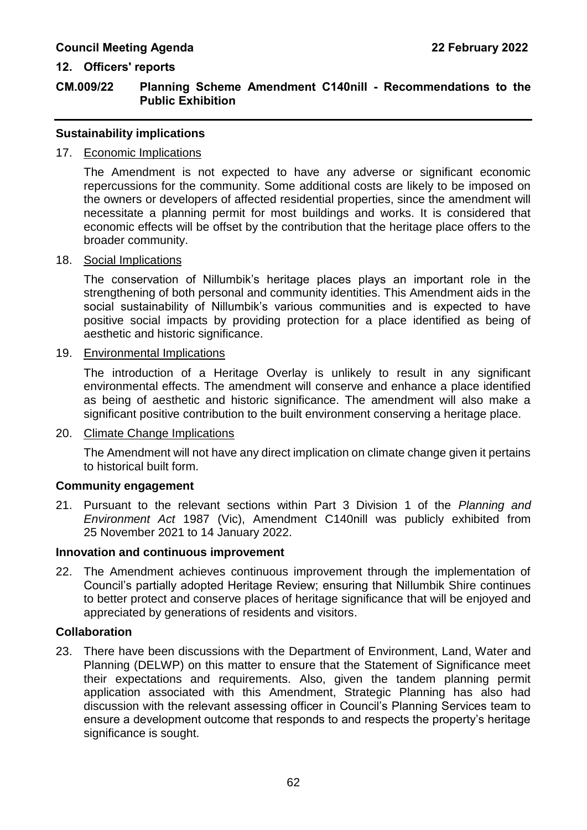### **12. Officers' reports**

## **CM.009/22 Planning Scheme Amendment C140nill - Recommendations to the Public Exhibition**

#### **Sustainability implications**

### 17. Economic Implications

The Amendment is not expected to have any adverse or significant economic repercussions for the community. Some additional costs are likely to be imposed on the owners or developers of affected residential properties, since the amendment will necessitate a planning permit for most buildings and works. It is considered that economic effects will be offset by the contribution that the heritage place offers to the broader community.

#### 18. Social Implications

The conservation of Nillumbik's heritage places plays an important role in the strengthening of both personal and community identities. This Amendment aids in the social sustainability of Nillumbik's various communities and is expected to have positive social impacts by providing protection for a place identified as being of aesthetic and historic significance.

#### 19. Environmental Implications

The introduction of a Heritage Overlay is unlikely to result in any significant environmental effects. The amendment will conserve and enhance a place identified as being of aesthetic and historic significance. The amendment will also make a significant positive contribution to the built environment conserving a heritage place.

### 20. Climate Change Implications

The Amendment will not have any direct implication on climate change given it pertains to historical built form.

#### **Community engagement**

21. Pursuant to the relevant sections within Part 3 Division 1 of the *Planning and Environment Act* 1987 (Vic), Amendment C140nill was publicly exhibited from 25 November 2021 to 14 January 2022.

#### **Innovation and continuous improvement**

22. The Amendment achieves continuous improvement through the implementation of Council's partially adopted Heritage Review; ensuring that Nillumbik Shire continues to better protect and conserve places of heritage significance that will be enjoyed and appreciated by generations of residents and visitors.

#### **Collaboration**

23. There have been discussions with the Department of Environment, Land, Water and Planning (DELWP) on this matter to ensure that the Statement of Significance meet their expectations and requirements. Also, given the tandem planning permit application associated with this Amendment, Strategic Planning has also had discussion with the relevant assessing officer in Council's Planning Services team to ensure a development outcome that responds to and respects the property's heritage significance is sought.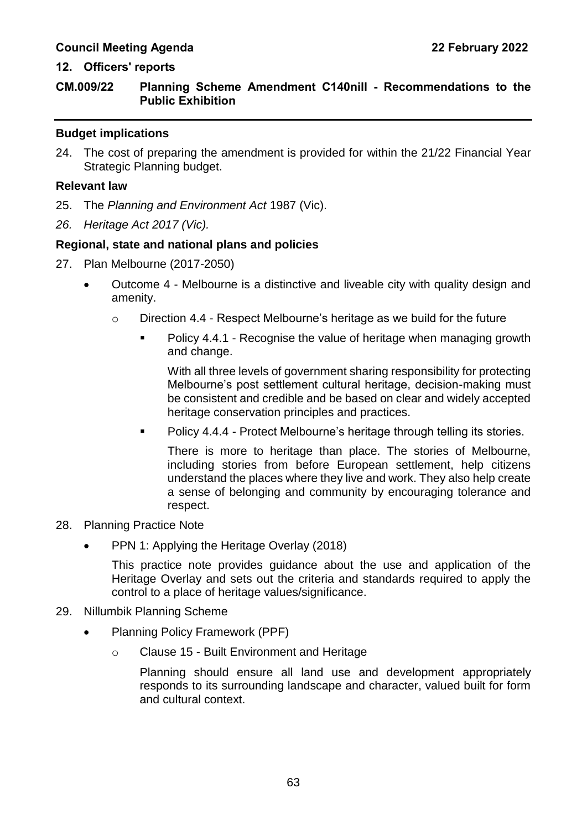## **12. Officers' reports**

## **CM.009/22 Planning Scheme Amendment C140nill - Recommendations to the Public Exhibition**

### **Budget implications**

24. The cost of preparing the amendment is provided for within the 21/22 Financial Year Strategic Planning budget.

### **Relevant law**

- 25. The *Planning and Environment Act* 1987 (Vic).
- *26. Heritage Act 2017 (Vic).*

## **Regional, state and national plans and policies**

- 27. Plan Melbourne (2017-2050)
	- Outcome 4 Melbourne is a distinctive and liveable city with quality design and amenity.
		- o Direction 4.4 Respect Melbourne's heritage as we build for the future
			- Policy 4.4.1 Recognise the value of heritage when managing growth and change.

With all three levels of government sharing responsibility for protecting Melbourne's post settlement cultural heritage, decision-making must be consistent and credible and be based on clear and widely accepted heritage conservation principles and practices.

**Policy 4.4.4 - Protect Melbourne's heritage through telling its stories.** 

There is more to heritage than place. The stories of Melbourne, including stories from before European settlement, help citizens understand the places where they live and work. They also help create a sense of belonging and community by encouraging tolerance and respect.

- 28. Planning Practice Note
	- PPN 1: Applying the Heritage Overlay (2018)

This practice note provides guidance about the use and application of the Heritage Overlay and sets out the criteria and standards required to apply the control to a place of heritage values/significance.

- 29. Nillumbik Planning Scheme
	- Planning Policy Framework (PPF)
		- o Clause 15 Built Environment and Heritage

Planning should ensure all land use and development appropriately responds to its surrounding landscape and character, valued built for form and cultural context.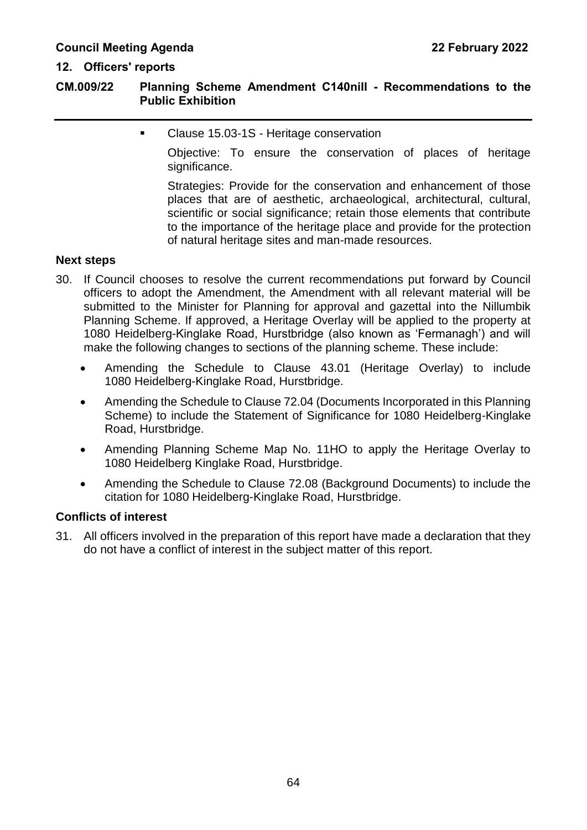## **12. Officers' reports**

## **CM.009/22 Planning Scheme Amendment C140nill - Recommendations to the Public Exhibition**

• Clause 15.03-1S - Heritage conservation

Objective: To ensure the conservation of places of heritage significance.

Strategies: Provide for the conservation and enhancement of those places that are of aesthetic, archaeological, architectural, cultural, scientific or social significance; retain those elements that contribute to the importance of the heritage place and provide for the protection of natural heritage sites and man-made resources.

### **Next steps**

- 30. If Council chooses to resolve the current recommendations put forward by Council officers to adopt the Amendment, the Amendment with all relevant material will be submitted to the Minister for Planning for approval and gazettal into the Nillumbik Planning Scheme. If approved, a Heritage Overlay will be applied to the property at 1080 Heidelberg-Kinglake Road, Hurstbridge (also known as 'Fermanagh') and will make the following changes to sections of the planning scheme. These include:
	- Amending the Schedule to Clause 43.01 (Heritage Overlay) to include 1080 Heidelberg-Kinglake Road, Hurstbridge.
	- Amending the Schedule to Clause 72.04 (Documents Incorporated in this Planning Scheme) to include the Statement of Significance for 1080 Heidelberg-Kinglake Road, Hurstbridge.
	- Amending Planning Scheme Map No. 11HO to apply the Heritage Overlay to 1080 Heidelberg Kinglake Road, Hurstbridge.
	- Amending the Schedule to Clause 72.08 (Background Documents) to include the citation for 1080 Heidelberg-Kinglake Road, Hurstbridge.

## **Conflicts of interest**

31. All officers involved in the preparation of this report have made a declaration that they do not have a conflict of interest in the subject matter of this report.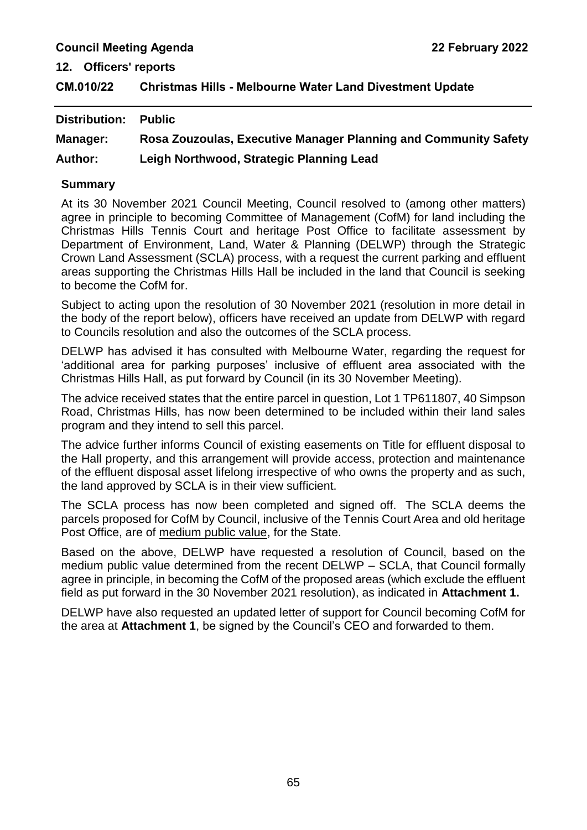**12. Officers' reports**

**CM.010/22 Christmas Hills - Melbourne Water Land Divestment Update**

| <b>Distribution:</b> | <b>Public</b>                                                   |
|----------------------|-----------------------------------------------------------------|
| Manager:             | Rosa Zouzoulas, Executive Manager Planning and Community Safety |
| <b>Author:</b>       | Leigh Northwood, Strategic Planning Lead                        |

### **Summary**

At its 30 November 2021 Council Meeting, Council resolved to (among other matters) agree in principle to becoming Committee of Management (CofM) for land including the Christmas Hills Tennis Court and heritage Post Office to facilitate assessment by Department of Environment, Land, Water & Planning (DELWP) through the Strategic Crown Land Assessment (SCLA) process, with a request the current parking and effluent areas supporting the Christmas Hills Hall be included in the land that Council is seeking to become the CofM for.

Subject to acting upon the resolution of 30 November 2021 (resolution in more detail in the body of the report below), officers have received an update from DELWP with regard to Councils resolution and also the outcomes of the SCLA process.

DELWP has advised it has consulted with Melbourne Water, regarding the request for 'additional area for parking purposes' inclusive of effluent area associated with the Christmas Hills Hall, as put forward by Council (in its 30 November Meeting).

The advice received states that the entire parcel in question, Lot 1 TP611807, 40 Simpson Road, Christmas Hills, has now been determined to be included within their land sales program and they intend to sell this parcel.

The advice further informs Council of existing easements on Title for effluent disposal to the Hall property, and this arrangement will provide access, protection and maintenance of the effluent disposal asset lifelong irrespective of who owns the property and as such, the land approved by SCLA is in their view sufficient.

The SCLA process has now been completed and signed off. The SCLA deems the parcels proposed for CofM by Council, inclusive of the Tennis Court Area and old heritage Post Office, are of medium public value, for the State.

Based on the above, DELWP have requested a resolution of Council, based on the medium public value determined from the recent DELWP – SCLA, that Council formally agree in principle, in becoming the CofM of the proposed areas (which exclude the effluent field as put forward in the 30 November 2021 resolution), as indicated in **Attachment 1.**

DELWP have also requested an updated letter of support for Council becoming CofM for the area at **Attachment 1**, be signed by the Council's CEO and forwarded to them.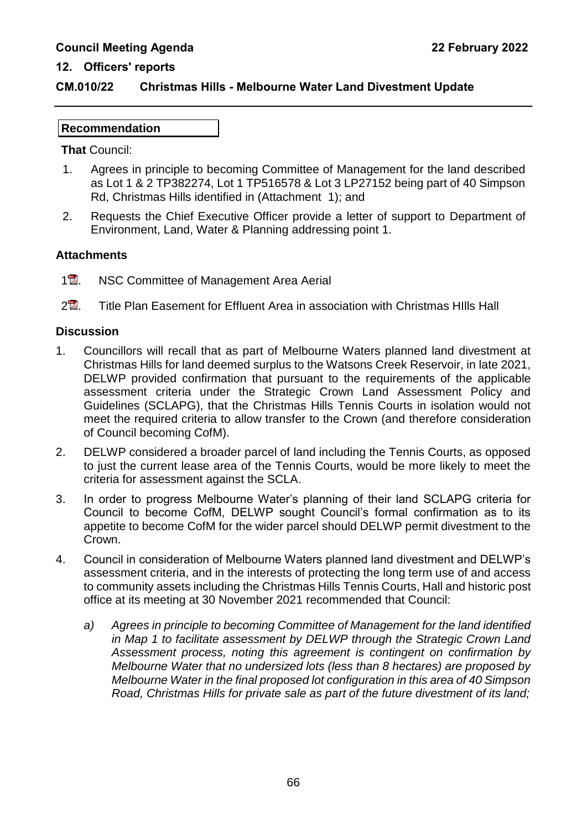# **12. Officers' reports**

## **CM.010/22 Christmas Hills - Melbourne Water Land Divestment Update**

#### **Recommendation**

**That** Council:

- 1. Agrees in principle to becoming Committee of Management for the land described as Lot 1 & 2 TP382274, Lot 1 TP516578 & Lot 3 LP27152 being part of 40 Simpson Rd, Christmas Hills identified in (Attachment 1); and
- 2. Requests the Chief Executive Officer provide a letter of support to Department of Environment, Land, Water & Planning addressing point 1.

## **Attachments**

- 1 **图**. NSC Committee of Management Area Aerial
- 2<sup>個</sup>. Title Plan Easement for Effluent Area in association with Christmas HIIIs Hall

### **Discussion**

- 1. Councillors will recall that as part of Melbourne Waters planned land divestment at Christmas Hills for land deemed surplus to the Watsons Creek Reservoir, in late 2021, DELWP provided confirmation that pursuant to the requirements of the applicable assessment criteria under the Strategic Crown Land Assessment Policy and Guidelines (SCLAPG), that the Christmas Hills Tennis Courts in isolation would not meet the required criteria to allow transfer to the Crown (and therefore consideration of Council becoming CofM).
- 2. DELWP considered a broader parcel of land including the Tennis Courts, as opposed to just the current lease area of the Tennis Courts, would be more likely to meet the criteria for assessment against the SCLA.
- 3. In order to progress Melbourne Water's planning of their land SCLAPG criteria for Council to become CofM, DELWP sought Council's formal confirmation as to its appetite to become CofM for the wider parcel should DELWP permit divestment to the Crown.
- 4. Council in consideration of Melbourne Waters planned land divestment and DELWP's assessment criteria, and in the interests of protecting the long term use of and access to community assets including the Christmas Hills Tennis Courts, Hall and historic post office at its meeting at 30 November 2021 recommended that Council:
	- *a) Agrees in principle to becoming Committee of Management for the land identified in Map 1 to facilitate assessment by DELWP through the Strategic Crown Land Assessment process, noting this agreement is contingent on confirmation by Melbourne Water that no undersized lots (less than 8 hectares) are proposed by Melbourne Water in the final proposed lot configuration in this area of 40 Simpson Road, Christmas Hills for private sale as part of the future divestment of its land;*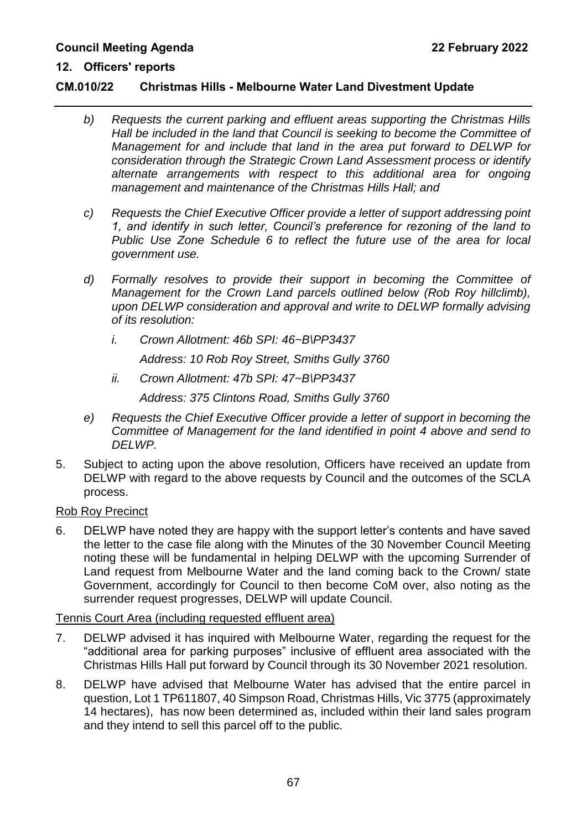### **12. Officers' reports**

### **CM.010/22 Christmas Hills - Melbourne Water Land Divestment Update**

- *b) Requests the current parking and effluent areas supporting the Christmas Hills Hall be included in the land that Council is seeking to become the Committee of Management for and include that land in the area put forward to DELWP for consideration through the Strategic Crown Land Assessment process or identify alternate arrangements with respect to this additional area for ongoing management and maintenance of the Christmas Hills Hall; and*
- *c) Requests the Chief Executive Officer provide a letter of support addressing point 1, and identify in such letter, Council's preference for rezoning of the land to Public Use Zone Schedule 6 to reflect the future use of the area for local government use.*
- *d) Formally resolves to provide their support in becoming the Committee of Management for the Crown Land parcels outlined below (Rob Roy hillclimb), upon DELWP consideration and approval and write to DELWP formally advising of its resolution:*
	- *i. Crown Allotment: 46b SPI: 46~B\PP3437*

*Address: 10 Rob Roy Street, Smiths Gully 3760*

*ii. Crown Allotment: 47b SPI: 47~B\PP3437*

*Address: 375 Clintons Road, Smiths Gully 3760* 

- *e) Requests the Chief Executive Officer provide a letter of support in becoming the Committee of Management for the land identified in point 4 above and send to DELWP.*
- 5. Subject to acting upon the above resolution, Officers have received an update from DELWP with regard to the above requests by Council and the outcomes of the SCLA process.

## Rob Roy Precinct

6. DELWP have noted they are happy with the support letter's contents and have saved the letter to the case file along with the Minutes of the 30 November Council Meeting noting these will be fundamental in helping DELWP with the upcoming Surrender of Land request from Melbourne Water and the land coming back to the Crown/ state Government, accordingly for Council to then become CoM over, also noting as the surrender request progresses, DELWP will update Council.

## Tennis Court Area (including requested effluent area)

- 7. DELWP advised it has inquired with Melbourne Water, regarding the request for the "additional area for parking purposes" inclusive of effluent area associated with the Christmas Hills Hall put forward by Council through its 30 November 2021 resolution.
- 8. DELWP have advised that Melbourne Water has advised that the entire parcel in question, Lot 1 TP611807, 40 Simpson Road, Christmas Hills, Vic 3775 (approximately 14 hectares), has now been determined as, included within their land sales program and they intend to sell this parcel off to the public.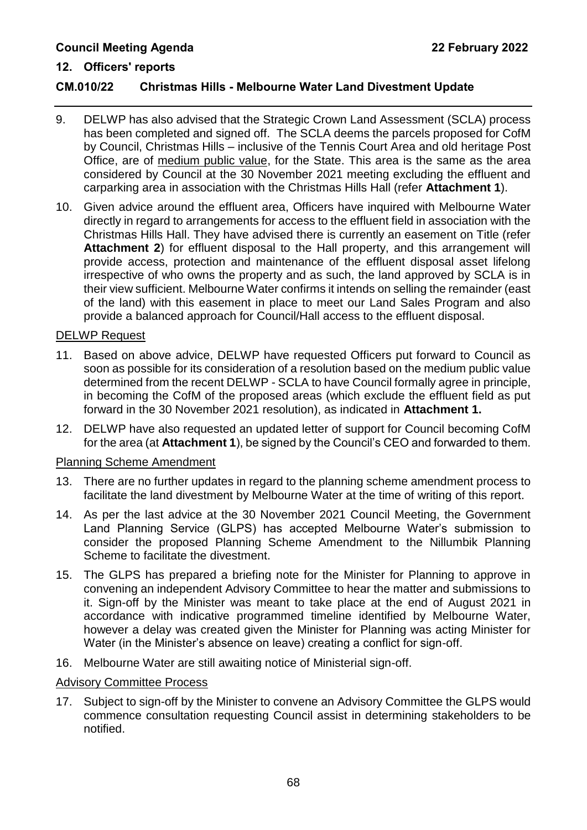## **12. Officers' reports**

## **CM.010/22 Christmas Hills - Melbourne Water Land Divestment Update**

- 9. DELWP has also advised that the Strategic Crown Land Assessment (SCLA) process has been completed and signed off. The SCLA deems the parcels proposed for CofM by Council, Christmas Hills – inclusive of the Tennis Court Area and old heritage Post Office, are of medium public value, for the State. This area is the same as the area considered by Council at the 30 November 2021 meeting excluding the effluent and carparking area in association with the Christmas Hills Hall (refer **Attachment 1**).
- 10. Given advice around the effluent area, Officers have inquired with Melbourne Water directly in regard to arrangements for access to the effluent field in association with the Christmas Hills Hall. They have advised there is currently an easement on Title (refer **Attachment 2**) for effluent disposal to the Hall property, and this arrangement will provide access, protection and maintenance of the effluent disposal asset lifelong irrespective of who owns the property and as such, the land approved by SCLA is in their view sufficient. Melbourne Water confirms it intends on selling the remainder (east of the land) with this easement in place to meet our Land Sales Program and also provide a balanced approach for Council/Hall access to the effluent disposal.

### DELWP Request

- 11. Based on above advice, DELWP have requested Officers put forward to Council as soon as possible for its consideration of a resolution based on the medium public value determined from the recent DELWP - SCLA to have Council formally agree in principle, in becoming the CofM of the proposed areas (which exclude the effluent field as put forward in the 30 November 2021 resolution), as indicated in **Attachment 1.**
- 12. DELWP have also requested an updated letter of support for Council becoming CofM for the area (at **Attachment 1**), be signed by the Council's CEO and forwarded to them.

#### Planning Scheme Amendment

- 13. There are no further updates in regard to the planning scheme amendment process to facilitate the land divestment by Melbourne Water at the time of writing of this report.
- 14. As per the last advice at the 30 November 2021 Council Meeting, the Government Land Planning Service (GLPS) has accepted Melbourne Water's submission to consider the proposed Planning Scheme Amendment to the Nillumbik Planning Scheme to facilitate the divestment.
- 15. The GLPS has prepared a briefing note for the Minister for Planning to approve in convening an independent Advisory Committee to hear the matter and submissions to it. Sign-off by the Minister was meant to take place at the end of August 2021 in accordance with indicative programmed timeline identified by Melbourne Water, however a delay was created given the Minister for Planning was acting Minister for Water (in the Minister's absence on leave) creating a conflict for sign-off.
- 16. Melbourne Water are still awaiting notice of Ministerial sign-off.

#### Advisory Committee Process

17. Subject to sign-off by the Minister to convene an Advisory Committee the GLPS would commence consultation requesting Council assist in determining stakeholders to be notified.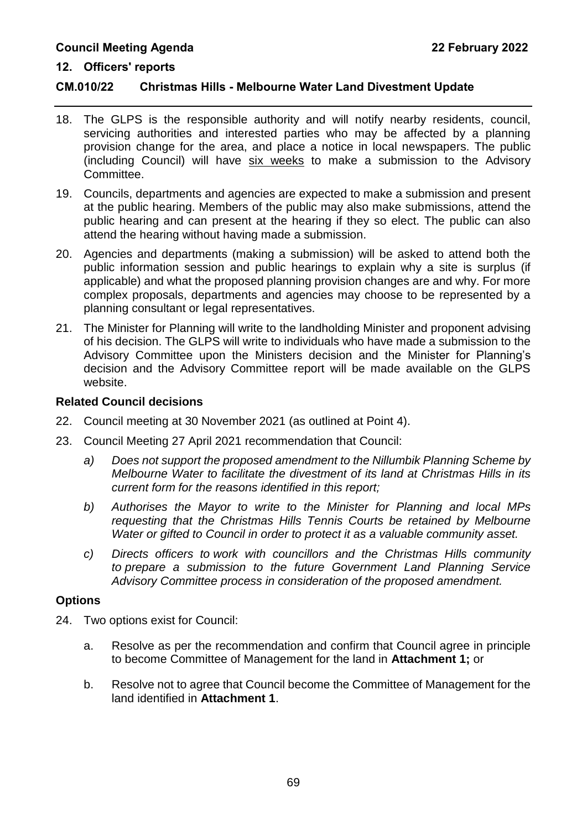#### **12. Officers' reports**

#### **CM.010/22 Christmas Hills - Melbourne Water Land Divestment Update**

- 18. The GLPS is the responsible authority and will notify nearby residents, council, servicing authorities and interested parties who may be affected by a planning provision change for the area, and place a notice in local newspapers. The public (including Council) will have six weeks to make a submission to the Advisory Committee.
- 19. Councils, departments and agencies are expected to make a submission and present at the public hearing. Members of the public may also make submissions, attend the public hearing and can present at the hearing if they so elect. The public can also attend the hearing without having made a submission.
- 20. Agencies and departments (making a submission) will be asked to attend both the public information session and public hearings to explain why a site is surplus (if applicable) and what the proposed planning provision changes are and why. For more complex proposals, departments and agencies may choose to be represented by a planning consultant or legal representatives.
- 21. The Minister for Planning will write to the landholding Minister and proponent advising of his decision. The GLPS will write to individuals who have made a submission to the Advisory Committee upon the Ministers decision and the Minister for Planning's decision and the Advisory Committee report will be made available on the GLPS website.

#### **Related Council decisions**

- 22. Council meeting at 30 November 2021 (as outlined at Point 4).
- 23. Council Meeting 27 April 2021 recommendation that Council:
	- *a) Does not support the proposed amendment to the Nillumbik Planning Scheme by Melbourne Water to facilitate the divestment of its land at Christmas Hills in its current form for the reasons identified in this report;*
	- *b) Authorises the Mayor to write to the Minister for Planning and local MPs requesting that the Christmas Hills Tennis Courts be retained by Melbourne Water or gifted to Council in order to protect it as a valuable community asset.*
	- *c) Directs officers to work with councillors and the Christmas Hills community to prepare a submission to the future Government Land Planning Service Advisory Committee process in consideration of the proposed amendment.*

#### **Options**

- 24. Two options exist for Council:
	- a. Resolve as per the recommendation and confirm that Council agree in principle to become Committee of Management for the land in **Attachment 1;** or
	- b. Resolve not to agree that Council become the Committee of Management for the land identified in **Attachment 1**.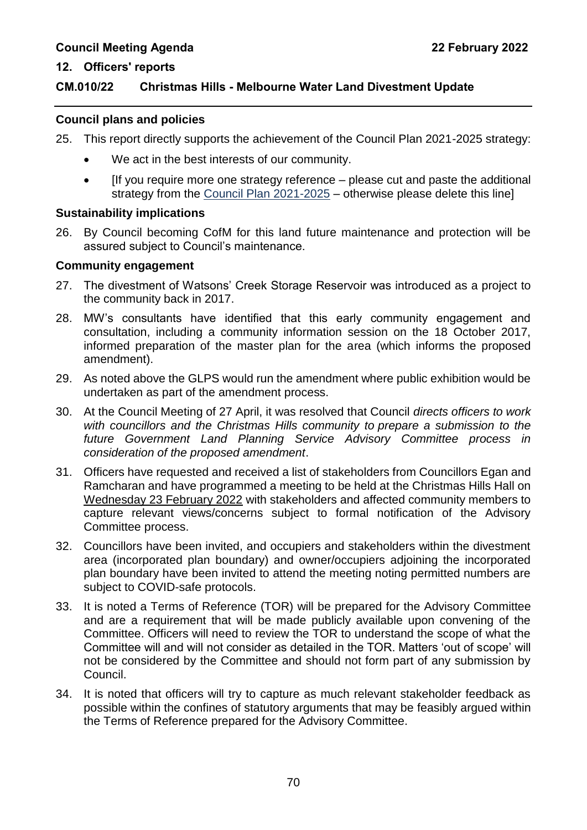#### **CM.010/22 Christmas Hills - Melbourne Water Land Divestment Update**

#### **Council plans and policies**

- 25. This report directly supports the achievement of the Council Plan 2021-2025 strategy:
	- We act in the best interests of our community.
	- [If you require more one strategy reference please cut and paste the additional strategy from the [Council Plan 2021-2025](file://///nbik-win2.nsc.local/group/InfoCouncil/Updates/Council%20Plan%202021_2025.docx) – otherwise please delete this line]

### **Sustainability implications**

26. By Council becoming CofM for this land future maintenance and protection will be assured subject to Council's maintenance.

#### **Community engagement**

- 27. The divestment of Watsons' Creek Storage Reservoir was introduced as a project to the community back in 2017.
- 28. MW's consultants have identified that this early community engagement and consultation, including a community information session on the 18 October 2017, informed preparation of the master plan for the area (which informs the proposed amendment).
- 29. As noted above the GLPS would run the amendment where public exhibition would be undertaken as part of the amendment process.
- 30. At the Council Meeting of 27 April, it was resolved that Council *directs officers to work with councillors and the Christmas Hills community to prepare a submission to the future Government Land Planning Service Advisory Committee process in consideration of the proposed amendment*.
- 31. Officers have requested and received a list of stakeholders from Councillors Egan and Ramcharan and have programmed a meeting to be held at the Christmas Hills Hall on Wednesday 23 February 2022 with stakeholders and affected community members to capture relevant views/concerns subject to formal notification of the Advisory Committee process.
- 32. Councillors have been invited, and occupiers and stakeholders within the divestment area (incorporated plan boundary) and owner/occupiers adjoining the incorporated plan boundary have been invited to attend the meeting noting permitted numbers are subject to COVID-safe protocols.
- 33. It is noted a Terms of Reference (TOR) will be prepared for the Advisory Committee and are a requirement that will be made publicly available upon convening of the Committee. Officers will need to review the TOR to understand the scope of what the Committee will and will not consider as detailed in the TOR. Matters 'out of scope' will not be considered by the Committee and should not form part of any submission by Council.
- 34. It is noted that officers will try to capture as much relevant stakeholder feedback as possible within the confines of statutory arguments that may be feasibly argued within the Terms of Reference prepared for the Advisory Committee.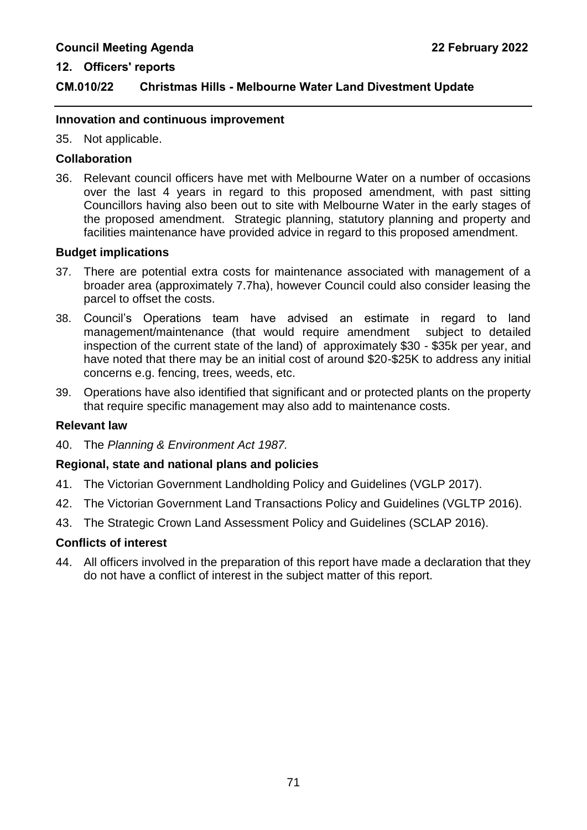### **CM.010/22 Christmas Hills - Melbourne Water Land Divestment Update**

#### **Innovation and continuous improvement**

35. Not applicable.

#### **Collaboration**

36. Relevant council officers have met with Melbourne Water on a number of occasions over the last 4 years in regard to this proposed amendment, with past sitting Councillors having also been out to site with Melbourne Water in the early stages of the proposed amendment. Strategic planning, statutory planning and property and facilities maintenance have provided advice in regard to this proposed amendment.

#### **Budget implications**

- 37. There are potential extra costs for maintenance associated with management of a broader area (approximately 7.7ha), however Council could also consider leasing the parcel to offset the costs.
- 38. Council's Operations team have advised an estimate in regard to land management/maintenance (that would require amendment subject to detailed inspection of the current state of the land) of approximately \$30 - \$35k per year, and have noted that there may be an initial cost of around \$20-\$25K to address any initial concerns e.g. fencing, trees, weeds, etc.
- 39. Operations have also identified that significant and or protected plants on the property that require specific management may also add to maintenance costs.

#### **Relevant law**

40. The *Planning & Environment Act 1987.*

### **Regional, state and national plans and policies**

- 41. The Victorian Government Landholding Policy and Guidelines (VGLP 2017).
- 42. The Victorian Government Land Transactions Policy and Guidelines (VGLTP 2016).
- 43. The Strategic Crown Land Assessment Policy and Guidelines (SCLAP 2016).

#### **Conflicts of interest**

44. All officers involved in the preparation of this report have made a declaration that they do not have a conflict of interest in the subject matter of this report.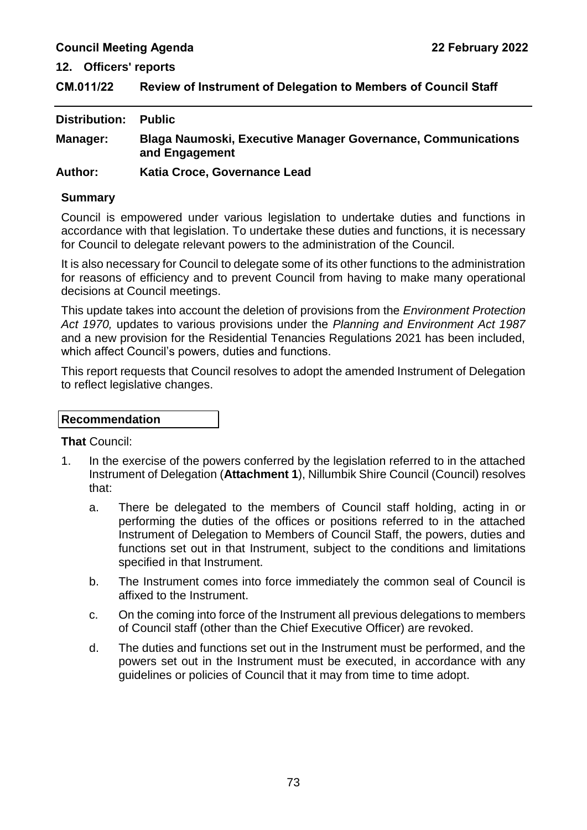**12. Officers' reports**

**CM.011/22 Review of Instrument of Delegation to Members of Council Staff**

| Distribution:   | <b>Public</b>                                                                         |
|-----------------|---------------------------------------------------------------------------------------|
| <b>Manager:</b> | <b>Blaga Naumoski, Executive Manager Governance, Communications</b><br>and Engagement |
| Author:         | Katia Croce, Governance Lead                                                          |

#### **Summary**

Council is empowered under various legislation to undertake duties and functions in accordance with that legislation. To undertake these duties and functions, it is necessary for Council to delegate relevant powers to the administration of the Council.

It is also necessary for Council to delegate some of its other functions to the administration for reasons of efficiency and to prevent Council from having to make many operational decisions at Council meetings.

This update takes into account the deletion of provisions from the *Environment Protection Act 1970,* updates to various provisions under the *Planning and Environment Act 1987* and a new provision for the Residential Tenancies Regulations 2021 has been included, which affect Council's powers, duties and functions.

This report requests that Council resolves to adopt the amended Instrument of Delegation to reflect legislative changes.

#### **Recommendation**

**That** Council:

- 1. In the exercise of the powers conferred by the legislation referred to in the attached Instrument of Delegation (**Attachment 1**), Nillumbik Shire Council (Council) resolves that:
	- a. There be delegated to the members of Council staff holding, acting in or performing the duties of the offices or positions referred to in the attached Instrument of Delegation to Members of Council Staff, the powers, duties and functions set out in that Instrument, subject to the conditions and limitations specified in that Instrument.
	- b. The Instrument comes into force immediately the common seal of Council is affixed to the Instrument.
	- c. On the coming into force of the Instrument all previous delegations to members of Council staff (other than the Chief Executive Officer) are revoked.
	- d. The duties and functions set out in the Instrument must be performed, and the powers set out in the Instrument must be executed, in accordance with any guidelines or policies of Council that it may from time to time adopt.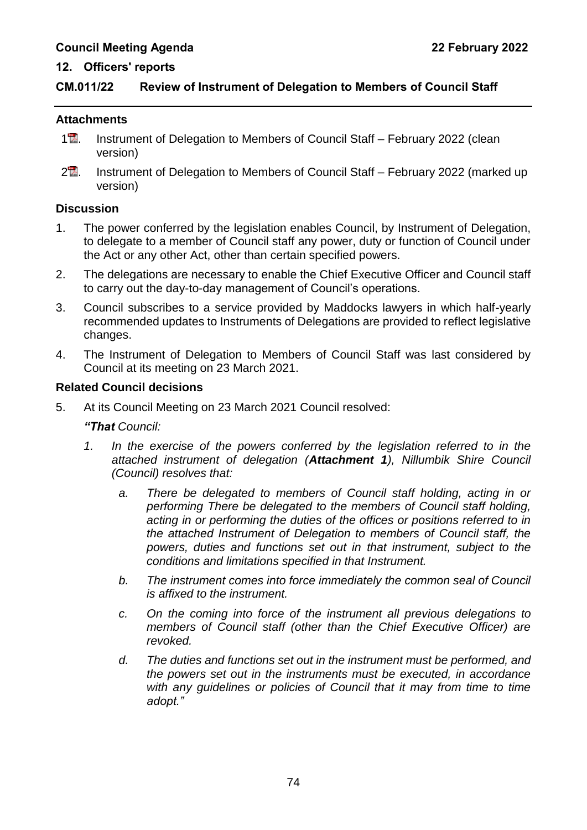### **CM.011/22 Review of Instrument of Delegation to Members of Council Staff**

#### **Attachments**

- 1 **图**. Instrument of Delegation to Members of Council Staff February 2022 (clean version)
- 2<sup>1</sup> . Instrument of Delegation to Members of Council Staff February 2022 (marked up version)

#### **Discussion**

- 1. The power conferred by the legislation enables Council, by Instrument of Delegation, to delegate to a member of Council staff any power, duty or function of Council under the Act or any other Act, other than certain specified powers.
- 2. The delegations are necessary to enable the Chief Executive Officer and Council staff to carry out the day-to-day management of Council's operations.
- 3. Council subscribes to a service provided by Maddocks lawyers in which half-yearly recommended updates to Instruments of Delegations are provided to reflect legislative changes.
- 4. The Instrument of Delegation to Members of Council Staff was last considered by Council at its meeting on 23 March 2021.

#### **Related Council decisions**

5. At its Council Meeting on 23 March 2021 Council resolved:

### *"That Council:*

- *1. In the exercise of the powers conferred by the legislation referred to in the attached instrument of delegation (Attachment 1), Nillumbik Shire Council (Council) resolves that:*
	- *a. There be delegated to members of Council staff holding, acting in or performing There be delegated to the members of Council staff holding, acting in or performing the duties of the offices or positions referred to in the attached Instrument of Delegation to members of Council staff, the powers, duties and functions set out in that instrument, subject to the conditions and limitations specified in that Instrument.*
	- *b. The instrument comes into force immediately the common seal of Council is affixed to the instrument.*
	- *c. On the coming into force of the instrument all previous delegations to members of Council staff (other than the Chief Executive Officer) are revoked.*
	- *d. The duties and functions set out in the instrument must be performed, and the powers set out in the instruments must be executed, in accordance with any guidelines or policies of Council that it may from time to time adopt."*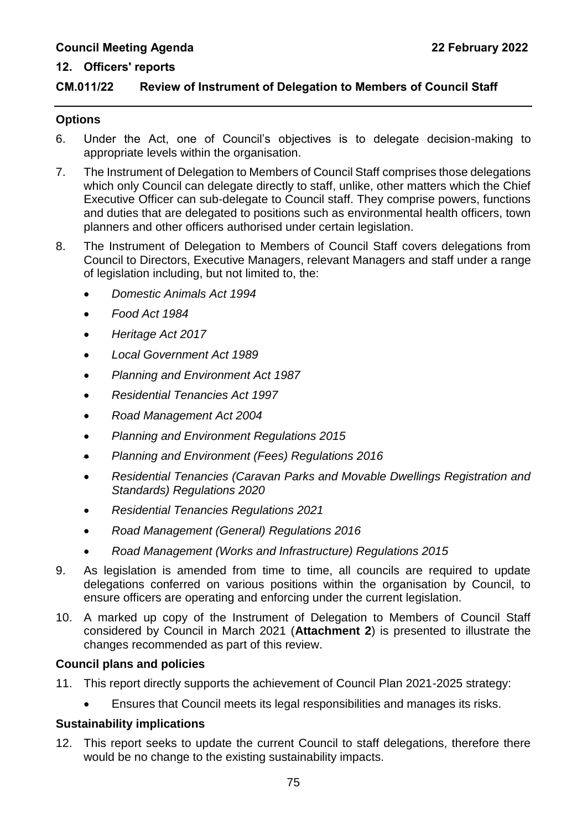### **CM.011/22 Review of Instrument of Delegation to Members of Council Staff**

#### **Options**

- 6. Under the Act, one of Council's objectives is to delegate decision-making to appropriate levels within the organisation.
- 7. The Instrument of Delegation to Members of Council Staff comprises those delegations which only Council can delegate directly to staff, unlike, other matters which the Chief Executive Officer can sub-delegate to Council staff. They comprise powers, functions and duties that are delegated to positions such as environmental health officers, town planners and other officers authorised under certain legislation.
- 8. The Instrument of Delegation to Members of Council Staff covers delegations from Council to Directors, Executive Managers, relevant Managers and staff under a range of legislation including, but not limited to, the:
	- *Domestic Animals Act 1994*
	- *Food Act 1984*
	- *Heritage Act 2017*
	- *Local Government Act 1989*
	- *Planning and Environment Act 1987*
	- *Residential Tenancies Act 1997*
	- *Road Management Act 2004*
	- *Planning and Environment Regulations 2015*
	- *Planning and Environment (Fees) Regulations 2016*
	- *Residential Tenancies (Caravan Parks and Movable Dwellings Registration and Standards) Regulations 2020*
	- *Residential Tenancies Regulations 2021*
	- *Road Management (General) Regulations 2016*
	- *Road Management (Works and Infrastructure) Regulations 2015*
- 9. As legislation is amended from time to time, all councils are required to update delegations conferred on various positions within the organisation by Council, to ensure officers are operating and enforcing under the current legislation.
- 10. A marked up copy of the Instrument of Delegation to Members of Council Staff considered by Council in March 2021 (**Attachment 2**) is presented to illustrate the changes recommended as part of this review.

#### **Council plans and policies**

- 11. This report directly supports the achievement of Council Plan 2021-2025 strategy:
	- Ensures that Council meets its legal responsibilities and manages its risks.

#### **Sustainability implications**

12. This report seeks to update the current Council to staff delegations, therefore there would be no change to the existing sustainability impacts.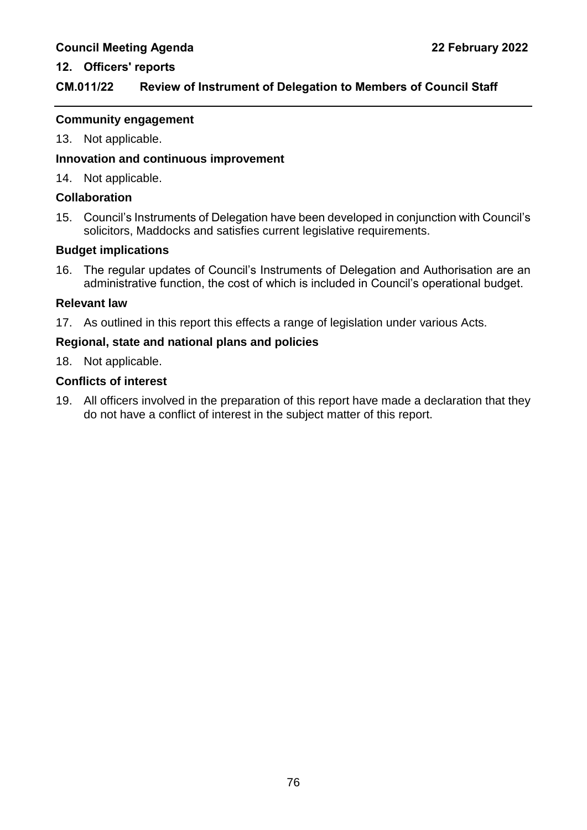### **CM.011/22 Review of Instrument of Delegation to Members of Council Staff**

#### **Community engagement**

13. Not applicable.

#### **Innovation and continuous improvement**

14. Not applicable.

### **Collaboration**

15. Council's Instruments of Delegation have been developed in conjunction with Council's solicitors, Maddocks and satisfies current legislative requirements.

#### **Budget implications**

16. The regular updates of Council's Instruments of Delegation and Authorisation are an administrative function, the cost of which is included in Council's operational budget.

#### **Relevant law**

17. As outlined in this report this effects a range of legislation under various Acts.

### **Regional, state and national plans and policies**

18. Not applicable.

#### **Conflicts of interest**

19. All officers involved in the preparation of this report have made a declaration that they do not have a conflict of interest in the subject matter of this report.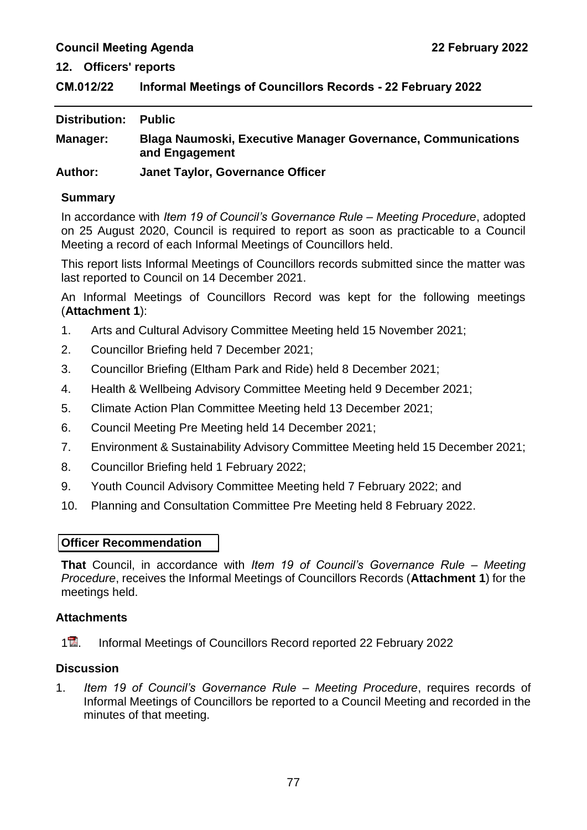**12. Officers' reports**

**CM.012/22 Informal Meetings of Councillors Records - 22 February 2022**

**Manager: Blaga Naumoski, Executive Manager Governance, Communications and Engagement** 

**Author: Janet Taylor, Governance Officer** 

### **Summary**

In accordance with *Item 19 of Council's Governance Rule – Meeting Procedure*, adopted on 25 August 2020, Council is required to report as soon as practicable to a Council Meeting a record of each Informal Meetings of Councillors held.

This report lists Informal Meetings of Councillors records submitted since the matter was last reported to Council on 14 December 2021.

An Informal Meetings of Councillors Record was kept for the following meetings (**Attachment 1**):

- 1. Arts and Cultural Advisory Committee Meeting held 15 November 2021;
- 2. Councillor Briefing held 7 December 2021;
- 3. Councillor Briefing (Eltham Park and Ride) held 8 December 2021;
- 4. Health & Wellbeing Advisory Committee Meeting held 9 December 2021;
- 5. Climate Action Plan Committee Meeting held 13 December 2021;
- 6. Council Meeting Pre Meeting held 14 December 2021;
- 7. Environment & Sustainability Advisory Committee Meeting held 15 December 2021;
- 8. Councillor Briefing held 1 February 2022;
- 9. Youth Council Advisory Committee Meeting held 7 February 2022; and
- 10. Planning and Consultation Committee Pre Meeting held 8 February 2022.

### **Officer Recommendation**

**That** Council, in accordance with *Item 19 of Council's Governance Rule – Meeting Procedure*, receives the Informal Meetings of Councillors Records (**Attachment 1**) for the meetings held.

### **Attachments**

1<sup>1</sup> . Informal Meetings of Councillors Record reported 22 February 2022

### **Discussion**

1. *Item 19 of Council's Governance Rule – Meeting Procedure*, requires records of Informal Meetings of Councillors be reported to a Council Meeting and recorded in the minutes of that meeting.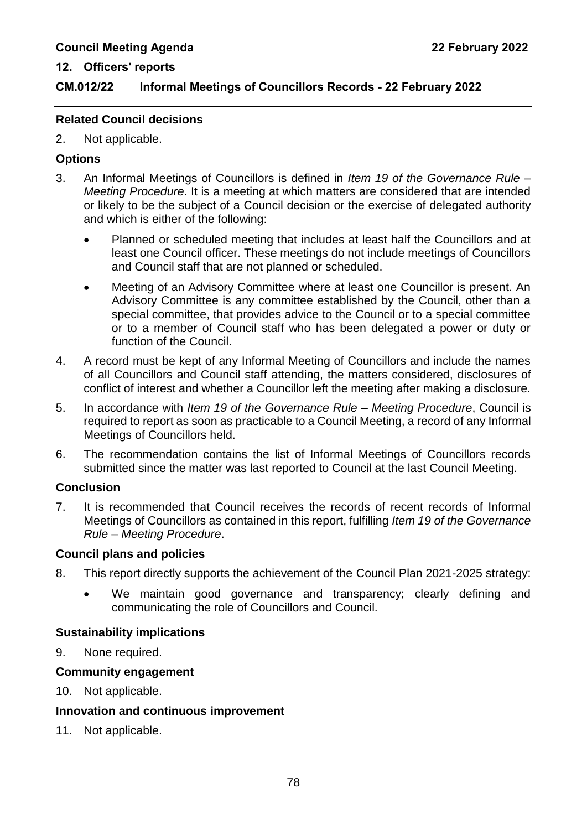### **CM.012/22 Informal Meetings of Councillors Records - 22 February 2022**

#### **Related Council decisions**

2. Not applicable.

#### **Options**

- 3. An Informal Meetings of Councillors is defined in *Item 19 of the Governance Rule – Meeting Procedure*. It is a meeting at which matters are considered that are intended or likely to be the subject of a Council decision or the exercise of delegated authority and which is either of the following:
	- Planned or scheduled meeting that includes at least half the Councillors and at least one Council officer. These meetings do not include meetings of Councillors and Council staff that are not planned or scheduled.
	- Meeting of an Advisory Committee where at least one Councillor is present. An Advisory Committee is any committee established by the Council, other than a special committee, that provides advice to the Council or to a special committee or to a member of Council staff who has been delegated a power or duty or function of the Council.
- 4. A record must be kept of any Informal Meeting of Councillors and include the names of all Councillors and Council staff attending, the matters considered, disclosures of conflict of interest and whether a Councillor left the meeting after making a disclosure.
- 5. In accordance with *Item 19 of the Governance Rule – Meeting Procedure*, Council is required to report as soon as practicable to a Council Meeting, a record of any Informal Meetings of Councillors held.
- 6. The recommendation contains the list of Informal Meetings of Councillors records submitted since the matter was last reported to Council at the last Council Meeting.

### **Conclusion**

7. It is recommended that Council receives the records of recent records of Informal Meetings of Councillors as contained in this report, fulfilling *Item 19 of the Governance Rule – Meeting Procedure*.

#### **Council plans and policies**

- 8. This report directly supports the achievement of the Council Plan 2021-2025 strategy:
	- We maintain good governance and transparency; clearly defining and communicating the role of Councillors and Council.

### **Sustainability implications**

9. None required.

#### **Community engagement**

10. Not applicable.

#### **Innovation and continuous improvement**

11. Not applicable.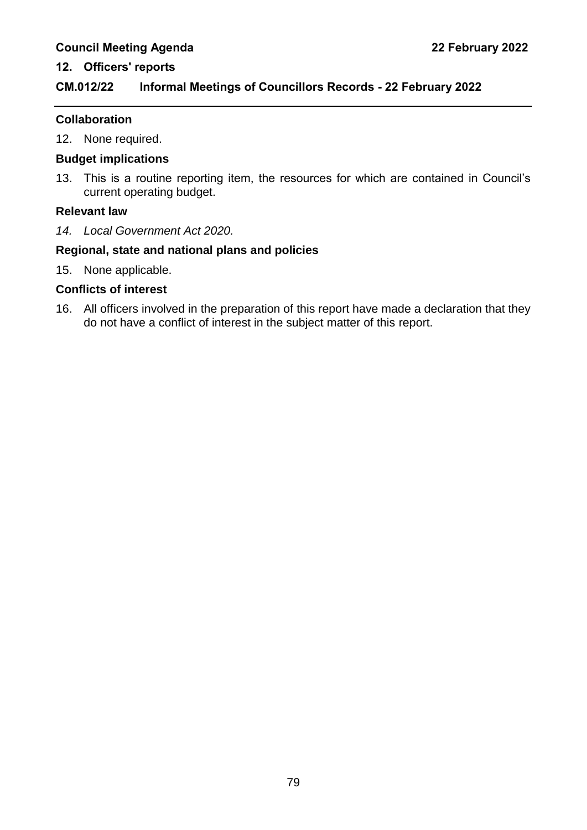### **CM.012/22 Informal Meetings of Councillors Records - 22 February 2022**

#### **Collaboration**

12. None required.

### **Budget implications**

13. This is a routine reporting item, the resources for which are contained in Council's current operating budget.

### **Relevant law**

*14. Local Government Act 2020.*

### **Regional, state and national plans and policies**

15. None applicable.

#### **Conflicts of interest**

16. All officers involved in the preparation of this report have made a declaration that they do not have a conflict of interest in the subject matter of this report.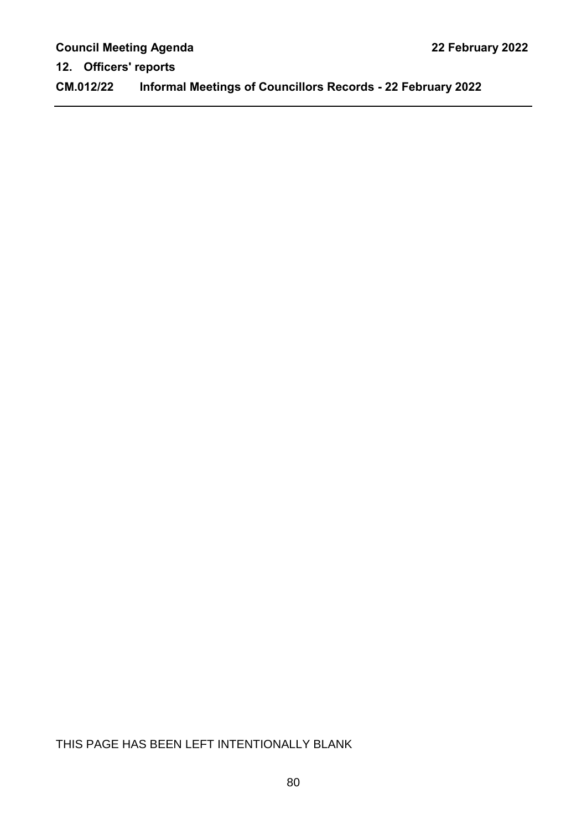# THIS PAGE HAS BEEN LEFT INTENTIONALLY BLANK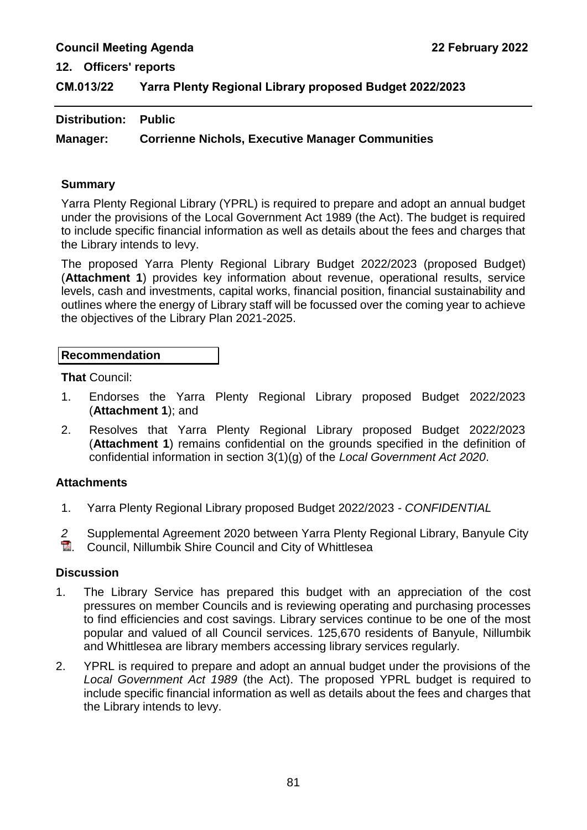### **12. Officers' reports**

### **CM.013/22 Yarra Plenty Regional Library proposed Budget 2022/2023**

### **Distribution: Public**

### **Manager: Corrienne Nichols, Executive Manager Communities**

### **Summary**

Yarra Plenty Regional Library (YPRL) is required to prepare and adopt an annual budget under the provisions of the Local Government Act 1989 (the Act). The budget is required to include specific financial information as well as details about the fees and charges that the Library intends to levy.

The proposed Yarra Plenty Regional Library Budget 2022/2023 (proposed Budget) (**Attachment 1**) provides key information about revenue, operational results, service levels, cash and investments, capital works, financial position, financial sustainability and outlines where the energy of Library staff will be focussed over the coming year to achieve the objectives of the Library Plan 2021-2025.

#### **Recommendation**

**That** Council:

- 1. Endorses the Yarra Plenty Regional Library proposed Budget 2022/2023 (**Attachment 1**); and
- 2. Resolves that Yarra Plenty Regional Library proposed Budget 2022/2023 (**Attachment 1**) remains confidential on the grounds specified in the definition of confidential information in section 3(1)(g) of the *Local Government Act 2020*.

### **Attachments**

- 1. Yarra Plenty Regional Library proposed Budget 2022/2023 *- CONFIDENTIAL*
- *2* Supplemental Agreement 2020 between Yarra Plenty Regional Library, Banyule City
- . Council, Nillumbik Shire Council and City of Whittlesea

#### **Discussion**

- 1. The Library Service has prepared this budget with an appreciation of the cost pressures on member Councils and is reviewing operating and purchasing processes to find efficiencies and cost savings. Library services continue to be one of the most popular and valued of all Council services. 125,670 residents of Banyule, Nillumbik and Whittlesea are library members accessing library services regularly.
- 2. YPRL is required to prepare and adopt an annual budget under the provisions of the *Local Government Act 1989* (the Act). The proposed YPRL budget is required to include specific financial information as well as details about the fees and charges that the Library intends to levy.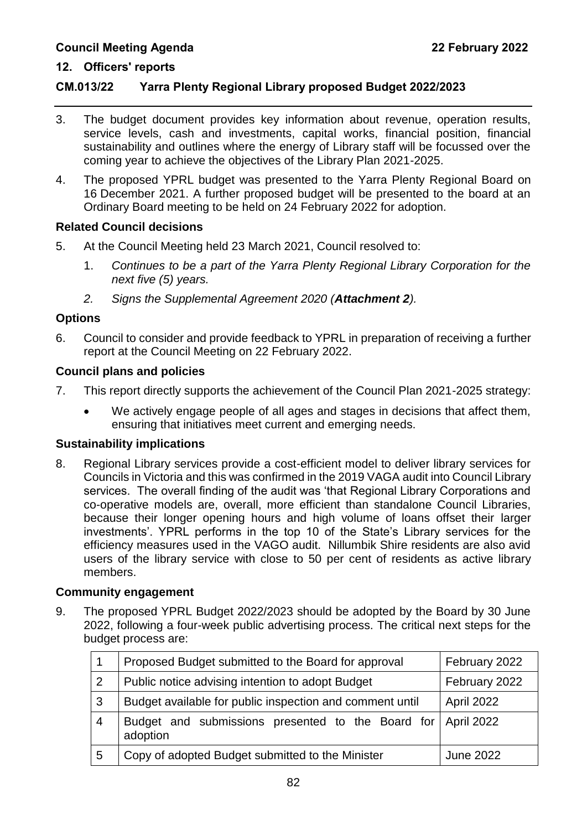### **CM.013/22 Yarra Plenty Regional Library proposed Budget 2022/2023**

- 3. The budget document provides key information about revenue, operation results, service levels, cash and investments, capital works, financial position, financial sustainability and outlines where the energy of Library staff will be focussed over the coming year to achieve the objectives of the Library Plan 2021-2025.
- 4. The proposed YPRL budget was presented to the Yarra Plenty Regional Board on 16 December 2021. A further proposed budget will be presented to the board at an Ordinary Board meeting to be held on 24 February 2022 for adoption.

#### **Related Council decisions**

- 5. At the Council Meeting held 23 March 2021, Council resolved to:
	- 1. *Continues to be a part of the Yarra Plenty Regional Library Corporation for the next five (5) years.*
	- *2. Signs the Supplemental Agreement 2020 (Attachment 2).*

### **Options**

6. Council to consider and provide feedback to YPRL in preparation of receiving a further report at the Council Meeting on 22 February 2022.

### **Council plans and policies**

- 7. This report directly supports the achievement of the Council Plan 2021-2025 strategy:
	- We actively engage people of all ages and stages in decisions that affect them, ensuring that initiatives meet current and emerging needs.

### **Sustainability implications**

8. Regional Library services provide a cost-efficient model to deliver library services for Councils in Victoria and this was confirmed in the 2019 VAGA audit into Council Library services. The overall finding of the audit was 'that Regional Library Corporations and co-operative models are, overall, more efficient than standalone Council Libraries, because their longer opening hours and high volume of loans offset their larger investments'. YPRL performs in the top 10 of the State's Library services for the efficiency measures used in the VAGO audit. Nillumbik Shire residents are also avid users of the library service with close to 50 per cent of residents as active library members.

#### **Community engagement**

9. The proposed YPRL Budget 2022/2023 should be adopted by the Board by 30 June 2022, following a four-week public advertising process. The critical next steps for the budget process are:

|                | Proposed Budget submitted to the Board for approval                        | February 2022    |
|----------------|----------------------------------------------------------------------------|------------------|
| 2              | Public notice advising intention to adopt Budget                           | February 2022    |
| $\mathbf{3}$   | Budget available for public inspection and comment until                   | April 2022       |
| $\overline{4}$ | Budget and submissions presented to the Board for   April 2022<br>adoption |                  |
| -5             | Copy of adopted Budget submitted to the Minister                           | <b>June 2022</b> |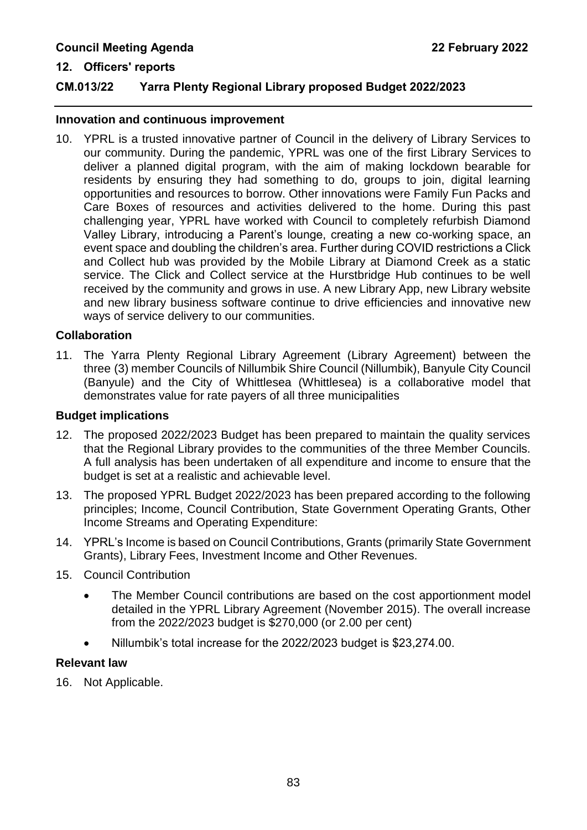### **CM.013/22 Yarra Plenty Regional Library proposed Budget 2022/2023**

#### **Innovation and continuous improvement**

10. YPRL is a trusted innovative partner of Council in the delivery of Library Services to our community. During the pandemic, YPRL was one of the first Library Services to deliver a planned digital program, with the aim of making lockdown bearable for residents by ensuring they had something to do, groups to join, digital learning opportunities and resources to borrow. Other innovations were Family Fun Packs and Care Boxes of resources and activities delivered to the home. During this past challenging year, YPRL have worked with Council to completely refurbish Diamond Valley Library, introducing a Parent's lounge, creating a new co-working space, an event space and doubling the children's area. Further during COVID restrictions a Click and Collect hub was provided by the Mobile Library at Diamond Creek as a static service. The Click and Collect service at the Hurstbridge Hub continues to be well received by the community and grows in use. A new Library App, new Library website and new library business software continue to drive efficiencies and innovative new ways of service delivery to our communities.

#### **Collaboration**

11. The Yarra Plenty Regional Library Agreement (Library Agreement) between the three (3) member Councils of Nillumbik Shire Council (Nillumbik), Banyule City Council (Banyule) and the City of Whittlesea (Whittlesea) is a collaborative model that demonstrates value for rate payers of all three municipalities

#### **Budget implications**

- 12. The proposed 2022/2023 Budget has been prepared to maintain the quality services that the Regional Library provides to the communities of the three Member Councils. A full analysis has been undertaken of all expenditure and income to ensure that the budget is set at a realistic and achievable level.
- 13. The proposed YPRL Budget 2022/2023 has been prepared according to the following principles; Income, Council Contribution, State Government Operating Grants, Other Income Streams and Operating Expenditure:
- 14. YPRL's Income is based on Council Contributions, Grants (primarily State Government Grants), Library Fees, Investment Income and Other Revenues.
- 15. Council Contribution
	- The Member Council contributions are based on the cost apportionment model detailed in the YPRL Library Agreement (November 2015). The overall increase from the 2022/2023 budget is \$270,000 (or 2.00 per cent)
	- Nillumbik's total increase for the 2022/2023 budget is \$23,274.00.

#### **Relevant law**

16. Not Applicable.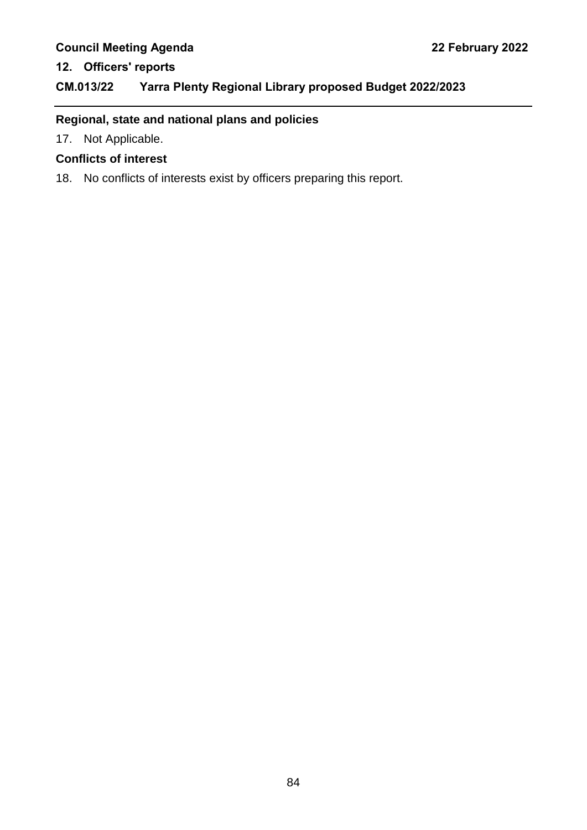## **CM.013/22 Yarra Plenty Regional Library proposed Budget 2022/2023**

## **Regional, state and national plans and policies**

17. Not Applicable.

## **Conflicts of interest**

18. No conflicts of interests exist by officers preparing this report.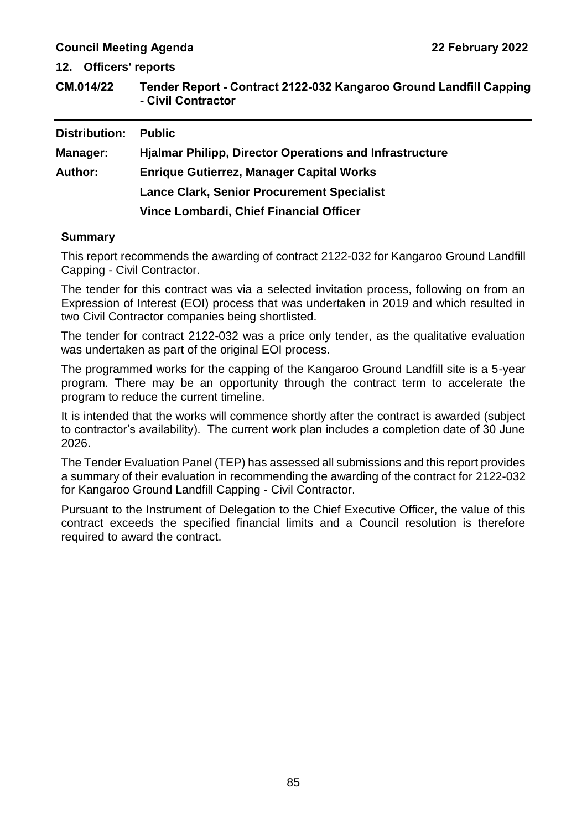**12. Officers' reports**

| CM.014/22 | Tender Report - Contract 2122-032 Kangaroo Ground Landfill Capping |
|-----------|--------------------------------------------------------------------|
|           | - Civil Contractor                                                 |

| Distribution:  | <b>Public</b>                                                  |
|----------------|----------------------------------------------------------------|
| Manager:       | <b>Hjalmar Philipp, Director Operations and Infrastructure</b> |
| <b>Author:</b> | <b>Enrique Gutierrez, Manager Capital Works</b>                |
|                | <b>Lance Clark, Senior Procurement Specialist</b>              |
|                | Vince Lombardi, Chief Financial Officer                        |

#### **Summary**

This report recommends the awarding of contract 2122-032 for Kangaroo Ground Landfill Capping - Civil Contractor.

The tender for this contract was via a selected invitation process, following on from an Expression of Interest (EOI) process that was undertaken in 2019 and which resulted in two Civil Contractor companies being shortlisted.

The tender for contract 2122-032 was a price only tender, as the qualitative evaluation was undertaken as part of the original EOI process.

The programmed works for the capping of the Kangaroo Ground Landfill site is a 5-year program. There may be an opportunity through the contract term to accelerate the program to reduce the current timeline.

It is intended that the works will commence shortly after the contract is awarded (subject to contractor's availability). The current work plan includes a completion date of 30 June 2026.

The Tender Evaluation Panel (TEP) has assessed all submissions and this report provides a summary of their evaluation in recommending the awarding of the contract for 2122-032 for Kangaroo Ground Landfill Capping - Civil Contractor.

Pursuant to the Instrument of Delegation to the Chief Executive Officer, the value of this contract exceeds the specified financial limits and a Council resolution is therefore required to award the contract.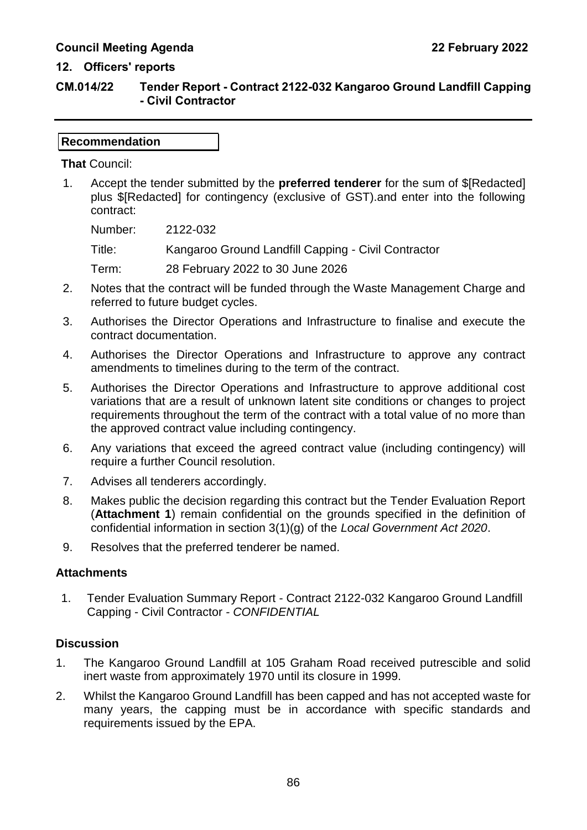### **12. Officers' reports**

### **CM.014/22 Tender Report - Contract 2122-032 Kangaroo Ground Landfill Capping - Civil Contractor**

#### **Recommendation**

**That** Council:

1. Accept the tender submitted by the **preferred tenderer** for the sum of \$[Redacted] plus \$[Redacted] for contingency (exclusive of GST).and enter into the following contract:

Number: 2122-032

Title: Kangaroo Ground Landfill Capping - Civil Contractor

Term: 28 February 2022 to 30 June 2026

- 2. Notes that the contract will be funded through the Waste Management Charge and referred to future budget cycles.
- 3. Authorises the Director Operations and Infrastructure to finalise and execute the contract documentation.
- 4. Authorises the Director Operations and Infrastructure to approve any contract amendments to timelines during to the term of the contract.
- 5. Authorises the Director Operations and Infrastructure to approve additional cost variations that are a result of unknown latent site conditions or changes to project requirements throughout the term of the contract with a total value of no more than the approved contract value including contingency.
- 6. Any variations that exceed the agreed contract value (including contingency) will require a further Council resolution.
- 7. Advises all tenderers accordingly.
- 8. Makes public the decision regarding this contract but the Tender Evaluation Report (**Attachment 1**) remain confidential on the grounds specified in the definition of confidential information in section 3(1)(g) of the *Local Government Act 2020*.
- 9. Resolves that the preferred tenderer be named.

### **Attachments**

1. Tender Evaluation Summary Report - Contract 2122-032 Kangaroo Ground Landfill Capping - Civil Contractor *- CONFIDENTIAL* 

### **Discussion**

- 1. The Kangaroo Ground Landfill at 105 Graham Road received putrescible and solid inert waste from approximately 1970 until its closure in 1999.
- 2. Whilst the Kangaroo Ground Landfill has been capped and has not accepted waste for many years, the capping must be in accordance with specific standards and requirements issued by the EPA.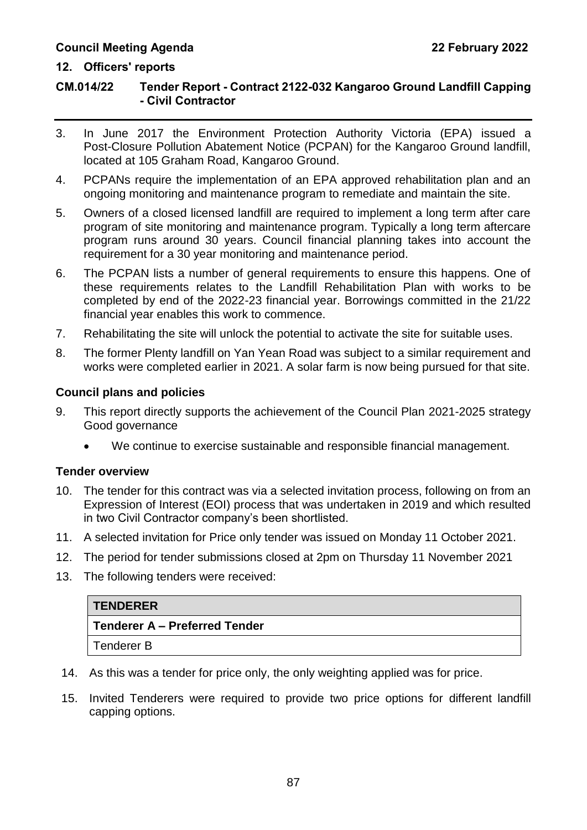### **12. Officers' reports**

### **CM.014/22 Tender Report - Contract 2122-032 Kangaroo Ground Landfill Capping - Civil Contractor**

- 3. In June 2017 the Environment Protection Authority Victoria (EPA) issued a Post-Closure Pollution Abatement Notice (PCPAN) for the Kangaroo Ground landfill, located at 105 Graham Road, Kangaroo Ground.
- 4. PCPANs require the implementation of an EPA approved rehabilitation plan and an ongoing monitoring and maintenance program to remediate and maintain the site.
- 5. Owners of a closed licensed landfill are required to implement a long term after care program of site monitoring and maintenance program. Typically a long term aftercare program runs around 30 years. Council financial planning takes into account the requirement for a 30 year monitoring and maintenance period.
- 6. The PCPAN lists a number of general requirements to ensure this happens. One of these requirements relates to the Landfill Rehabilitation Plan with works to be completed by end of the 2022-23 financial year. Borrowings committed in the 21/22 financial year enables this work to commence.
- 7. Rehabilitating the site will unlock the potential to activate the site for suitable uses.
- 8. The former Plenty landfill on Yan Yean Road was subject to a similar requirement and works were completed earlier in 2021. A solar farm is now being pursued for that site.

### **Council plans and policies**

- 9. This report directly supports the achievement of the Council Plan 2021-2025 strategy Good governance
	- We continue to exercise sustainable and responsible financial management.

### **Tender overview**

- 10. The tender for this contract was via a selected invitation process, following on from an Expression of Interest (EOI) process that was undertaken in 2019 and which resulted in two Civil Contractor company's been shortlisted.
- 11. A selected invitation for Price only tender was issued on Monday 11 October 2021.
- 12. The period for tender submissions closed at 2pm on Thursday 11 November 2021
- 13. The following tenders were received:

| <b>TENDERER</b>                      |  |
|--------------------------------------|--|
| <b>Tenderer A - Preferred Tender</b> |  |
| Tenderer B                           |  |

- 14. As this was a tender for price only, the only weighting applied was for price.
- 15. Invited Tenderers were required to provide two price options for different landfill capping options.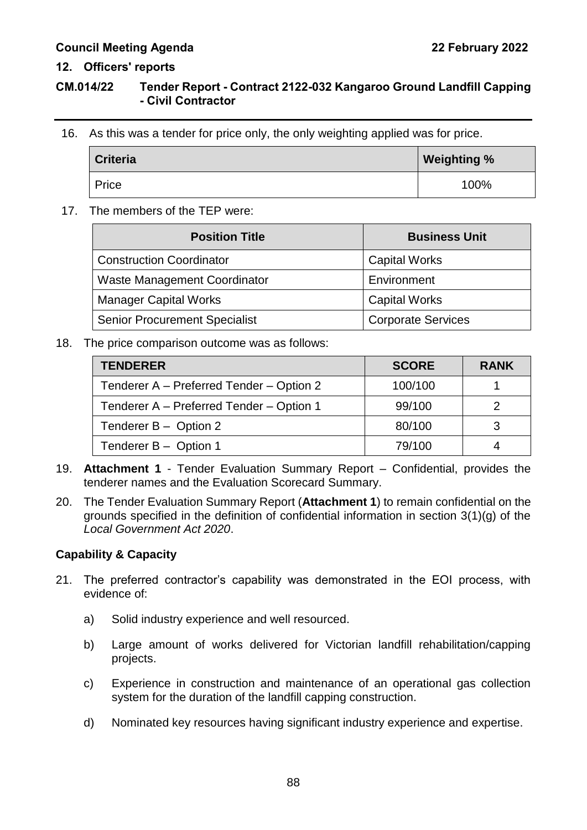### **12. Officers' reports**

### **CM.014/22 Tender Report - Contract 2122-032 Kangaroo Ground Landfill Capping - Civil Contractor**

16. As this was a tender for price only, the only weighting applied was for price.

| <b>Criteria</b> | <b>Weighting %</b> |
|-----------------|--------------------|
| Price           | 100%               |

### 17. The members of the TEP were:

| <b>Position Title</b>                | <b>Business Unit</b>      |
|--------------------------------------|---------------------------|
| <b>Construction Coordinator</b>      | <b>Capital Works</b>      |
| Waste Management Coordinator         | Environment               |
| <b>Manager Capital Works</b>         | <b>Capital Works</b>      |
| <b>Senior Procurement Specialist</b> | <b>Corporate Services</b> |

18. The price comparison outcome was as follows:

| <b>TENDERER</b>                          | <b>SCORE</b> | <b>RANK</b> |
|------------------------------------------|--------------|-------------|
| Tenderer A - Preferred Tender - Option 2 | 100/100      |             |
| Tenderer A - Preferred Tender - Option 1 | 99/100       |             |
| Tenderer B - Option 2                    | 80/100       |             |
| Tenderer B - Option 1                    | 79/100       |             |

- 19. **Attachment 1** Tender Evaluation Summary Report Confidential, provides the tenderer names and the Evaluation Scorecard Summary.
- 20. The Tender Evaluation Summary Report (**Attachment 1**) to remain confidential on the grounds specified in the definition of confidential information in section 3(1)(g) of the *Local Government Act 2020*.

### **Capability & Capacity**

- 21. The preferred contractor's capability was demonstrated in the EOI process, with evidence of:
	- a) Solid industry experience and well resourced.
	- b) Large amount of works delivered for Victorian landfill rehabilitation/capping projects.
	- c) Experience in construction and maintenance of an operational gas collection system for the duration of the landfill capping construction.
	- d) Nominated key resources having significant industry experience and expertise.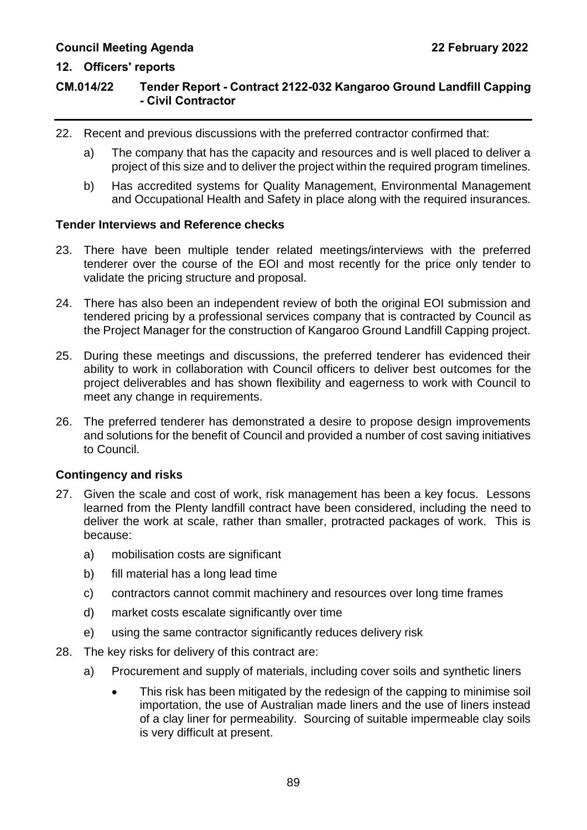### **CM.014/22 Tender Report - Contract 2122-032 Kangaroo Ground Landfill Capping - Civil Contractor**

- 22. Recent and previous discussions with the preferred contractor confirmed that:
	- a) The company that has the capacity and resources and is well placed to deliver a project of this size and to deliver the project within the required program timelines.
	- b) Has accredited systems for Quality Management, Environmental Management and Occupational Health and Safety in place along with the required insurances.

### **Tender Interviews and Reference checks**

- 23. There have been multiple tender related meetings/interviews with the preferred tenderer over the course of the EOI and most recently for the price only tender to validate the pricing structure and proposal.
- 24. There has also been an independent review of both the original EOI submission and tendered pricing by a professional services company that is contracted by Council as the Project Manager for the construction of Kangaroo Ground Landfill Capping project.
- 25. During these meetings and discussions, the preferred tenderer has evidenced their ability to work in collaboration with Council officers to deliver best outcomes for the project deliverables and has shown flexibility and eagerness to work with Council to meet any change in requirements.
- 26. The preferred tenderer has demonstrated a desire to propose design improvements and solutions for the benefit of Council and provided a number of cost saving initiatives to Council.

### **Contingency and risks**

- 27. Given the scale and cost of work, risk management has been a key focus. Lessons learned from the Plenty landfill contract have been considered, including the need to deliver the work at scale, rather than smaller, protracted packages of work. This is because:
	- a) mobilisation costs are significant
	- b) fill material has a long lead time
	- c) contractors cannot commit machinery and resources over long time frames
	- d) market costs escalate significantly over time
	- e) using the same contractor significantly reduces delivery risk
- 28. The key risks for delivery of this contract are:
	- a) Procurement and supply of materials, including cover soils and synthetic liners
		- This risk has been mitigated by the redesign of the capping to minimise soil importation, the use of Australian made liners and the use of liners instead of a clay liner for permeability. Sourcing of suitable impermeable clay soils is very difficult at present.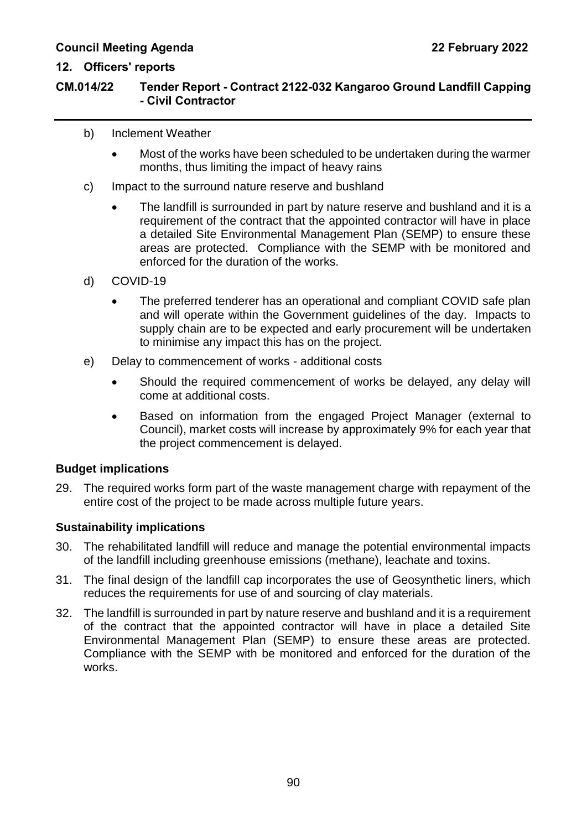### **CM.014/22 Tender Report - Contract 2122-032 Kangaroo Ground Landfill Capping - Civil Contractor**

- b) Inclement Weather
	- Most of the works have been scheduled to be undertaken during the warmer months, thus limiting the impact of heavy rains
- c) Impact to the surround nature reserve and bushland
	- The landfill is surrounded in part by nature reserve and bushland and it is a requirement of the contract that the appointed contractor will have in place a detailed Site Environmental Management Plan (SEMP) to ensure these areas are protected. Compliance with the SEMP with be monitored and enforced for the duration of the works.
- d) COVID-19
	- The preferred tenderer has an operational and compliant COVID safe plan and will operate within the Government guidelines of the day. Impacts to supply chain are to be expected and early procurement will be undertaken to minimise any impact this has on the project.
- e) Delay to commencement of works additional costs
	- Should the required commencement of works be delayed, any delay will come at additional costs.
	- Based on information from the engaged Project Manager (external to Council), market costs will increase by approximately 9% for each year that the project commencement is delayed.

### **Budget implications**

29. The required works form part of the waste management charge with repayment of the entire cost of the project to be made across multiple future years.

### **Sustainability implications**

- 30. The rehabilitated landfill will reduce and manage the potential environmental impacts of the landfill including greenhouse emissions (methane), leachate and toxins.
- 31. The final design of the landfill cap incorporates the use of Geosynthetic liners, which reduces the requirements for use of and sourcing of clay materials.
- 32. The landfill is surrounded in part by nature reserve and bushland and it is a requirement of the contract that the appointed contractor will have in place a detailed Site Environmental Management Plan (SEMP) to ensure these areas are protected. Compliance with the SEMP with be monitored and enforced for the duration of the works.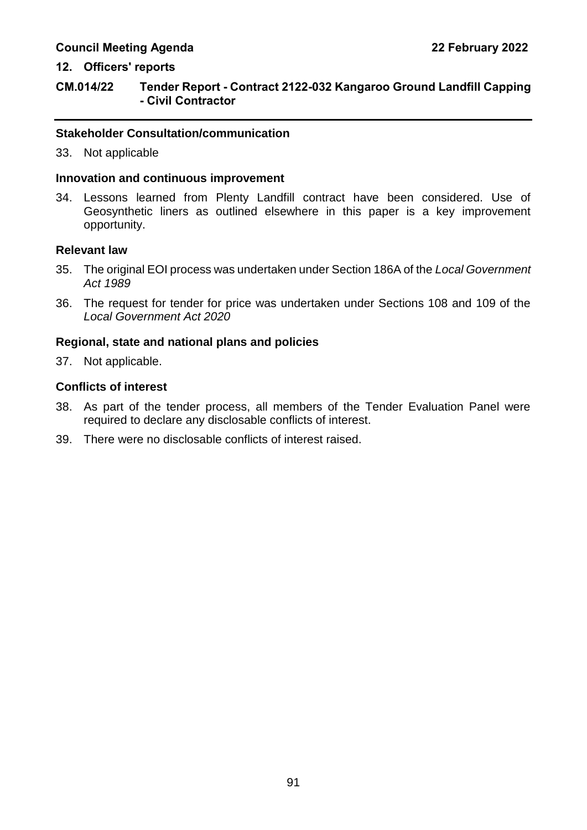#### **12. Officers' reports**

### **CM.014/22 Tender Report - Contract 2122-032 Kangaroo Ground Landfill Capping - Civil Contractor**

#### **Stakeholder Consultation/communication**

33. Not applicable

#### **Innovation and continuous improvement**

34. Lessons learned from Plenty Landfill contract have been considered. Use of Geosynthetic liners as outlined elsewhere in this paper is a key improvement opportunity.

#### **Relevant law**

- 35. The original EOI process was undertaken under Section 186A of the *Local Government Act 1989*
- 36. The request for tender for price was undertaken under Sections 108 and 109 of the *Local Government Act 2020*

#### **Regional, state and national plans and policies**

37. Not applicable.

### **Conflicts of interest**

- 38. As part of the tender process, all members of the Tender Evaluation Panel were required to declare any disclosable conflicts of interest.
- 39. There were no disclosable conflicts of interest raised.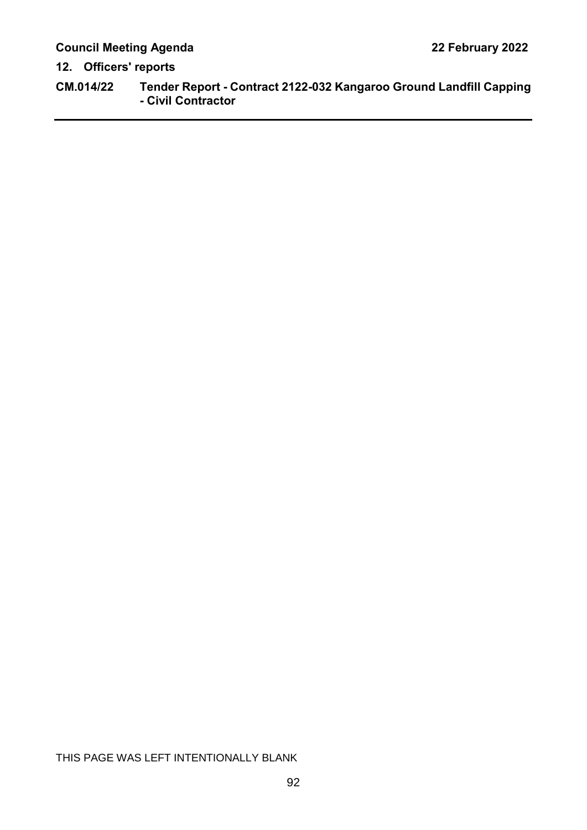**CM.014/22 Tender Report - Contract 2122-032 Kangaroo Ground Landfill Capping - Civil Contractor**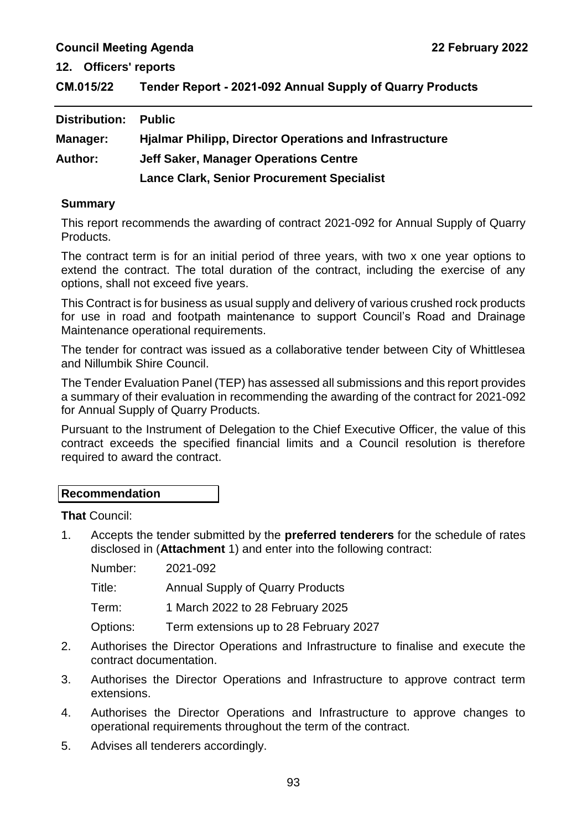**12. Officers' reports**

**CM.015/22 Tender Report - 2021-092 Annual Supply of Quarry Products**

| Distribution: | <b>Public</b>                                                  |
|---------------|----------------------------------------------------------------|
| Manager:      | <b>Hjalmar Philipp, Director Operations and Infrastructure</b> |
| Author:       | Jeff Saker, Manager Operations Centre                          |
|               | <b>Lance Clark, Senior Procurement Specialist</b>              |

#### **Summary**

This report recommends the awarding of contract 2021-092 for Annual Supply of Quarry Products.

The contract term is for an initial period of three years, with two x one year options to extend the contract. The total duration of the contract, including the exercise of any options, shall not exceed five years.

This Contract is for business as usual supply and delivery of various crushed rock products for use in road and footpath maintenance to support Council's Road and Drainage Maintenance operational requirements.

The tender for contract was issued as a collaborative tender between City of Whittlesea and Nillumbik Shire Council.

The Tender Evaluation Panel (TEP) has assessed all submissions and this report provides a summary of their evaluation in recommending the awarding of the contract for 2021-092 for Annual Supply of Quarry Products.

Pursuant to the Instrument of Delegation to the Chief Executive Officer, the value of this contract exceeds the specified financial limits and a Council resolution is therefore required to award the contract.

### **Recommendation**

**That** Council:

1. Accepts the tender submitted by the **preferred tenderers** for the schedule of rates disclosed in (**Attachment** 1) and enter into the following contract:

Number: 2021-092

Title: Annual Supply of Quarry Products

Term: 1 March 2022 to 28 February 2025

Options: Term extensions up to 28 February 2027

- 2. Authorises the Director Operations and Infrastructure to finalise and execute the contract documentation.
- 3. Authorises the Director Operations and Infrastructure to approve contract term extensions.
- 4. Authorises the Director Operations and Infrastructure to approve changes to operational requirements throughout the term of the contract.
- 5. Advises all tenderers accordingly.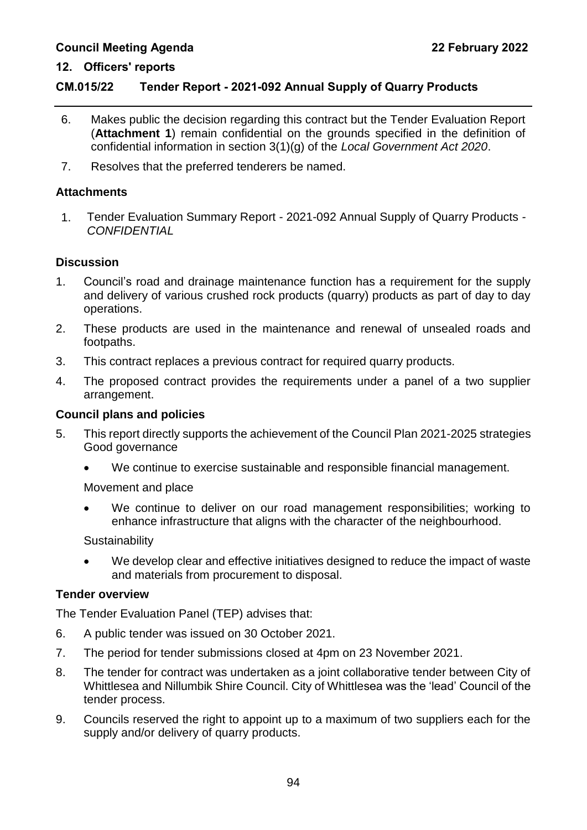#### **12. Officers' reports**

#### **CM.015/22 Tender Report - 2021-092 Annual Supply of Quarry Products**

- 6. Makes public the decision regarding this contract but the Tender Evaluation Report (**Attachment 1**) remain confidential on the grounds specified in the definition of confidential information in section 3(1)(g) of the *Local Government Act 2020*.
- 7. Resolves that the preferred tenderers be named.

#### **Attachments**

1. Tender Evaluation Summary Report - 2021-092 Annual Supply of Quarry Products *- CONFIDENTIAL* 

#### **Discussion**

- 1. Council's road and drainage maintenance function has a requirement for the supply and delivery of various crushed rock products (quarry) products as part of day to day operations.
- 2. These products are used in the maintenance and renewal of unsealed roads and footpaths.
- 3. This contract replaces a previous contract for required quarry products.
- 4. The proposed contract provides the requirements under a panel of a two supplier arrangement.

#### **Council plans and policies**

- 5. This report directly supports the achievement of the Council Plan 2021-2025 strategies Good governance
	- We continue to exercise sustainable and responsible financial management.

Movement and place

 We continue to deliver on our road management responsibilities; working to enhance infrastructure that aligns with the character of the neighbourhood.

**Sustainability** 

 We develop clear and effective initiatives designed to reduce the impact of waste and materials from procurement to disposal.

#### **Tender overview**

The Tender Evaluation Panel (TEP) advises that:

- 6. A public tender was issued on 30 October 2021.
- 7. The period for tender submissions closed at 4pm on 23 November 2021.
- 8. The tender for contract was undertaken as a joint collaborative tender between City of Whittlesea and Nillumbik Shire Council. City of Whittlesea was the 'lead' Council of the tender process.
- 9. Councils reserved the right to appoint up to a maximum of two suppliers each for the supply and/or delivery of quarry products.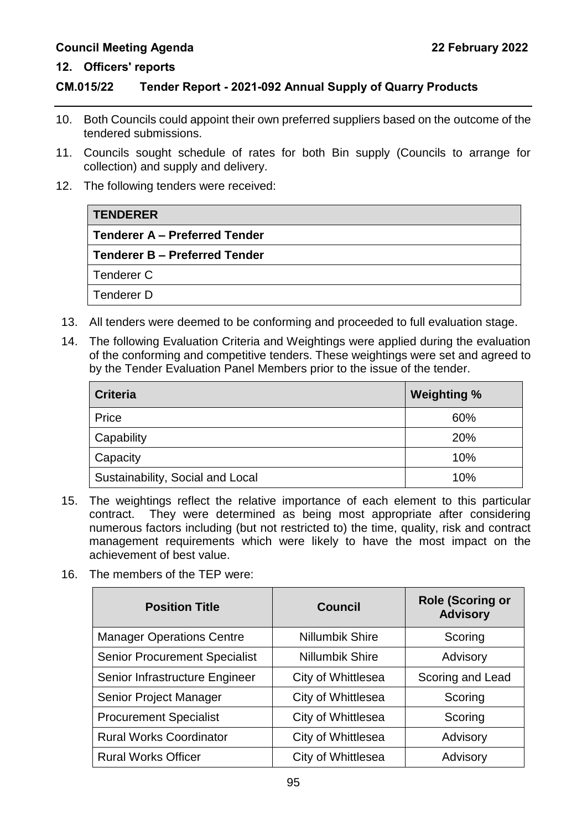### **CM.015/22 Tender Report - 2021-092 Annual Supply of Quarry Products**

- 10. Both Councils could appoint their own preferred suppliers based on the outcome of the tendered submissions.
- 11. Councils sought schedule of rates for both Bin supply (Councils to arrange for collection) and supply and delivery.
- 12. The following tenders were received:

| <b>TENDERER</b>               |
|-------------------------------|
| Tenderer A - Preferred Tender |
| Tenderer B – Preferred Tender |
| Tenderer C                    |
| Tenderer D                    |

- 13. All tenders were deemed to be conforming and proceeded to full evaluation stage.
- 14. The following Evaluation Criteria and Weightings were applied during the evaluation of the conforming and competitive tenders. These weightings were set and agreed to by the Tender Evaluation Panel Members prior to the issue of the tender.

| <b>Criteria</b>                  | <b>Weighting %</b> |
|----------------------------------|--------------------|
| Price                            | 60%                |
| Capability                       | 20%                |
| Capacity                         | 10%                |
| Sustainability, Social and Local | 10%                |

- 15. The weightings reflect the relative importance of each element to this particular contract. They were determined as being most appropriate after considering numerous factors including (but not restricted to) the time, quality, risk and contract management requirements which were likely to have the most impact on the achievement of best value.
- 16. The members of the TEP were:

| <b>Position Title</b>                | <b>Council</b>     | <b>Role (Scoring or</b><br><b>Advisory</b> |
|--------------------------------------|--------------------|--------------------------------------------|
| <b>Manager Operations Centre</b>     | Nillumbik Shire    | Scoring                                    |
| <b>Senior Procurement Specialist</b> | Nillumbik Shire    | Advisory                                   |
| Senior Infrastructure Engineer       | City of Whittlesea | Scoring and Lead                           |
| Senior Project Manager               | City of Whittlesea | Scoring                                    |
| <b>Procurement Specialist</b>        | City of Whittlesea | Scoring                                    |
| <b>Rural Works Coordinator</b>       | City of Whittlesea | Advisory                                   |
| <b>Rural Works Officer</b>           | City of Whittlesea | Advisory                                   |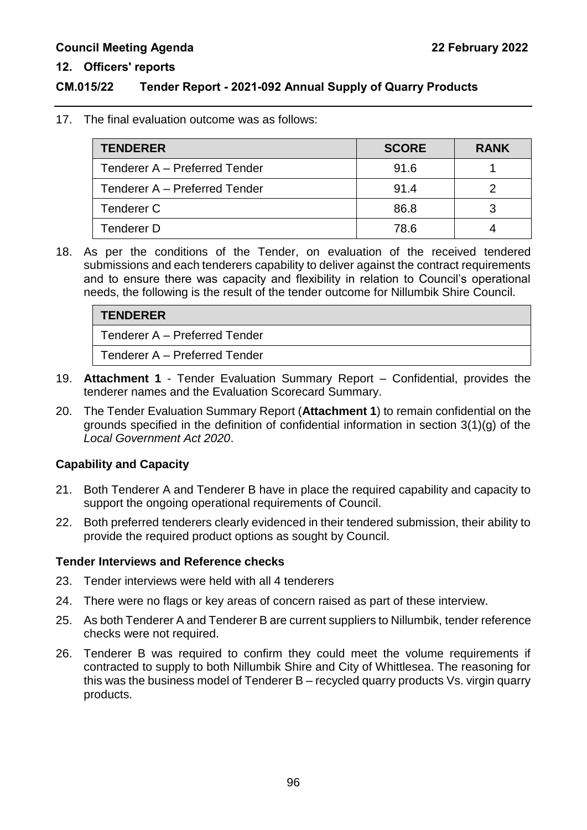#### **12. Officers' reports**

### **CM.015/22 Tender Report - 2021-092 Annual Supply of Quarry Products**

17. The final evaluation outcome was as follows:

| <b>TENDERER</b>               | <b>SCORE</b> | <b>RANK</b> |
|-------------------------------|--------------|-------------|
| Tenderer A - Preferred Tender | 91.6         |             |
| Tenderer A - Preferred Tender | 91.4         |             |
| Tenderer C                    | 86.8         |             |
| <b>Tenderer D</b>             | 78 R         |             |

18. As per the conditions of the Tender, on evaluation of the received tendered submissions and each tenderers capability to deliver against the contract requirements and to ensure there was capacity and flexibility in relation to Council's operational needs, the following is the result of the tender outcome for Nillumbik Shire Council.

#### **TENDERER**

Tenderer A – Preferred Tender

Tenderer A – Preferred Tender

- 19. **Attachment 1** Tender Evaluation Summary Report Confidential, provides the tenderer names and the Evaluation Scorecard Summary.
- 20. The Tender Evaluation Summary Report (**Attachment 1**) to remain confidential on the grounds specified in the definition of confidential information in section 3(1)(g) of the *Local Government Act 2020*.

### **Capability and Capacity**

- 21. Both Tenderer A and Tenderer B have in place the required capability and capacity to support the ongoing operational requirements of Council.
- 22. Both preferred tenderers clearly evidenced in their tendered submission, their ability to provide the required product options as sought by Council.

#### **Tender Interviews and Reference checks**

- 23. Tender interviews were held with all 4 tenderers
- 24. There were no flags or key areas of concern raised as part of these interview.
- 25. As both Tenderer A and Tenderer B are current suppliers to Nillumbik, tender reference checks were not required.
- 26. Tenderer B was required to confirm they could meet the volume requirements if contracted to supply to both Nillumbik Shire and City of Whittlesea. The reasoning for this was the business model of Tenderer B – recycled quarry products Vs. virgin quarry products.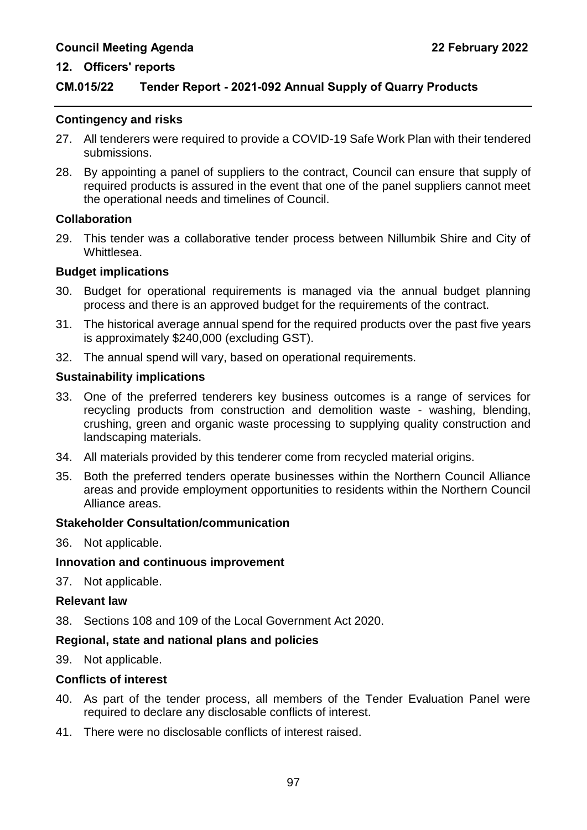#### **CM.015/22 Tender Report - 2021-092 Annual Supply of Quarry Products**

#### **Contingency and risks**

- 27. All tenderers were required to provide a COVID-19 Safe Work Plan with their tendered submissions.
- 28. By appointing a panel of suppliers to the contract, Council can ensure that supply of required products is assured in the event that one of the panel suppliers cannot meet the operational needs and timelines of Council.

#### **Collaboration**

29. This tender was a collaborative tender process between Nillumbik Shire and City of Whittlesea.

#### **Budget implications**

- 30. Budget for operational requirements is managed via the annual budget planning process and there is an approved budget for the requirements of the contract.
- 31. The historical average annual spend for the required products over the past five years is approximately \$240,000 (excluding GST).
- 32. The annual spend will vary, based on operational requirements.

#### **Sustainability implications**

- 33. One of the preferred tenderers key business outcomes is a range of services for recycling products from construction and demolition waste - washing, blending, crushing, green and organic waste processing to supplying quality construction and landscaping materials.
- 34. All materials provided by this tenderer come from recycled material origins.
- 35. Both the preferred tenders operate businesses within the Northern Council Alliance areas and provide employment opportunities to residents within the Northern Council Alliance areas.

#### **Stakeholder Consultation/communication**

36. Not applicable.

#### **Innovation and continuous improvement**

37. Not applicable.

#### **Relevant law**

38. Sections 108 and 109 of the Local Government Act 2020.

### **Regional, state and national plans and policies**

39. Not applicable.

#### **Conflicts of interest**

- 40. As part of the tender process, all members of the Tender Evaluation Panel were required to declare any disclosable conflicts of interest.
- 41. There were no disclosable conflicts of interest raised.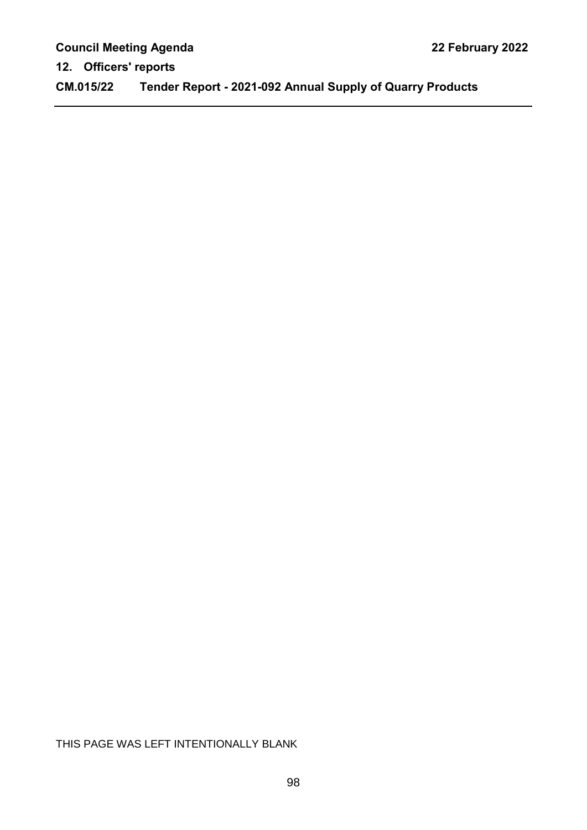## THIS PAGE WAS LEFT INTENTIONALLY BLANK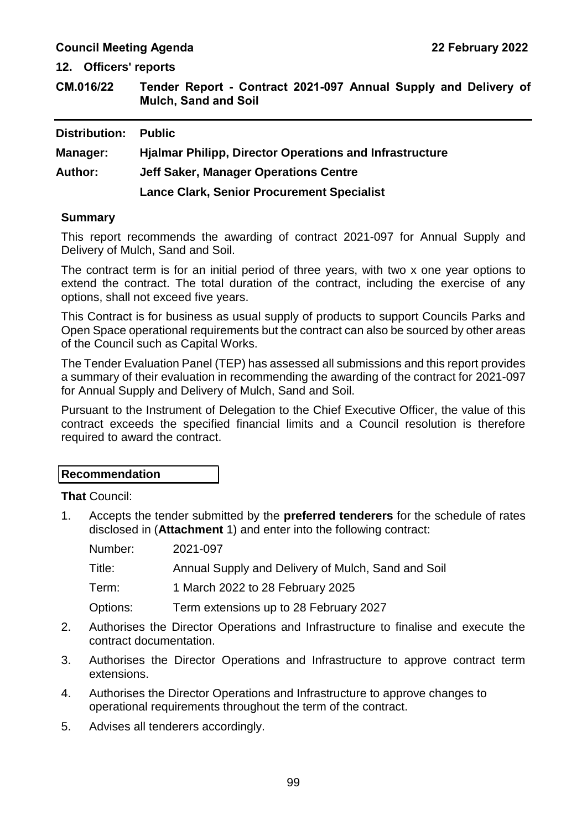**12. Officers' reports**

| CM.016/22 | Tender Report - Contract 2021-097 Annual Supply and Delivery of |
|-----------|-----------------------------------------------------------------|
|           | <b>Mulch, Sand and Soil</b>                                     |

| Distribution:  | <b>Public</b>                                                  |
|----------------|----------------------------------------------------------------|
| Manager:       | <b>Hjalmar Philipp, Director Operations and Infrastructure</b> |
| <b>Author:</b> | <b>Jeff Saker, Manager Operations Centre</b>                   |
|                | <b>Lance Clark, Senior Procurement Specialist</b>              |

#### **Summary**

This report recommends the awarding of contract 2021-097 for Annual Supply and Delivery of Mulch, Sand and Soil.

The contract term is for an initial period of three years, with two x one year options to extend the contract. The total duration of the contract, including the exercise of any options, shall not exceed five years.

This Contract is for business as usual supply of products to support Councils Parks and Open Space operational requirements but the contract can also be sourced by other areas of the Council such as Capital Works.

The Tender Evaluation Panel (TEP) has assessed all submissions and this report provides a summary of their evaluation in recommending the awarding of the contract for 2021-097 for Annual Supply and Delivery of Mulch, Sand and Soil.

Pursuant to the Instrument of Delegation to the Chief Executive Officer, the value of this contract exceeds the specified financial limits and a Council resolution is therefore required to award the contract.

### **Recommendation**

**That** Council:

1. Accepts the tender submitted by the **preferred tenderers** for the schedule of rates disclosed in (**Attachment** 1) and enter into the following contract:

Number: 2021-097

- Title: Annual Supply and Delivery of Mulch, Sand and Soil
- Term: 1 March 2022 to 28 February 2025

Options: Term extensions up to 28 February 2027

- 2. Authorises the Director Operations and Infrastructure to finalise and execute the contract documentation.
- 3. Authorises the Director Operations and Infrastructure to approve contract term extensions.
- 4. Authorises the Director Operations and Infrastructure to approve changes to operational requirements throughout the term of the contract.
- 5. Advises all tenderers accordingly.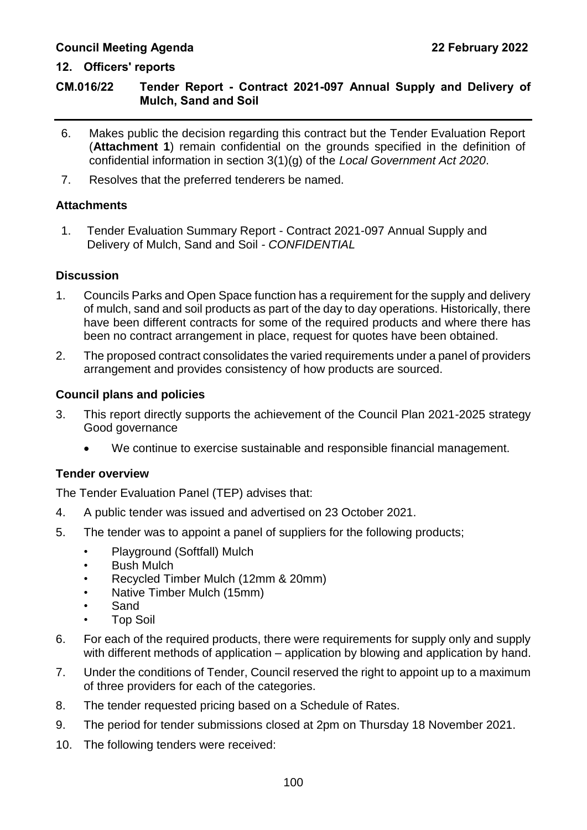### **12. Officers' reports**

### **CM.016/22 Tender Report - Contract 2021-097 Annual Supply and Delivery of Mulch, Sand and Soil**

- 6. Makes public the decision regarding this contract but the Tender Evaluation Report (**Attachment 1**) remain confidential on the grounds specified in the definition of confidential information in section 3(1)(g) of the *Local Government Act 2020*.
- 7. Resolves that the preferred tenderers be named.

### **Attachments**

1. Tender Evaluation Summary Report - Contract 2021-097 Annual Supply and Delivery of Mulch, Sand and Soil *- CONFIDENTIAL* 

### **Discussion**

- 1. Councils Parks and Open Space function has a requirement for the supply and delivery of mulch, sand and soil products as part of the day to day operations. Historically, there have been different contracts for some of the required products and where there has been no contract arrangement in place, request for quotes have been obtained.
- 2. The proposed contract consolidates the varied requirements under a panel of providers arrangement and provides consistency of how products are sourced.

### **Council plans and policies**

- 3. This report directly supports the achievement of the Council Plan 2021-2025 strategy Good governance
	- We continue to exercise sustainable and responsible financial management.

### **Tender overview**

The Tender Evaluation Panel (TEP) advises that:

- 4. A public tender was issued and advertised on 23 October 2021.
- 5. The tender was to appoint a panel of suppliers for the following products;
	- Playground (Softfall) Mulch
	- **Bush Mulch**
	- Recycled Timber Mulch (12mm & 20mm)
	- Native Timber Mulch (15mm)
	- **Sand**
	- Top Soil
- 6. For each of the required products, there were requirements for supply only and supply with different methods of application – application by blowing and application by hand.
- 7. Under the conditions of Tender, Council reserved the right to appoint up to a maximum of three providers for each of the categories.
- 8. The tender requested pricing based on a Schedule of Rates.
- 9. The period for tender submissions closed at 2pm on Thursday 18 November 2021.
- 10. The following tenders were received: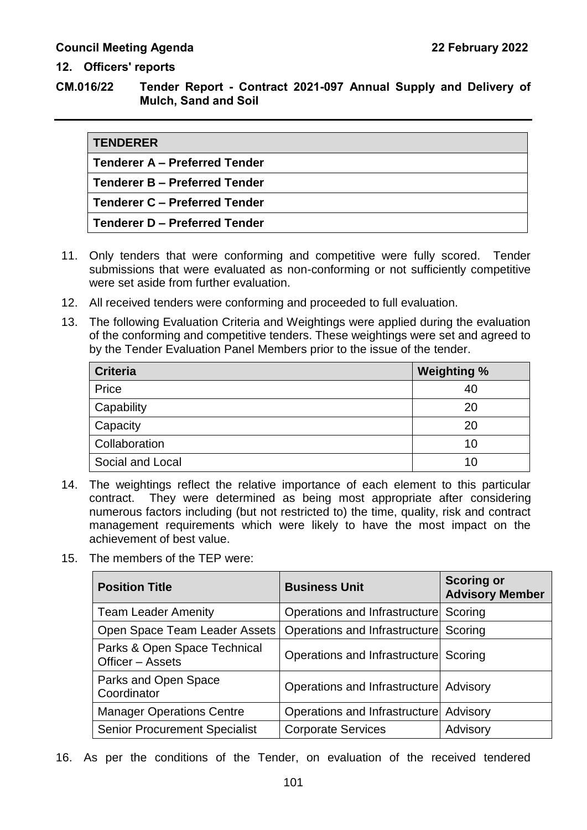### **12. Officers' reports**

**CM.016/22 Tender Report - Contract 2021-097 Annual Supply and Delivery of Mulch, Sand and Soil**

#### **TENDERER**

**Tenderer A – Preferred Tender**

**Tenderer B – Preferred Tender**

**Tenderer C – Preferred Tender**

**Tenderer D – Preferred Tender**

- 11. Only tenders that were conforming and competitive were fully scored. Tender submissions that were evaluated as non-conforming or not sufficiently competitive were set aside from further evaluation.
- 12. All received tenders were conforming and proceeded to full evaluation.
- 13. The following Evaluation Criteria and Weightings were applied during the evaluation of the conforming and competitive tenders. These weightings were set and agreed to by the Tender Evaluation Panel Members prior to the issue of the tender.

| <b>Criteria</b>  | <b>Weighting %</b> |
|------------------|--------------------|
| Price            | 40                 |
| Capability       | 20                 |
| Capacity         | 20                 |
| Collaboration    | 10                 |
| Social and Local | 10                 |

- 14. The weightings reflect the relative importance of each element to this particular contract. They were determined as being most appropriate after considering numerous factors including (but not restricted to) the time, quality, risk and contract management requirements which were likely to have the most impact on the achievement of best value.
- 15. The members of the TEP were:

| <b>Position Title</b>                            | <b>Business Unit</b>                   | <b>Scoring or</b><br><b>Advisory Member</b> |
|--------------------------------------------------|----------------------------------------|---------------------------------------------|
| <b>Team Leader Amenity</b>                       | Operations and Infrastructure  Scoring |                                             |
| Open Space Team Leader Assets                    | Operations and Infrastructure Scoring  |                                             |
| Parks & Open Space Technical<br>Officer - Assets | Operations and Infrastructure  Scoring |                                             |
| Parks and Open Space<br>Coordinator              | Operations and Infrastructure Advisory |                                             |
| <b>Manager Operations Centre</b>                 | Operations and Infrastructure          | Advisory                                    |
| <b>Senior Procurement Specialist</b>             | <b>Corporate Services</b>              | Advisory                                    |

16. As per the conditions of the Tender, on evaluation of the received tendered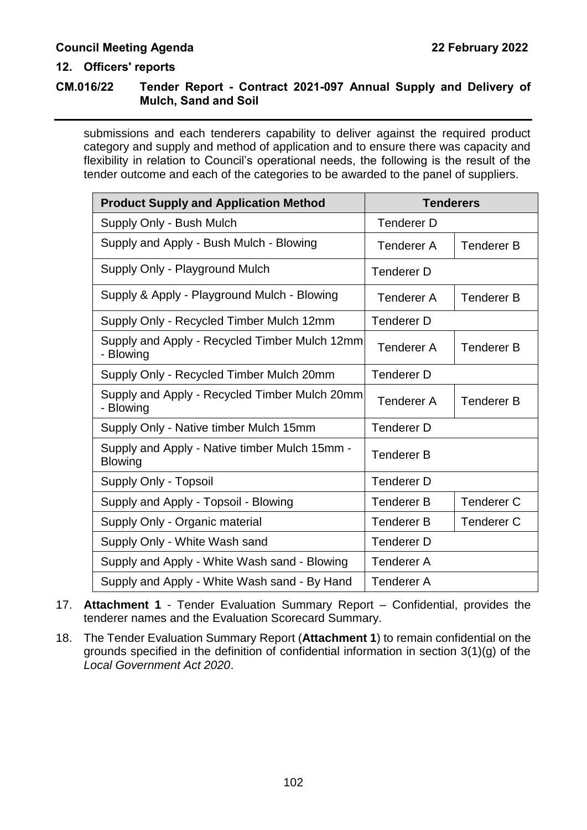### **12. Officers' reports**

### **CM.016/22 Tender Report - Contract 2021-097 Annual Supply and Delivery of Mulch, Sand and Soil**

submissions and each tenderers capability to deliver against the required product category and supply and method of application and to ensure there was capacity and flexibility in relation to Council's operational needs, the following is the result of the tender outcome and each of the categories to be awarded to the panel of suppliers.

| <b>Product Supply and Application Method</b>               | <b>Tenderers</b>  |                   |
|------------------------------------------------------------|-------------------|-------------------|
| Supply Only - Bush Mulch                                   | <b>Tenderer D</b> |                   |
| Supply and Apply - Bush Mulch - Blowing                    | Tenderer A        | <b>Tenderer B</b> |
| Supply Only - Playground Mulch                             | <b>Tenderer D</b> |                   |
| Supply & Apply - Playground Mulch - Blowing                | Tenderer A        | <b>Tenderer B</b> |
| Supply Only - Recycled Timber Mulch 12mm                   | <b>Tenderer D</b> |                   |
| Supply and Apply - Recycled Timber Mulch 12mm<br>- Blowing | <b>Tenderer A</b> | <b>Tenderer B</b> |
| Supply Only - Recycled Timber Mulch 20mm                   | <b>Tenderer D</b> |                   |
| Supply and Apply - Recycled Timber Mulch 20mm<br>- Blowing | Tenderer A        | <b>Tenderer B</b> |
| Supply Only - Native timber Mulch 15mm                     | <b>Tenderer D</b> |                   |
| Supply and Apply - Native timber Mulch 15mm -<br>Blowing   | <b>Tenderer B</b> |                   |
| Supply Only - Topsoil                                      | <b>Tenderer D</b> |                   |
| Supply and Apply - Topsoil - Blowing                       | <b>Tenderer B</b> | <b>Tenderer C</b> |
| Supply Only - Organic material                             | <b>Tenderer B</b> | <b>Tenderer C</b> |
| Supply Only - White Wash sand                              | <b>Tenderer D</b> |                   |
| Supply and Apply - White Wash sand - Blowing               | <b>Tenderer A</b> |                   |
| Supply and Apply - White Wash sand - By Hand               | <b>Tenderer A</b> |                   |

- 17. **Attachment 1** Tender Evaluation Summary Report Confidential, provides the tenderer names and the Evaluation Scorecard Summary.
- 18. The Tender Evaluation Summary Report (**Attachment 1**) to remain confidential on the grounds specified in the definition of confidential information in section 3(1)(g) of the *Local Government Act 2020*.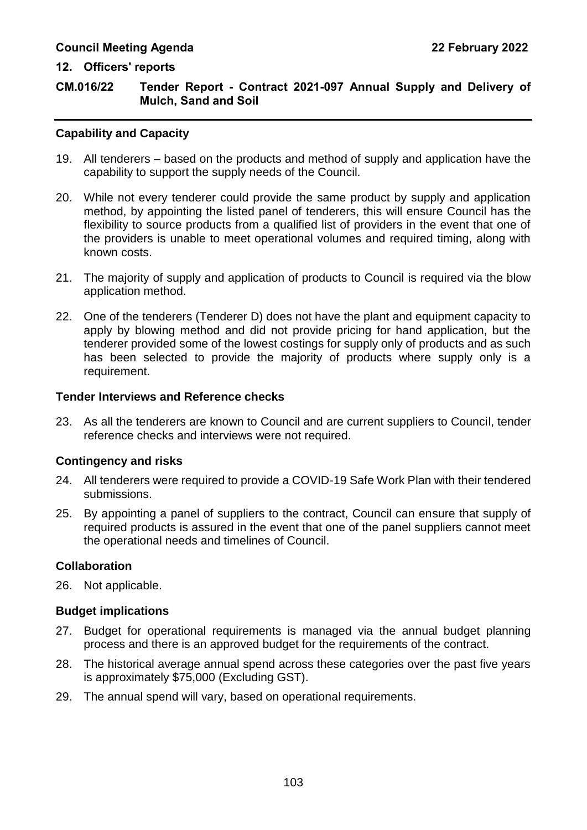#### **12. Officers' reports**

**CM.016/22 Tender Report - Contract 2021-097 Annual Supply and Delivery of Mulch, Sand and Soil**

#### **Capability and Capacity**

- 19. All tenderers based on the products and method of supply and application have the capability to support the supply needs of the Council.
- 20. While not every tenderer could provide the same product by supply and application method, by appointing the listed panel of tenderers, this will ensure Council has the flexibility to source products from a qualified list of providers in the event that one of the providers is unable to meet operational volumes and required timing, along with known costs.
- 21. The majority of supply and application of products to Council is required via the blow application method.
- 22. One of the tenderers (Tenderer D) does not have the plant and equipment capacity to apply by blowing method and did not provide pricing for hand application, but the tenderer provided some of the lowest costings for supply only of products and as such has been selected to provide the majority of products where supply only is a requirement.

#### **Tender Interviews and Reference checks**

23. As all the tenderers are known to Council and are current suppliers to Council, tender reference checks and interviews were not required.

#### **Contingency and risks**

- 24. All tenderers were required to provide a COVID-19 Safe Work Plan with their tendered submissions.
- 25. By appointing a panel of suppliers to the contract, Council can ensure that supply of required products is assured in the event that one of the panel suppliers cannot meet the operational needs and timelines of Council.

#### **Collaboration**

26. Not applicable.

### **Budget implications**

- 27. Budget for operational requirements is managed via the annual budget planning process and there is an approved budget for the requirements of the contract.
- 28. The historical average annual spend across these categories over the past five years is approximately \$75,000 (Excluding GST).
- 29. The annual spend will vary, based on operational requirements.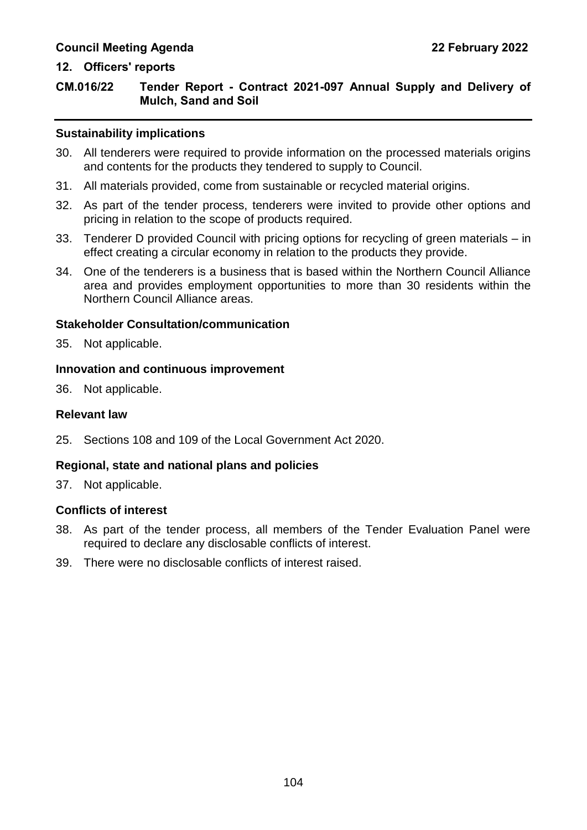#### **12. Officers' reports**

**CM.016/22 Tender Report - Contract 2021-097 Annual Supply and Delivery of Mulch, Sand and Soil**

#### **Sustainability implications**

- 30. All tenderers were required to provide information on the processed materials origins and contents for the products they tendered to supply to Council.
- 31. All materials provided, come from sustainable or recycled material origins.
- 32. As part of the tender process, tenderers were invited to provide other options and pricing in relation to the scope of products required.
- 33. Tenderer D provided Council with pricing options for recycling of green materials in effect creating a circular economy in relation to the products they provide.
- 34. One of the tenderers is a business that is based within the Northern Council Alliance area and provides employment opportunities to more than 30 residents within the Northern Council Alliance areas.

#### **Stakeholder Consultation/communication**

35. Not applicable.

#### **Innovation and continuous improvement**

36. Not applicable.

#### **Relevant law**

25. Sections 108 and 109 of the Local Government Act 2020.

### **Regional, state and national plans and policies**

37. Not applicable.

# **Conflicts of interest**

- 38. As part of the tender process, all members of the Tender Evaluation Panel were required to declare any disclosable conflicts of interest.
- 39. There were no disclosable conflicts of interest raised.